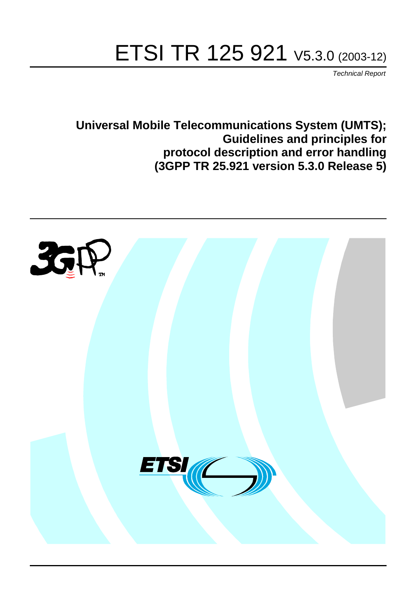# ETSI TR 125 921 V5.3.0 (2003-12)

Technical Report

**Universal Mobile Telecommunications System (UMTS); Guidelines and principles for protocol description and error handling (3GPP TR 25.921 version 5.3.0 Release 5)**

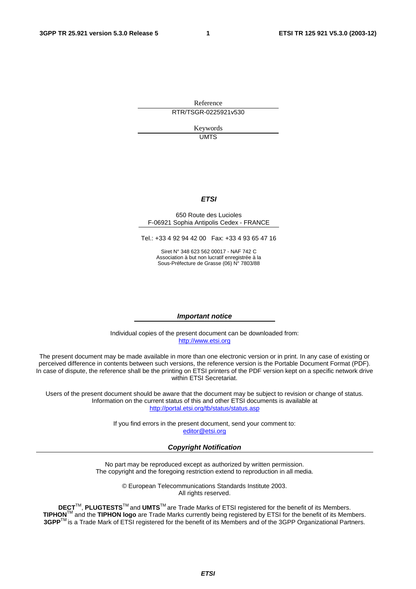Reference RTR/TSGR-0225921v530

> Keywords UMTS

#### **ETSI**

#### 650 Route des Lucioles F-06921 Sophia Antipolis Cedex - FRANCE

Tel.: +33 4 92 94 42 00 Fax: +33 4 93 65 47 16

Siret N° 348 623 562 00017 - NAF 742 C Association à but non lucratif enregistrée à la Sous-Préfecture de Grasse (06) N° 7803/88

#### **Important notice**

Individual copies of the present document can be downloaded from: [http://www.etsi.org](http://www.etsi.org/)

The present document may be made available in more than one electronic version or in print. In any case of existing or perceived difference in contents between such versions, the reference version is the Portable Document Format (PDF). In case of dispute, the reference shall be the printing on ETSI printers of the PDF version kept on a specific network drive within ETSI Secretariat.

Users of the present document should be aware that the document may be subject to revision or change of status. Information on the current status of this and other ETSI documents is available at <http://portal.etsi.org/tb/status/status.asp>

> If you find errors in the present document, send your comment to: [editor@etsi.org](mailto:editor@etsi.org)

#### **Copyright Notification**

No part may be reproduced except as authorized by written permission. The copyright and the foregoing restriction extend to reproduction in all media.

> © European Telecommunications Standards Institute 2003. All rights reserved.

**DECT**TM, **PLUGTESTS**TM and **UMTS**TM are Trade Marks of ETSI registered for the benefit of its Members. **TIPHON**TM and the **TIPHON logo** are Trade Marks currently being registered by ETSI for the benefit of its Members. **3GPP**TM is a Trade Mark of ETSI registered for the benefit of its Members and of the 3GPP Organizational Partners.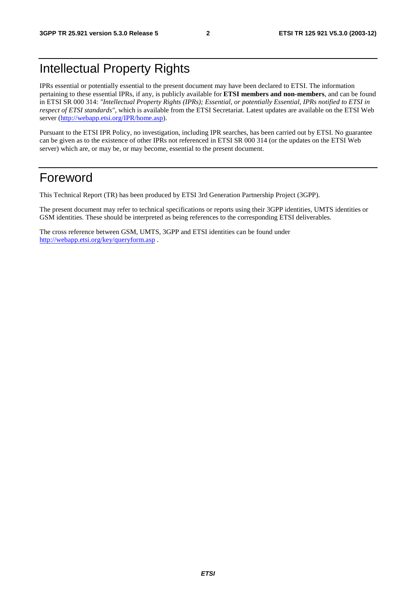## Intellectual Property Rights

IPRs essential or potentially essential to the present document may have been declared to ETSI. The information pertaining to these essential IPRs, if any, is publicly available for **ETSI members and non-members**, and can be found in ETSI SR 000 314: *"Intellectual Property Rights (IPRs); Essential, or potentially Essential, IPRs notified to ETSI in respect of ETSI standards"*, which is available from the ETSI Secretariat. Latest updates are available on the ETSI Web server ([http://webapp.etsi.org/IPR/home.asp\)](http://webapp.etsi.org/IPR/home.asp).

Pursuant to the ETSI IPR Policy, no investigation, including IPR searches, has been carried out by ETSI. No guarantee can be given as to the existence of other IPRs not referenced in ETSI SR 000 314 (or the updates on the ETSI Web server) which are, or may be, or may become, essential to the present document.

## Foreword

This Technical Report (TR) has been produced by ETSI 3rd Generation Partnership Project (3GPP).

The present document may refer to technical specifications or reports using their 3GPP identities, UMTS identities or GSM identities. These should be interpreted as being references to the corresponding ETSI deliverables.

The cross reference between GSM, UMTS, 3GPP and ETSI identities can be found under <http://webapp.etsi.org/key/queryform.asp>.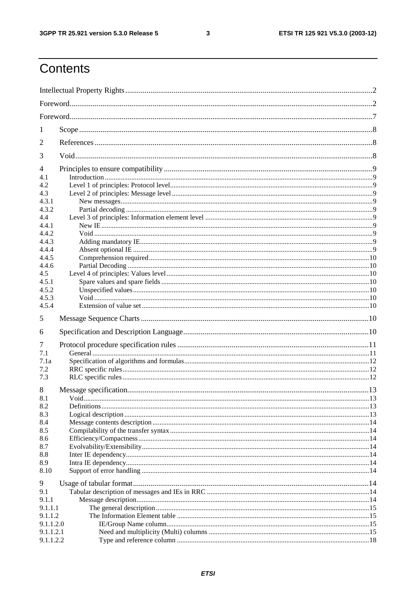$\mathbf{3}$ 

## Contents

| 1                                                                                                                              |             |  |
|--------------------------------------------------------------------------------------------------------------------------------|-------------|--|
| 2                                                                                                                              |             |  |
| 3                                                                                                                              |             |  |
| 4<br>4.1<br>4.2<br>4.3<br>4.3.1<br>4.3.2<br>4.4<br>4.4.1<br>4.4.2<br>4.4.3<br>4.4.4<br>4.4.5<br>4.4.6<br>4.5<br>4.5.1<br>4.5.2 |             |  |
| 4.5.3<br>4.5.4                                                                                                                 |             |  |
| 5                                                                                                                              |             |  |
| 6                                                                                                                              |             |  |
| 7<br>7.1<br>7.1a<br>7.2<br>7.3                                                                                                 |             |  |
| 8<br>8.1<br>8.2<br>8.3<br>8.4<br>8.5<br>8.6<br>8.7<br>8.8<br>8.9<br>8.10                                                       | <b>Void</b> |  |
| 9<br>9.1<br>9.1.1<br>9.1.1.1<br>9.1.1.2<br>9.1.1.2.0<br>9.1.1.2.1<br>9.1.1.2.2                                                 |             |  |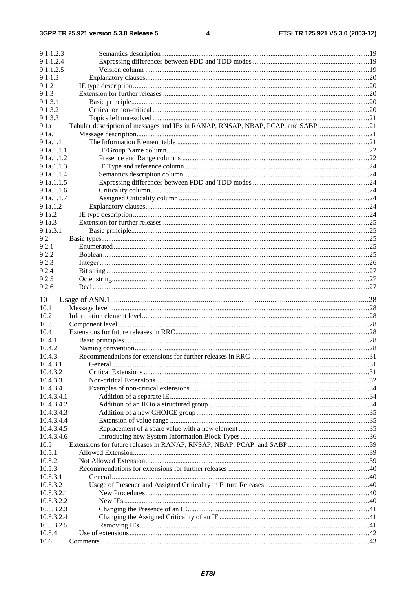| 9.1.1.2.3            |                                                                                 |  |
|----------------------|---------------------------------------------------------------------------------|--|
| 9.1.1.2.4            |                                                                                 |  |
| 9.1.1.2.5            |                                                                                 |  |
| 9.1.1.3              |                                                                                 |  |
| 9.1.2                |                                                                                 |  |
| 9.1.3                |                                                                                 |  |
| 9.1.3.1              |                                                                                 |  |
| 9.1.3.2              |                                                                                 |  |
| 9.1.3.3              |                                                                                 |  |
| 9.1a                 | Tabular description of messages and IEs in RANAP, RNSAP, NBAP, PCAP, and SABP21 |  |
| 9.1a.1               |                                                                                 |  |
| 9.1a.1.1             |                                                                                 |  |
| 9.1a.1.1.1           |                                                                                 |  |
| 9.1a.1.1.2           |                                                                                 |  |
| 9.1a.1.1.3           |                                                                                 |  |
| 9.1a.1.1.4           |                                                                                 |  |
| 9.1a.1.1.5           |                                                                                 |  |
| 9.1a.1.1.6           |                                                                                 |  |
| 9.1a.1.1.7           |                                                                                 |  |
| 9.1a.1.2             |                                                                                 |  |
| 9.1a.2<br>9.1a.3     |                                                                                 |  |
| 9.1a.3.1             |                                                                                 |  |
|                      |                                                                                 |  |
| 9.2<br>9.2.1         |                                                                                 |  |
| 9.2.2                |                                                                                 |  |
| 9.2.3                |                                                                                 |  |
| 9.2.4                |                                                                                 |  |
| 9.2.5                |                                                                                 |  |
| 9.2.6                |                                                                                 |  |
|                      |                                                                                 |  |
| 10                   |                                                                                 |  |
| 10.1                 |                                                                                 |  |
| 10.2                 |                                                                                 |  |
| 10.3                 |                                                                                 |  |
| 10.4                 |                                                                                 |  |
| 10.4.1               |                                                                                 |  |
| 10.4.2               |                                                                                 |  |
| 10.4.3               |                                                                                 |  |
| 10.4.3.1             |                                                                                 |  |
| 10.4.3.2             |                                                                                 |  |
| 10.4.3.3             |                                                                                 |  |
| 10.4.3.4             |                                                                                 |  |
| 10.4.3.4.1           |                                                                                 |  |
| 10.4.3.4.2           |                                                                                 |  |
| 10.4.3.4.3           |                                                                                 |  |
| 10.4.3.4.4           |                                                                                 |  |
| 10.4.3.4.5           |                                                                                 |  |
| 10.4.3.4.6           |                                                                                 |  |
| 10.5                 |                                                                                 |  |
| 10.5.1               |                                                                                 |  |
| 10.5.2               |                                                                                 |  |
| 10.5.3               |                                                                                 |  |
| 10.5.3.1             |                                                                                 |  |
| 10.5.3.2             |                                                                                 |  |
| 10.5.3.2.1           |                                                                                 |  |
| 10.5.3.2.2           |                                                                                 |  |
| 10.5.3.2.3           |                                                                                 |  |
| 10.5.3.2.4           |                                                                                 |  |
| 10.5.3.2.5<br>10.5.4 |                                                                                 |  |
| 10.6                 |                                                                                 |  |
|                      |                                                                                 |  |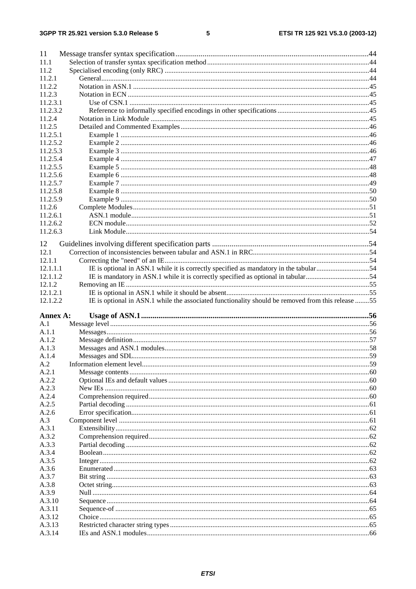#### $5\phantom{a}$

| 11               |                                                                                                   |  |
|------------------|---------------------------------------------------------------------------------------------------|--|
| 11.1             |                                                                                                   |  |
| 11.2             |                                                                                                   |  |
| 11.2.1           |                                                                                                   |  |
| 11.2.2           |                                                                                                   |  |
| 11.2.3           |                                                                                                   |  |
| 11.2.3.1         |                                                                                                   |  |
| 11.2.3.2         |                                                                                                   |  |
| 11.2.4           |                                                                                                   |  |
| 11.2.5           |                                                                                                   |  |
| 11.2.5.1         |                                                                                                   |  |
| 11.2.5.2         |                                                                                                   |  |
| 11.2.5.3         |                                                                                                   |  |
| 11.2.5.4         |                                                                                                   |  |
| 11.2.5.5         |                                                                                                   |  |
| 11.2.5.6         |                                                                                                   |  |
| 11.2.5.7         |                                                                                                   |  |
| 11.2.5.8         |                                                                                                   |  |
| 11.2.5.9         |                                                                                                   |  |
| 11.2.6           |                                                                                                   |  |
| 11.2.6.1         |                                                                                                   |  |
| 11.2.6.2         |                                                                                                   |  |
| 11.2.6.3         |                                                                                                   |  |
| 12               |                                                                                                   |  |
| 12.1             |                                                                                                   |  |
| 12.1.1           |                                                                                                   |  |
| 12.1.1.1         |                                                                                                   |  |
| 12.1.1.2         | IE is mandatory in ASN.1 while it is correctly specified as optional in tabular54                 |  |
| 12.1.2           |                                                                                                   |  |
| 12.1.2.1         |                                                                                                   |  |
|                  |                                                                                                   |  |
| 12.1.2.2         | IE is optional in ASN.1 while the associated functionality should be removed from this release 55 |  |
|                  |                                                                                                   |  |
| Annex A:         |                                                                                                   |  |
| A.1              |                                                                                                   |  |
| A.1.1            |                                                                                                   |  |
| A.1.2            |                                                                                                   |  |
| A.1.3            |                                                                                                   |  |
| A.1.4            |                                                                                                   |  |
| A.2              |                                                                                                   |  |
| A.2.1<br>A.2.2   |                                                                                                   |  |
| A.2.3            |                                                                                                   |  |
| A.2.4            |                                                                                                   |  |
| A.2.5            |                                                                                                   |  |
| A.2.6            |                                                                                                   |  |
| A.3              |                                                                                                   |  |
| A.3.1            |                                                                                                   |  |
| A.3.2            |                                                                                                   |  |
| A.3.3            |                                                                                                   |  |
| A.3.4            |                                                                                                   |  |
| A.3.5            |                                                                                                   |  |
| A.3.6            |                                                                                                   |  |
| A.3.7            |                                                                                                   |  |
| A.3.8            |                                                                                                   |  |
| A.3.9            |                                                                                                   |  |
| A.3.10           |                                                                                                   |  |
| A.3.11           |                                                                                                   |  |
| A.3.12           |                                                                                                   |  |
| A.3.13<br>A.3.14 |                                                                                                   |  |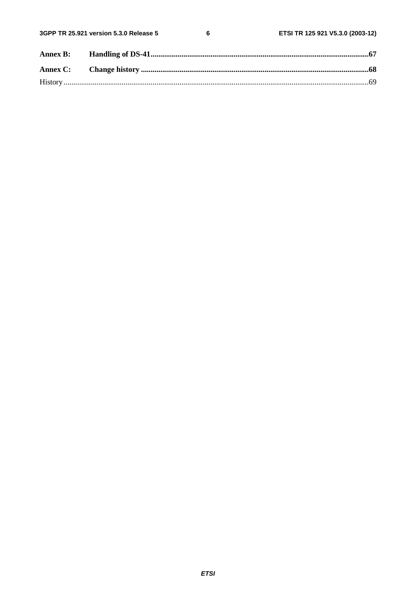| <b>Annex B:</b> |  |
|-----------------|--|
|                 |  |
|                 |  |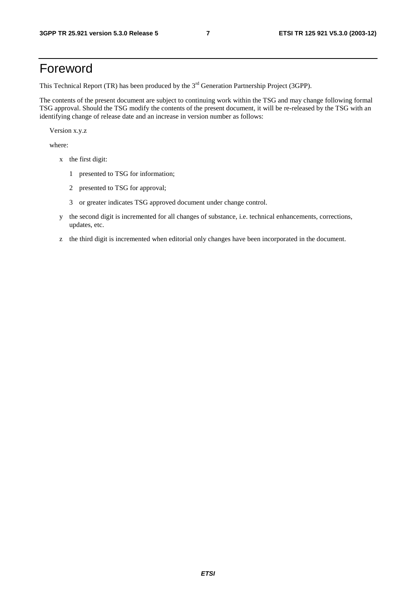## Foreword

This Technical Report (TR) has been produced by the 3<sup>rd</sup> Generation Partnership Project (3GPP).

The contents of the present document are subject to continuing work within the TSG and may change following formal TSG approval. Should the TSG modify the contents of the present document, it will be re-released by the TSG with an identifying change of release date and an increase in version number as follows:

Version x.y.z

where:

- x the first digit:
	- 1 presented to TSG for information;
	- 2 presented to TSG for approval;
	- 3 or greater indicates TSG approved document under change control.
- y the second digit is incremented for all changes of substance, i.e. technical enhancements, corrections, updates, etc.
- z the third digit is incremented when editorial only changes have been incorporated in the document.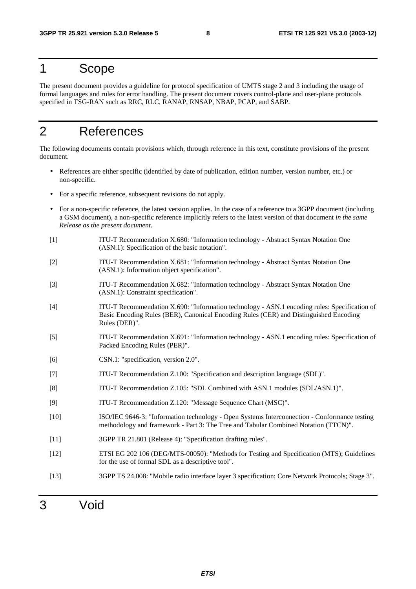## 1 Scope

The present document provides a guideline for protocol specification of UMTS stage 2 and 3 including the usage of formal languages and rules for error handling. The present document covers control-plane and user-plane protocols specified in TSG-RAN such as RRC, RLC, RANAP, RNSAP, NBAP, PCAP, and SABP.

## 2 References

The following documents contain provisions which, through reference in this text, constitute provisions of the present document.

- References are either specific (identified by date of publication, edition number, version number, etc.) or non-specific.
- For a specific reference, subsequent revisions do not apply.
- For a non-specific reference, the latest version applies. In the case of a reference to a 3GPP document (including a GSM document), a non-specific reference implicitly refers to the latest version of that document *in the same Release as the present document*.
- [1] ITU-T Recommendation X.680: "Information technology Abstract Syntax Notation One (ASN.1): Specification of the basic notation".
- [2] ITU-T Recommendation X.681: "Information technology Abstract Syntax Notation One (ASN.1): Information object specification".
- [3] ITU-T Recommendation X.682: "Information technology Abstract Syntax Notation One (ASN.1): Constraint specification".
- [4] ITU-T Recommendation X.690: "Information technology ASN.1 encoding rules: Specification of Basic Encoding Rules (BER), Canonical Encoding Rules (CER) and Distinguished Encoding Rules (DER)".
- [5] ITU-T Recommendation X.691: "Information technology ASN.1 encoding rules: Specification of Packed Encoding Rules (PER)".
- [6] CSN.1: "specification, version 2.0".
- [7] ITU-T Recommendation Z.100: "Specification and description language (SDL)".
- [8] ITU-T Recommendation Z.105: "SDL Combined with ASN.1 modules (SDL/ASN.1)".
- [9] ITU-T Recommendation Z.120: "Message Sequence Chart (MSC)".
- [10] ISO/IEC 9646-3: "Information technology Open Systems Interconnection Conformance testing methodology and framework - Part 3: The Tree and Tabular Combined Notation (TTCN)".
- [11] 3GPP TR 21.801 (Release 4): "Specification drafting rules".
- [12] ETSI EG 202 106 (DEG/MTS-00050): "Methods for Testing and Specification (MTS); Guidelines for the use of formal SDL as a descriptive tool".
- [13] 3GPP TS 24.008: "Mobile radio interface layer 3 specification; Core Network Protocols; Stage 3".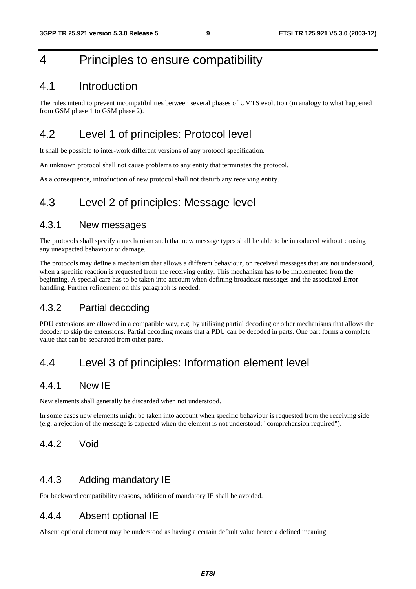## 4 Principles to ensure compatibility

## 4.1 Introduction

The rules intend to prevent incompatibilities between several phases of UMTS evolution (in analogy to what happened from GSM phase 1 to GSM phase 2).

## 4.2 Level 1 of principles: Protocol level

It shall be possible to inter-work different versions of any protocol specification.

An unknown protocol shall not cause problems to any entity that terminates the protocol.

As a consequence, introduction of new protocol shall not disturb any receiving entity.

## 4.3 Level 2 of principles: Message level

### 4.3.1 New messages

The protocols shall specify a mechanism such that new message types shall be able to be introduced without causing any unexpected behaviour or damage.

The protocols may define a mechanism that allows a different behaviour, on received messages that are not understood, when a specific reaction is requested from the receiving entity. This mechanism has to be implemented from the beginning. A special care has to be taken into account when defining broadcast messages and the associated Error handling. Further refinement on this paragraph is needed.

## 4.3.2 Partial decoding

PDU extensions are allowed in a compatible way, e.g. by utilising partial decoding or other mechanisms that allows the decoder to skip the extensions. Partial decoding means that a PDU can be decoded in parts. One part forms a complete value that can be separated from other parts.

## 4.4 Level 3 of principles: Information element level

## 4.4.1 New IE

New elements shall generally be discarded when not understood.

In some cases new elements might be taken into account when specific behaviour is requested from the receiving side (e.g. a rejection of the message is expected when the element is not understood: "comprehension required").

## 4.4.2 Void

## 4.4.3 Adding mandatory IE

For backward compatibility reasons, addition of mandatory IE shall be avoided.

### 4.4.4 Absent optional IE

Absent optional element may be understood as having a certain default value hence a defined meaning.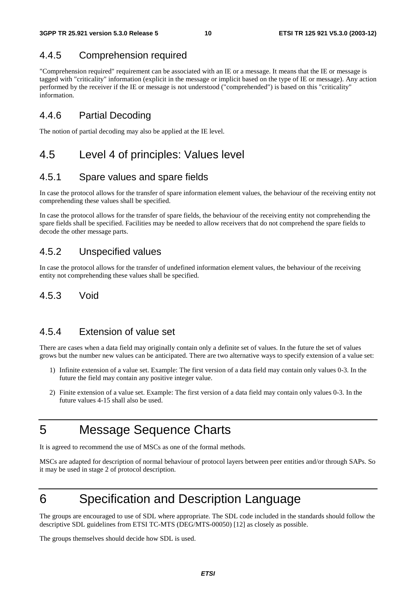## 4.4.5 Comprehension required

"Comprehension required" requirement can be associated with an IE or a message. It means that the IE or message is tagged with "criticality" information (explicit in the message or implicit based on the type of IE or message). Any action performed by the receiver if the IE or message is not understood ("comprehended") is based on this "criticality" information.

### 4.4.6 Partial Decoding

The notion of partial decoding may also be applied at the IE level.

## 4.5 Level 4 of principles: Values level

## 4.5.1 Spare values and spare fields

In case the protocol allows for the transfer of spare information element values, the behaviour of the receiving entity not comprehending these values shall be specified.

In case the protocol allows for the transfer of spare fields, the behaviour of the receiving entity not comprehending the spare fields shall be specified. Facilities may be needed to allow receivers that do not comprehend the spare fields to decode the other message parts.

### 4.5.2 Unspecified values

In case the protocol allows for the transfer of undefined information element values, the behaviour of the receiving entity not comprehending these values shall be specified.

### 4.5.3 Void

### 4.5.4 Extension of value set

There are cases when a data field may originally contain only a definite set of values. In the future the set of values grows but the number new values can be anticipated. There are two alternative ways to specify extension of a value set:

- 1) Infinite extension of a value set. Example: The first version of a data field may contain only values 0-3. In the future the field may contain any positive integer value.
- 2) Finite extension of a value set. Example: The first version of a data field may contain only values 0-3. In the future values 4-15 shall also be used.

## 5 Message Sequence Charts

It is agreed to recommend the use of MSCs as one of the formal methods.

MSCs are adapted for description of normal behaviour of protocol layers between peer entities and/or through SAPs. So it may be used in stage 2 of protocol description.

## 6 Specification and Description Language

The groups are encouraged to use of SDL where appropriate. The SDL code included in the standards should follow the descriptive SDL guidelines from ETSI TC-MTS (DEG/MTS-00050) [12] as closely as possible.

The groups themselves should decide how SDL is used.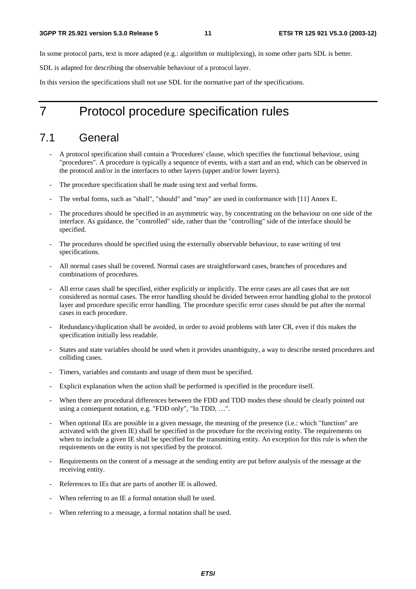In some protocol parts, text is more adapted (e.g.: algorithm or multiplexing), in some other parts SDL is better.

SDL is adapted for describing the observable behaviour of a protocol layer.

In this version the specifications shall not use SDL for the normative part of the specifications.

## 7 Protocol procedure specification rules

## 7.1 General

- A protocol specification shall contain a 'Procedures' clause, which specifies the functional behaviour, using "procedures". A procedure is typically a sequence of events, with a start and an end, which can be observed in the protocol and/or in the interfaces to other layers (upper and/or lower layers).
- The procedure specification shall be made using text and verbal forms.
- The verbal forms, such as "shall", "should" and "may" are used in conformance with [11] Annex E.
- The procedures should be specified in an asymmetric way, by concentrating on the behaviour on one side of the interface. As guidance, the "controlled" side, rather than the "controlling" side of the interface should be specified.
- The procedures should be specified using the externally observable behaviour, to ease writing of test specifications.
- All normal cases shall be covered. Normal cases are straightforward cases, branches of procedures and combinations of procedures.
- All error cases shall be specified, either explicitly or implicitly. The error cases are all cases that are not considered as normal cases. The error handling should be divided between error handling global to the protocol layer and procedure specific error handling. The procedure specific error cases should be put after the normal cases in each procedure.
- Redundancy/duplication shall be avoided, in order to avoid problems with later CR, even if this makes the specification initially less readable.
- States and state variables should be used when it provides unambiguity, a way to describe nested procedures and colliding cases.
- Timers, variables and constants and usage of them must be specified.
- Explicit explanation when the action shall be performed is specified in the procedure itself.
- When there are procedural differences between the FDD and TDD modes these should be clearly pointed out using a consequent notation, e.g. "FDD only", "In TDD, …".
- When optional IEs are possible in a given message, the meaning of the presence (i.e.: which "function" are activated with the given IE) shall be specified in the procedure for the receiving entity. The requirements on when to include a given IE shall be specified for the transmitting entity. An exception for this rule is when the requirements on the entity is not specified by the protocol.
- Requirements on the content of a message at the sending entity are put before analysis of the message at the receiving entity.
- References to IEs that are parts of another IE is allowed.
- When referring to an IE a formal notation shall be used.
- When referring to a message, a formal notation shall be used.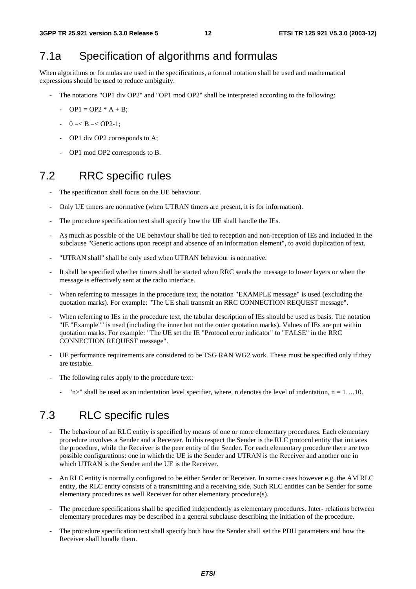## 7.1a Specification of algorithms and formulas

When algorithms or formulas are used in the specifications, a formal notation shall be used and mathematical expressions should be used to reduce ambiguity.

- The notations "OP1 div OP2" and "OP1 mod OP2" shall be interpreted according to the following:
	- $OP1 = OP2 * A + B$ ;
	- $-$  0 =  $B = <$  OP2-1;
	- OP1 div OP2 corresponds to A;
	- OP1 mod OP2 corresponds to B.

## 7.2 RRC specific rules

- The specification shall focus on the UE behaviour.
- Only UE timers are normative (when UTRAN timers are present, it is for information).
- The procedure specification text shall specify how the UE shall handle the IEs.
- As much as possible of the UE behaviour shall be tied to reception and non-reception of IEs and included in the subclause "Generic actions upon receipt and absence of an information element", to avoid duplication of text.
- "UTRAN shall" shall be only used when UTRAN behaviour is normative.
- It shall be specified whether timers shall be started when RRC sends the message to lower layers or when the message is effectively sent at the radio interface.
- When referring to messages in the procedure text, the notation "EXAMPLE message" is used (excluding the quotation marks). For example: "The UE shall transmit an RRC CONNECTION REQUEST message".
- When referring to IEs in the procedure text, the tabular description of IEs should be used as basis. The notation "IE "Example"" is used (including the inner but not the outer quotation marks). Values of IEs are put within quotation marks. For example: "The UE set the IE "Protocol error indicator" to "FALSE" in the RRC CONNECTION REQUEST message".
- UE performance requirements are considered to be TSG RAN WG2 work. These must be specified only if they are testable.
- The following rules apply to the procedure text:
	- "n>" shall be used as an indentation level specifier, where, n denotes the level of indentation,  $n = 1$ ....10.

## 7.3 RLC specific rules

- The behaviour of an RLC entity is specified by means of one or more elementary procedures. Each elementary procedure involves a Sender and a Receiver. In this respect the Sender is the RLC protocol entity that initiates the procedure, while the Receiver is the peer entity of the Sender. For each elementary procedure there are two possible configurations: one in which the UE is the Sender and UTRAN is the Receiver and another one in which UTRAN is the Sender and the UE is the Receiver.
- An RLC entity is normally configured to be either Sender or Receiver. In some cases however e.g. the AM RLC entity, the RLC entity consists of a transmitting and a receiving side. Such RLC entities can be Sender for some elementary procedures as well Receiver for other elementary procedure(s).
- The procedure specifications shall be specified independently as elementary procedures. Inter- relations between elementary procedures may be described in a general subclause describing the initiation of the procedure.
- The procedure specification text shall specify both how the Sender shall set the PDU parameters and how the Receiver shall handle them.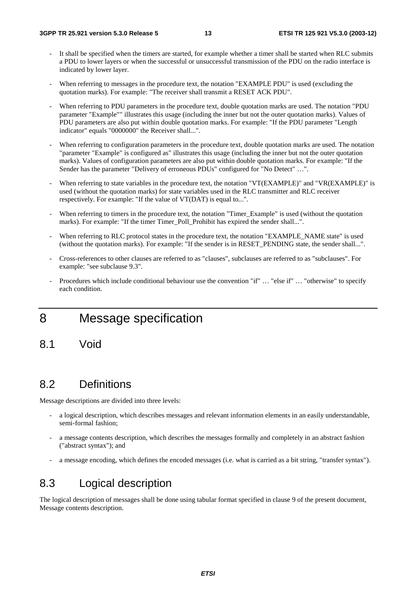- It shall be specified when the timers are started, for example whether a timer shall be started when RLC submits a PDU to lower layers or when the successful or unsuccessful transmission of the PDU on the radio interface is indicated by lower layer.
- When referring to messages in the procedure text, the notation "EXAMPLE PDU" is used (excluding the quotation marks). For example: "The receiver shall transmit a RESET ACK PDU".
- When referring to PDU parameters in the procedure text, double quotation marks are used. The notation "PDU" parameter "Example"" illustrates this usage (including the inner but not the outer quotation marks). Values of PDU parameters are also put within double quotation marks. For example: "If the PDU parameter "Length indicator" equals "0000000" the Receiver shall...".
- When referring to configuration parameters in the procedure text, double quotation marks are used. The notation "parameter "Example" is configured as" illustrates this usage (including the inner but not the outer quotation marks). Values of configuration parameters are also put within double quotation marks. For example: "If the Sender has the parameter "Delivery of erroneous PDUs" configured for "No Detect" …".
- When referring to state variables in the procedure text, the notation "VT(EXAMPLE)" and "VR(EXAMPLE)" is used (without the quotation marks) for state variables used in the RLC transmitter and RLC receiver respectively. For example: "If the value of VT(DAT) is equal to...".
- When referring to timers in the procedure text, the notation "Timer\_Example" is used (without the quotation marks). For example: "If the timer Timer Poll Prohibit has expired the sender shall...".
- When referring to RLC protocol states in the procedure text, the notation "EXAMPLE\_NAME state" is used (without the quotation marks). For example: "If the sender is in RESET\_PENDING state, the sender shall...".
- Cross-references to other clauses are referred to as "clauses", subclauses are referred to as "subclauses". For example: "see subclause 9.3".
- Procedures which include conditional behaviour use the convention "if" … "else if" … "otherwise" to specify each condition.

## 8 Message specification

8.1 Void

## 8.2 Definitions

Message descriptions are divided into three levels:

- a logical description, which describes messages and relevant information elements in an easily understandable, semi-formal fashion;
- a message contents description, which describes the messages formally and completely in an abstract fashion ("abstract syntax"); and
- a message encoding, which defines the encoded messages (i.e. what is carried as a bit string, "transfer syntax").

## 8.3 Logical description

The logical description of messages shall be done using tabular format specified in clause 9 of the present document, Message contents description.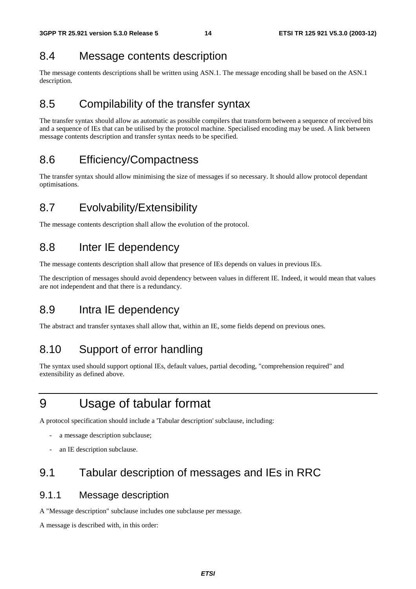## 8.4 Message contents description

The message contents descriptions shall be written using ASN.1. The message encoding shall be based on the ASN.1 description.

## 8.5 Compilability of the transfer syntax

The transfer syntax should allow as automatic as possible compilers that transform between a sequence of received bits and a sequence of IEs that can be utilised by the protocol machine. Specialised encoding may be used. A link between message contents description and transfer syntax needs to be specified.

## 8.6 Efficiency/Compactness

The transfer syntax should allow minimising the size of messages if so necessary. It should allow protocol dependant optimisations.

## 8.7 Evolvability/Extensibility

The message contents description shall allow the evolution of the protocol.

## 8.8 Inter IE dependency

The message contents description shall allow that presence of IEs depends on values in previous IEs.

The description of messages should avoid dependency between values in different IE. Indeed, it would mean that values are not independent and that there is a redundancy.

## 8.9 Intra IE dependency

The abstract and transfer syntaxes shall allow that, within an IE, some fields depend on previous ones.

## 8.10 Support of error handling

The syntax used should support optional IEs, default values, partial decoding, "comprehension required" and extensibility as defined above.

## 9 Usage of tabular format

A protocol specification should include a 'Tabular description' subclause, including:

- a message description subclause;
- an IE description subclause.

## 9.1 Tabular description of messages and IEs in RRC

## 9.1.1 Message description

A "Message description" subclause includes one subclause per message.

A message is described with, in this order: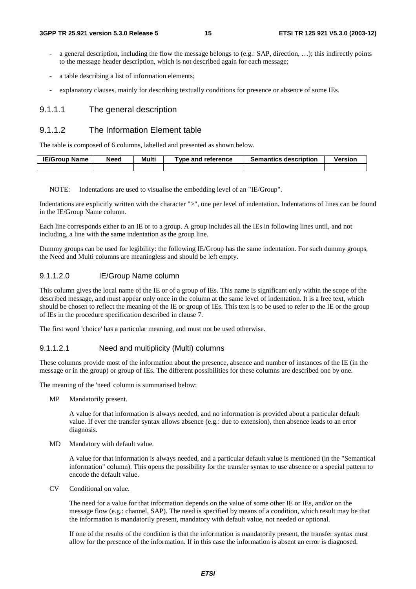- a general description, including the flow the message belongs to (e.g.: SAP, direction, ...); this indirectly points to the message header description, which is not described again for each message;
- a table describing a list of information elements;
- explanatory clauses, mainly for describing textually conditions for presence or absence of some IEs.

#### 9.1.1.1 The general description

#### 9.1.1.2 The Information Element table

The table is composed of 6 columns, labelled and presented as shown below.

| <b>IE/Group Name</b> | Need | Multi | Type and reference | <b>Semantics description</b> | Version |
|----------------------|------|-------|--------------------|------------------------------|---------|
|                      |      |       |                    |                              |         |

NOTE: Indentations are used to visualise the embedding level of an "IE/Group".

Indentations are explicitly written with the character ">", one per level of indentation. Indentations of lines can be found in the IE/Group Name column.

Each line corresponds either to an IE or to a group. A group includes all the IEs in following lines until, and not including, a line with the same indentation as the group line.

Dummy groups can be used for legibility: the following IE/Group has the same indentation. For such dummy groups, the Need and Multi columns are meaningless and should be left empty.

#### 9.1.1.2.0 IE/Group Name column

This column gives the local name of the IE or of a group of IEs. This name is significant only within the scope of the described message, and must appear only once in the column at the same level of indentation. It is a free text, which should be chosen to reflect the meaning of the IE or group of IEs. This text is to be used to refer to the IE or the group of IEs in the procedure specification described in clause 7.

The first word 'choice' has a particular meaning, and must not be used otherwise.

#### 9.1.1.2.1 Need and multiplicity (Multi) columns

These columns provide most of the information about the presence, absence and number of instances of the IE (in the message or in the group) or group of IEs. The different possibilities for these columns are described one by one.

The meaning of the 'need' column is summarised below:

MP Mandatorily present.

 A value for that information is always needed, and no information is provided about a particular default value. If ever the transfer syntax allows absence (e.g.: due to extension), then absence leads to an error diagnosis.

MD Mandatory with default value.

 A value for that information is always needed, and a particular default value is mentioned (in the "Semantical information" column). This opens the possibility for the transfer syntax to use absence or a special pattern to encode the default value.

CV Conditional on value.

 The need for a value for that information depends on the value of some other IE or IEs, and/or on the message flow (e.g.: channel, SAP). The need is specified by means of a condition, which result may be that the information is mandatorily present, mandatory with default value, not needed or optional.

 If one of the results of the condition is that the information is mandatorily present, the transfer syntax must allow for the presence of the information. If in this case the information is absent an error is diagnosed.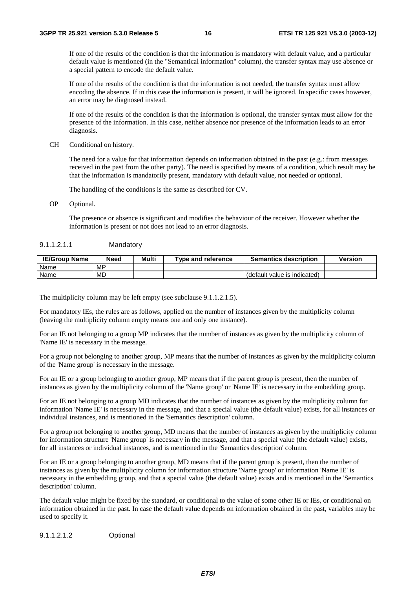If one of the results of the condition is that the information is mandatory with default value, and a particular default value is mentioned (in the "Semantical information" column), the transfer syntax may use absence or a special pattern to encode the default value.

 If one of the results of the condition is that the information is not needed, the transfer syntax must allow encoding the absence. If in this case the information is present, it will be ignored. In specific cases however, an error may be diagnosed instead.

 If one of the results of the condition is that the information is optional, the transfer syntax must allow for the presence of the information. In this case, neither absence nor presence of the information leads to an error diagnosis.

CH Conditional on history.

 The need for a value for that information depends on information obtained in the past (e.g.: from messages received in the past from the other party). The need is specified by means of a condition, which result may be that the information is mandatorily present, mandatory with default value, not needed or optional.

The handling of the conditions is the same as described for CV.

OP Optional.

 The presence or absence is significant and modifies the behaviour of the receiver. However whether the information is present or not does not lead to an error diagnosis.

#### 9.1.1.2.1.1 Mandatory

| <b>IE/Group Name</b> | Need      | Multi | Type and reference | <b>Semantics description</b> | Version |
|----------------------|-----------|-------|--------------------|------------------------------|---------|
| Name                 | <b>MP</b> |       |                    |                              |         |
| Name                 | MD        |       |                    | (default value is indicated) |         |

The multiplicity column may be left empty (see subclause 9.1.1.2.1.5).

For mandatory IEs, the rules are as follows, applied on the number of instances given by the multiplicity column (leaving the multiplicity column empty means one and only one instance).

For an IE not belonging to a group MP indicates that the number of instances as given by the multiplicity column of 'Name IE' is necessary in the message.

For a group not belonging to another group, MP means that the number of instances as given by the multiplicity column of the 'Name group' is necessary in the message.

For an IE or a group belonging to another group, MP means that if the parent group is present, then the number of instances as given by the multiplicity column of the 'Name group' or 'Name IE' is necessary in the embedding group.

For an IE not belonging to a group MD indicates that the number of instances as given by the multiplicity column for information 'Name IE' is necessary in the message, and that a special value (the default value) exists, for all instances or individual instances, and is mentioned in the 'Semantics description' column.

For a group not belonging to another group, MD means that the number of instances as given by the multiplicity column for information structure 'Name group' is necessary in the message, and that a special value (the default value) exists, for all instances or individual instances, and is mentioned in the 'Semantics description' column.

For an IE or a group belonging to another group, MD means that if the parent group is present, then the number of instances as given by the multiplicity column for information structure 'Name group' or information 'Name IE' is necessary in the embedding group, and that a special value (the default value) exists and is mentioned in the 'Semantics description' column.

The default value might be fixed by the standard, or conditional to the value of some other IE or IEs, or conditional on information obtained in the past. In case the default value depends on information obtained in the past, variables may be used to specify it.

9.1.1.2.1.2 Optional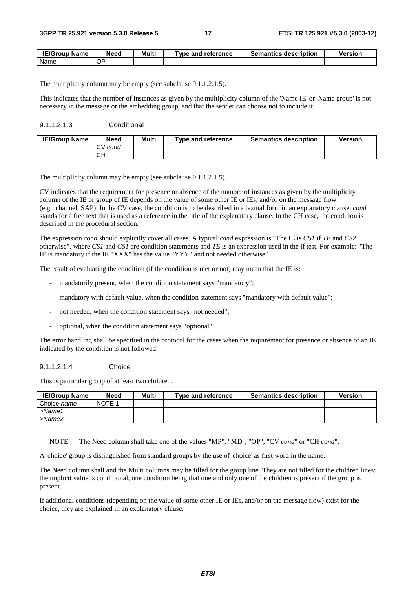| <b>IE/Group</b><br><b>Name</b> | Need | Multi | vpe and<br>∣ reference | <b>Semantics description</b> | Version |
|--------------------------------|------|-------|------------------------|------------------------------|---------|
| Name                           | ОP   |       |                        |                              |         |

The multiplicity column may be empty (see subclause 9.1.1.2.1.5).

This indicates that the number of instances as given by the multiplicity column of the 'Name IE' or 'Name group' is not necessary in the message or the embedding group, and that the sender can choose not to include it.

#### 9.1.1.2.1.3 Conditional

| <b>IE/Group Name</b> | Need              | Multi | Tvpe and reference | <b>Semantics description</b> | <b>Version</b> |
|----------------------|-------------------|-------|--------------------|------------------------------|----------------|
|                      | cond<br>$\cdot$ v |       |                    |                              |                |
|                      | CН                |       |                    |                              |                |

The multiplicity column may be empty (see subclause 9.1.1.2.1.5).

CV indicates that the requirement for presence or absence of the number of instances as given by the multiplicity column of the IE or group of IE depends on the value of some other IE or IEs, and/or on the message flow (e.g.: channel, SAP). In the CV case, the condition is to be described in a textual form in an explanatory clause. *cond* stands for a free text that is used as a reference in the title of the explanatory clause. In the CH case, the condition is described in the procedural section.

The expression *cond* should explicitly cover all cases. A typical *cond* expression is "The IE is *CS1* if *TE* and *CS2* otherwise", where *CS1* and *CS1* are condition statements and *TE* is an expression used in the if test. For example: "The IE is mandatory if the IE "XXX" has the value "YYY" and not needed otherwise".

The result of evaluating the condition (if the condition is met or not) may mean that the IE is:

- mandatorily present, when the condition statement says "mandatory";
- mandatory with default value, when the condition statement says "mandatory with default value";
- not needed, when the condition statement says "not needed";
- optional, when the condition statement says "optional".

The error handling shall be specified in the protocol for the cases when the requirement for presence or absence of an IE indicated by the condition is not followed.

#### 9.1.1.2.1.4 Choice

This is particular group of at least two children.

| <b>IE/Group Name</b> | <b>Need</b> | Multi | Type and reference | <b>Semantics description</b> | <b>Version</b> |
|----------------------|-------------|-------|--------------------|------------------------------|----------------|
| Choice name          | NOTE 1      |       |                    |                              |                |
| $>$ Name1            |             |       |                    |                              |                |
| >Name2               |             |       |                    |                              |                |

NOTE: The Need column shall take one of the values "MP", "MD", "OP", "CV *cond*" or "CH *cond*".

A 'choice' group is distinguished from standard groups by the use of 'choice' as first word in the name.

The Need column shall and the Multi columns may be filled for the group line. They are not filled for the children lines: the implicit value is conditional, one condition being that one and only one of the children is present if the group is present.

If additional conditions (depending on the value of some other IE or IEs, and/or on the message flow) exist for the choice, they are explained in an explanatory clause.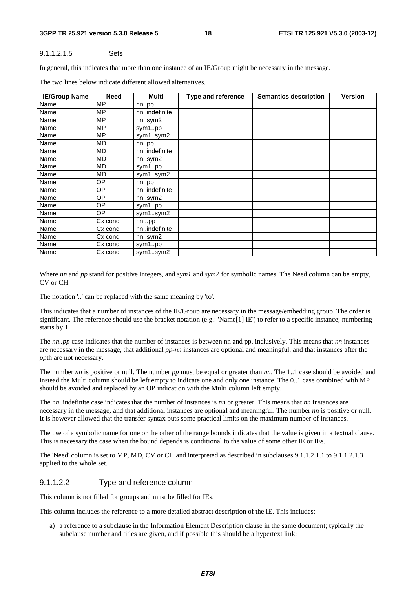#### **3GPP TR 25.921 version 5.3.0 Release 5 18 ETSI TR 125 921 V5.3.0 (2003-12)**

#### 9.1.1.2.1.5 Sets

In general, this indicates that more than one instance of an IE/Group might be necessary in the message.

| <b>IE/Group Name</b> | <b>Need</b> | Multi        | <b>Type and reference</b> | <b>Semantics description</b> | Version |  |
|----------------------|-------------|--------------|---------------------------|------------------------------|---------|--|
| Name                 | MP          | nnpp         |                           |                              |         |  |
| Name                 | <b>MP</b>   | nnindefinite |                           |                              |         |  |
| Name                 | <b>MP</b>   | nnsym2       |                           |                              |         |  |
| Name                 | <b>MP</b>   | sym1pp       |                           |                              |         |  |
| Name                 | <b>MP</b>   | sym1sym2     |                           |                              |         |  |
| Name                 | <b>MD</b>   | nnpp         |                           |                              |         |  |
| Name                 | MD          | nnindefinite |                           |                              |         |  |
| Name                 | <b>MD</b>   | nnsym2       |                           |                              |         |  |
| Name                 | MD          | sym1pp       |                           |                              |         |  |
| Name                 | <b>MD</b>   | sym1sym2     |                           |                              |         |  |
| Name                 | OP          | nnpp         |                           |                              |         |  |
| Name                 | <b>OP</b>   | nnindefinite |                           |                              |         |  |
| Name                 | OP          | nnsym2       |                           |                              |         |  |
| Name                 | OP          | sym1pp       |                           |                              |         |  |
| Name                 | OP          | sym1sym2     |                           |                              |         |  |
| Name                 | Cx cond     | $nn$ pp      |                           |                              |         |  |
| Name                 | Cx cond     | nnindefinite |                           |                              |         |  |
| Name                 | Cx cond     | nn.sym2      |                           |                              |         |  |
| Name                 | Cx cond     | sym1pp       |                           |                              |         |  |
| Name                 | Cx cond     | sym1sym2     |                           |                              |         |  |

The two lines below indicate different allowed alternatives.

Where *nn* and *pp* stand for positive integers, and *sym1* and *sym2* for symbolic names. The Need column can be empty, CV or CH.

The notation '..' can be replaced with the same meaning by 'to'.

This indicates that a number of instances of the IE/Group are necessary in the message/embedding group. The order is significant. The reference should use the bracket notation (e.g.: 'Name[1] IE') to refer to a specific instance; numbering starts by 1.

The *nn..pp* case indicates that the number of instances is between nn and pp, inclusively. This means that *nn* instances are necessary in the message, that additional *pp*-*nn* instances are optional and meaningful, and that instances after the *pp*th are not necessary.

The number *nn* is positive or null. The number *pp* must be equal or greater than *nn*. The 1..1 case should be avoided and instead the Multi column should be left empty to indicate one and only one instance. The 0..1 case combined with MP should be avoided and replaced by an OP indication with the Multi column left empty.

The *nn*..indefinite case indicates that the number of instances is *nn* or greater. This means that *nn* instances are necessary in the message, and that additional instances are optional and meaningful. The number *nn* is positive or null. It is however allowed that the transfer syntax puts some practical limits on the maximum number of instances.

The use of a symbolic name for one or the other of the range bounds indicates that the value is given in a textual clause. This is necessary the case when the bound depends is conditional to the value of some other IE or IEs.

The 'Need' column is set to MP, MD, CV or CH and interpreted as described in subclauses 9.1.1.2.1.1 to 9.1.1.2.1.3 applied to the whole set.

#### 9.1.1.2.2 Type and reference column

This column is not filled for groups and must be filled for IEs.

This column includes the reference to a more detailed abstract description of the IE. This includes:

a) a reference to a subclause in the Information Element Description clause in the same document; typically the subclause number and titles are given, and if possible this should be a hypertext link;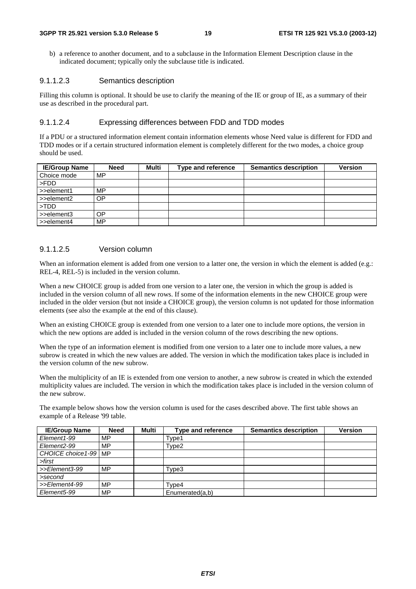b) a reference to another document, and to a subclause in the Information Element Description clause in the indicated document; typically only the subclause title is indicated.

#### 9.1.1.2.3 Semantics description

Filling this column is optional. It should be use to clarify the meaning of the IE or group of IE, as a summary of their use as described in the procedural part.

#### 9.1.1.2.4 Expressing differences between FDD and TDD modes

If a PDU or a structured information element contain information elements whose Need value is different for FDD and TDD modes or if a certain structured information element is completely different for the two modes, a choice group should be used.

| <b>IE/Group Name</b>      | Need | Multi | Type and reference | <b>Semantics description</b> | <b>Version</b> |
|---------------------------|------|-------|--------------------|------------------------------|----------------|
| Choice mode               | MP   |       |                    |                              |                |
| l >FDD                    |      |       |                    |                              |                |
| $\Rightarrow$ >>element1  | MP.  |       |                    |                              |                |
| $\Rightarrow$ >>element2  | OΡ   |       |                    |                              |                |
| $\blacktriangleright$ TDD |      |       |                    |                              |                |
| $\Rightarrow$ >>element3  | OΡ   |       |                    |                              |                |
| $\Rightarrow$ >>element4  | MP   |       |                    |                              |                |

#### 9.1.1.2.5 Version column

When an information element is added from one version to a latter one, the version in which the element is added (e.g.: REL-4, REL-5) is included in the version column.

When a new CHOICE group is added from one version to a later one, the version in which the group is added is included in the version column of all new rows. If some of the information elements in the new CHOICE group were included in the older version (but not inside a CHOICE group), the version column is not updated for those information elements (see also the example at the end of this clause).

When an existing CHOICE group is extended from one version to a later one to include more options, the version in which the new options are added is included in the version column of the rows describing the new options.

When the type of an information element is modified from one version to a later one to include more values, a new subrow is created in which the new values are added. The version in which the modification takes place is included in the version column of the new subrow.

When the multiplicity of an IE is extended from one version to another, a new subrow is created in which the extended multiplicity values are included. The version in which the modification takes place is included in the version column of the new subrow.

The example below shows how the version column is used for the cases described above. The first table shows an example of a Release '99 table.

| <b>IE/Group Name</b>     | <b>Need</b> | Multi | <b>Type and reference</b> | <b>Semantics description</b> | <b>Version</b> |
|--------------------------|-------------|-------|---------------------------|------------------------------|----------------|
| Element1-99              | MP          |       | Type1                     |                              |                |
| Element2-99              | MP          |       | Type2                     |                              |                |
| CHOICE choice 1-99   MP  |             |       |                           |                              |                |
| >first                   |             |       |                           |                              |                |
| >>Element3-99            | <b>MP</b>   |       | Type3                     |                              |                |
| >second                  |             |       |                           |                              |                |
| >>Element4-99            | MP          |       | Type4                     |                              |                |
| Element <sub>5</sub> -99 | MP          |       | Enumerated(a,b)           |                              |                |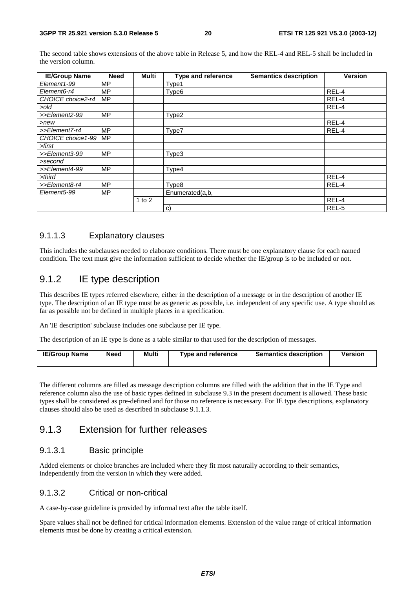The second table shows extensions of the above table in Release 5, and how the REL-4 and REL-5 shall be included in the version column.

| <b>IE/Group Name</b> | <b>Need</b> | Multi      | Type and reference | <b>Semantics description</b> | <b>Version</b> |
|----------------------|-------------|------------|--------------------|------------------------------|----------------|
| Element1-99          | MP          |            | Type1              |                              |                |
| Element6-r4          | MP          |            | Type <sub>6</sub>  |                              | REL-4          |
| CHOICE choice2-r4    | <b>MP</b>   |            |                    |                              | REL-4          |
| >old                 |             |            |                    |                              | REL-4          |
| >>Element2-99        | <b>MP</b>   |            | Type2              |                              |                |
| $>$ new              |             |            |                    |                              | REL-4          |
| >>Element7-r4        | <b>MP</b>   |            | Type7              |                              | REL-4          |
| CHOICE choice1-99    | <b>MP</b>   |            |                    |                              |                |
| >first               |             |            |                    |                              |                |
| >>Element3-99        | <b>MP</b>   |            | Type3              |                              |                |
| >second              |             |            |                    |                              |                |
| >>Element4-99        | MP          |            | Type4              |                              |                |
| $>$ third            |             |            |                    |                              | REL-4          |
| >>Element8-r4        | <b>MP</b>   |            | Type8              |                              | REL-4          |
| Element5-99          | <b>MP</b>   |            | Enumerated(a,b,    |                              |                |
|                      |             | $1$ to $2$ |                    |                              | REL-4          |
|                      |             |            | C)                 |                              | REL-5          |

#### 9.1.1.3 Explanatory clauses

This includes the subclauses needed to elaborate conditions. There must be one explanatory clause for each named condition. The text must give the information sufficient to decide whether the IE/group is to be included or not.

### 9.1.2 IE type description

This describes IE types referred elsewhere, either in the description of a message or in the description of another IE type. The description of an IE type must be as generic as possible, i.e. independent of any specific use. A type should as far as possible not be defined in multiple places in a specification.

An 'IE description' subclause includes one subclause per IE type.

The description of an IE type is done as a table similar to that used for the description of messages.

| <b>IE/Group Name</b> | Need | Multi | $\tau$ vpe and reference | <b>Semantics description</b> | Version |
|----------------------|------|-------|--------------------------|------------------------------|---------|
|                      |      |       |                          |                              |         |

The different columns are filled as message description columns are filled with the addition that in the IE Type and reference column also the use of basic types defined in subclause 9.3 in the present document is allowed. These basic types shall be considered as pre-defined and for those no reference is necessary. For IE type descriptions, explanatory clauses should also be used as described in subclause 9.1.1.3.

### 9.1.3 Extension for further releases

#### 9.1.3.1 Basic principle

Added elements or choice branches are included where they fit most naturally according to their semantics, independently from the version in which they were added.

#### 9.1.3.2 Critical or non-critical

A case-by-case guideline is provided by informal text after the table itself.

Spare values shall not be defined for critical information elements. Extension of the value range of critical information elements must be done by creating a critical extension.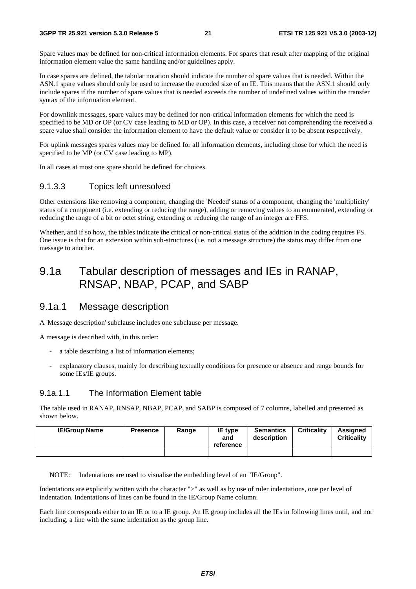#### **3GPP TR 25.921 version 5.3.0 Release 5 21 ETSI TR 125 921 V5.3.0 (2003-12)**

Spare values may be defined for non-critical information elements. For spares that result after mapping of the original information element value the same handling and/or guidelines apply.

In case spares are defined, the tabular notation should indicate the number of spare values that is needed. Within the ASN.1 spare values should only be used to increase the encoded size of an IE. This means that the ASN.1 should only include spares if the number of spare values that is needed exceeds the number of undefined values within the transfer syntax of the information element.

For downlink messages, spare values may be defined for non-critical information elements for which the need is specified to be MD or OP (or CV case leading to MD or OP). In this case, a receiver not comprehending the received a spare value shall consider the information element to have the default value or consider it to be absent respectively.

For uplink messages spares values may be defined for all information elements, including those for which the need is specified to be MP (or CV case leading to MP).

In all cases at most one spare should be defined for choices.

#### 9.1.3.3 Topics left unresolved

Other extensions like removing a component, changing the 'Needed' status of a component, changing the 'multiplicity' status of a component (i.e. extending or reducing the range), adding or removing values to an enumerated, extending or reducing the range of a bit or octet string, extending or reducing the range of an integer are FFS.

Whether, and if so how, the tables indicate the critical or non-critical status of the addition in the coding requires FS. One issue is that for an extension within sub-structures (i.e. not a message structure) the status may differ from one message to another.

## 9.1a Tabular description of messages and IEs in RANAP, RNSAP, NBAP, PCAP, and SABP

### 9.1a.1 Message description

A 'Message description' subclause includes one subclause per message.

A message is described with, in this order:

- a table describing a list of information elements;
- explanatory clauses, mainly for describing textually conditions for presence or absence and range bounds for some IEs/IE groups.

#### 9.1a.1.1 The Information Element table

The table used in RANAP, RNSAP, NBAP, PCAP, and SABP is composed of 7 columns, labelled and presented as shown below.

| <b>IE/Group Name</b> | <b>Presence</b> | Range | <b>IE</b> type<br>and<br>reference | <b>Semantics</b><br>description | <b>Criticality</b> | <b>Assigned</b><br><b>Criticality</b> |
|----------------------|-----------------|-------|------------------------------------|---------------------------------|--------------------|---------------------------------------|
|                      |                 |       |                                    |                                 |                    |                                       |

NOTE: Indentations are used to visualise the embedding level of an "IE/Group".

Indentations are explicitly written with the character ">" as well as by use of ruler indentations, one per level of indentation. Indentations of lines can be found in the IE/Group Name column.

Each line corresponds either to an IE or to a IE group. An IE group includes all the IEs in following lines until, and not including, a line with the same indentation as the group line.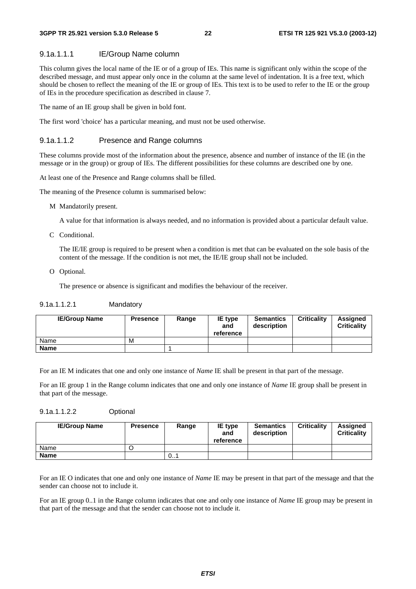#### 9.1a.1.1.1 IE/Group Name column

This column gives the local name of the IE or of a group of IEs. This name is significant only within the scope of the described message, and must appear only once in the column at the same level of indentation. It is a free text, which should be chosen to reflect the meaning of the IE or group of IEs. This text is to be used to refer to the IE or the group of IEs in the procedure specification as described in clause 7.

The name of an IE group shall be given in bold font.

The first word 'choice' has a particular meaning, and must not be used otherwise.

#### 9.1a.1.1.2 Presence and Range columns

These columns provide most of the information about the presence, absence and number of instance of the IE (in the message or in the group) or group of IEs. The different possibilities for these columns are described one by one.

At least one of the Presence and Range columns shall be filled.

The meaning of the Presence column is summarised below:

M Mandatorily present.

A value for that information is always needed, and no information is provided about a particular default value.

C Conditional.

 The IE/IE group is required to be present when a condition is met that can be evaluated on the sole basis of the content of the message. If the condition is not met, the IE/IE group shall not be included.

O Optional.

The presence or absence is significant and modifies the behaviour of the receiver.

#### 9.1a.1.1.2.1 Mandatory

| <b>IE/Group Name</b> | <b>Presence</b> | Range | IE type<br>and<br>reference | <b>Semantics</b><br>description | <b>Criticality</b> | Assigned<br><b>Criticality</b> |
|----------------------|-----------------|-------|-----------------------------|---------------------------------|--------------------|--------------------------------|
| Name                 | M               |       |                             |                                 |                    |                                |
| <b>Name</b>          |                 |       |                             |                                 |                    |                                |

For an IE M indicates that one and only one instance of *Name* IE shall be present in that part of the message.

For an IE group 1 in the Range column indicates that one and only one instance of *Name* IE group shall be present in that part of the message.

#### 9.1a.1.1.2.2 Optional

| <b>IE/Group Name</b> | <b>Presence</b> | Range | <b>IE</b> type<br>and<br>reference | <b>Semantics</b><br>description | <b>Criticality</b> | <b>Assigned</b><br><b>Criticality</b> |
|----------------------|-----------------|-------|------------------------------------|---------------------------------|--------------------|---------------------------------------|
| Name                 |                 |       |                                    |                                 |                    |                                       |
| <b>Name</b>          |                 | 0     |                                    |                                 |                    |                                       |

For an IE O indicates that one and only one instance of *Name* IE may be present in that part of the message and that the sender can choose not to include it.

For an IE group 0..1 in the Range column indicates that one and only one instance of *Name* IE group may be present in that part of the message and that the sender can choose not to include it.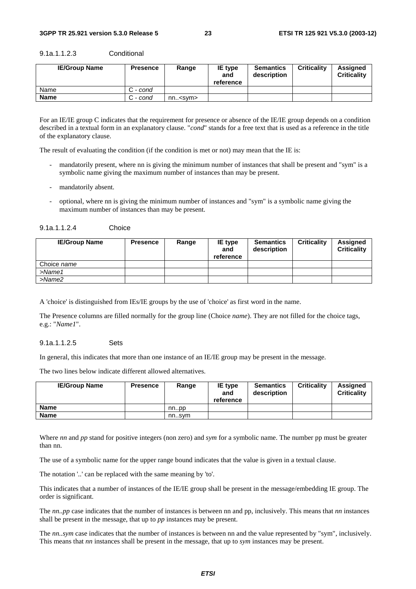| <b>IE/Group Name</b> | <b>Presence</b> | Range               | IE type<br>and<br>reference | <b>Semantics</b><br>description | <b>Criticality</b> | Assigned<br><b>Criticality</b> |
|----------------------|-----------------|---------------------|-----------------------------|---------------------------------|--------------------|--------------------------------|
| Name                 | C - cond        |                     |                             |                                 |                    |                                |
| <b>Name</b>          | C - cond        | nn. <sub>ssym</sub> |                             |                                 |                    |                                |

9.1a.1.1.2.3 Conditional

For an IE/IE group C indicates that the requirement for presence or absence of the IE/IE group depends on a condition described in a textual form in an explanatory clause. "*cond*" stands for a free text that is used as a reference in the title of the explanatory clause.

The result of evaluating the condition (if the condition is met or not) may mean that the IE is:

- mandatorily present, where nn is giving the minimum number of instances that shall be present and "sym" is a symbolic name giving the maximum number of instances than may be present.
- mandatorily absent.
- optional, where nn is giving the minimum number of instances and "sym" is a symbolic name giving the maximum number of instances than may be present.

| 9.1a.1.1.2.4 | Choice |
|--------------|--------|
|--------------|--------|

| <b>IE/Group Name</b> | <b>Presence</b> | Range | <b>IE</b> type<br>and<br>reference | <b>Semantics</b><br>description | <b>Criticality</b> | <b>Assigned</b><br><b>Criticality</b> |
|----------------------|-----------------|-------|------------------------------------|---------------------------------|--------------------|---------------------------------------|
| Choice name          |                 |       |                                    |                                 |                    |                                       |
| $>$ Name1            |                 |       |                                    |                                 |                    |                                       |
| $>$ Name $2$         |                 |       |                                    |                                 |                    |                                       |

A 'choice' is distinguished from IEs/IE groups by the use of 'choice' as first word in the name.

The Presence columns are filled normally for the group line (Choice *name*). They are not filled for the choice tags, e.g.: "*Name1*".

#### 9.1a.1.1.2.5 Sets

In general, this indicates that more than one instance of an IE/IE group may be present in the message.

The two lines below indicate different allowed alternatives.

| <b>IE/Group Name</b> | <b>Presence</b> | Range | <b>IE</b> type<br>and<br>reference | <b>Semantics</b><br>description | <b>Criticality</b> | <b>Assigned</b><br><b>Criticality</b> |
|----------------------|-----------------|-------|------------------------------------|---------------------------------|--------------------|---------------------------------------|
| Name                 |                 | nnpp  |                                    |                                 |                    |                                       |
| Name                 |                 | nnsvm |                                    |                                 |                    |                                       |

Where *nn* and *pp* stand for positive integers (non zero) and *sym* for a symbolic name. The number pp must be greater than nn.

The use of a symbolic name for the upper range bound indicates that the value is given in a textual clause.

The notation '..' can be replaced with the same meaning by 'to'.

This indicates that a number of instances of the IE/IE group shall be present in the message/embedding IE group. The order is significant.

The *nn..pp* case indicates that the number of instances is between nn and pp, inclusively. This means that *nn* instances shall be present in the message, that up to *pp* instances may be present.

The *nn..sym* case indicates that the number of instances is between nn and the value represented by "sym", inclusively. This means that *nn* instances shall be present in the message, that up to *sym* instances may be present.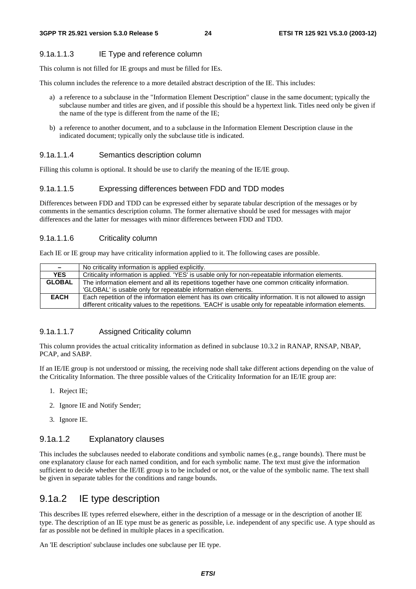#### 9.1a.1.1.3 IE Type and reference column

This column is not filled for IE groups and must be filled for IEs.

This column includes the reference to a more detailed abstract description of the IE. This includes:

- a) a reference to a subclause in the "Information Element Description" clause in the same document; typically the subclause number and titles are given, and if possible this should be a hypertext link. Titles need only be given if the name of the type is different from the name of the IE;
- b) a reference to another document, and to a subclause in the Information Element Description clause in the indicated document; typically only the subclause title is indicated.

#### 9.1a.1.1.4 Semantics description column

Filling this column is optional. It should be use to clarify the meaning of the IE/IE group.

#### 9.1a.1.1.5 Expressing differences between FDD and TDD modes

Differences between FDD and TDD can be expressed either by separate tabular description of the messages or by comments in the semantics description column. The former alternative should be used for messages with major differences and the latter for messages with minor differences between FDD and TDD.

#### 9.1a.1.1.6 Criticality column

Each IE or IE group may have criticality information applied to it. The following cases are possible.

| $\sim$        | No criticality information is applied explicitly.                                                           |
|---------------|-------------------------------------------------------------------------------------------------------------|
| <b>YES</b>    | Criticality information is applied. 'YES' is usable only for non-repeatable information elements.           |
| <b>GLOBAL</b> | The information element and all its repetitions together have one common criticality information.           |
|               | 'GLOBAL' is usable only for repeatable information elements.                                                |
| <b>EACH</b>   | Each repetition of the information element has its own criticality information. It is not allowed to assign |
|               | different criticality values to the repetitions. 'EACH' is usable only for repeatable information elements. |

#### 9.1a.1.1.7 Assigned Criticality column

This column provides the actual criticality information as defined in subclause 10.3.2 in RANAP, RNSAP, NBAP, PCAP, and SABP.

If an IE/IE group is not understood or missing, the receiving node shall take different actions depending on the value of the Criticality Information. The three possible values of the Criticality Information for an IE/IE group are:

- 1. Reject IE;
- 2. Ignore IE and Notify Sender;
- 3. Ignore IE.

#### 9.1a.1.2 Explanatory clauses

This includes the subclauses needed to elaborate conditions and symbolic names (e.g., range bounds). There must be one explanatory clause for each named condition, and for each symbolic name. The text must give the information sufficient to decide whether the IE/IE group is to be included or not, or the value of the symbolic name. The text shall be given in separate tables for the conditions and range bounds.

### 9.1a.2 IE type description

This describes IE types referred elsewhere, either in the description of a message or in the description of another IE type. The description of an IE type must be as generic as possible, i.e. independent of any specific use. A type should as far as possible not be defined in multiple places in a specification.

An 'IE description' subclause includes one subclause per IE type.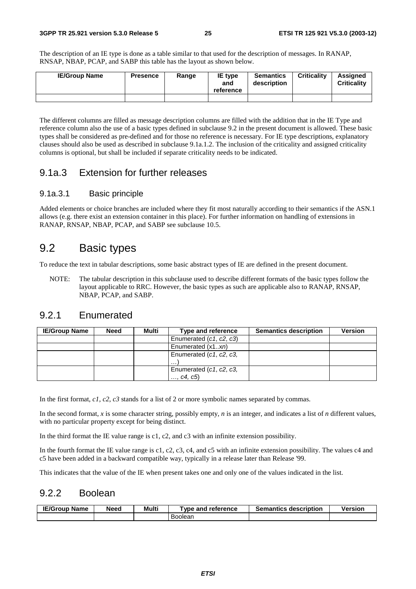The description of an IE type is done as a table similar to that used for the description of messages. In RANAP, RNSAP, NBAP, PCAP, and SABP this table has the layout as shown below.

| <b>IE/Group Name</b> | <b>Presence</b> | Range | <b>IE</b> type<br>and<br>reference | <b>Semantics</b><br>description | <b>Criticality</b> | <b>Assigned</b><br><b>Criticality</b> |
|----------------------|-----------------|-------|------------------------------------|---------------------------------|--------------------|---------------------------------------|
|                      |                 |       |                                    |                                 |                    |                                       |

The different columns are filled as message description columns are filled with the addition that in the IE Type and reference column also the use of a basic types defined in subclause 9.2 in the present document is allowed. These basic types shall be considered as pre-defined and for those no reference is necessary. For IE type descriptions, explanatory clauses should also be used as described in subclause 9.1a.1.2. The inclusion of the criticality and assigned criticality columns is optional, but shall be included if separate criticality needs to be indicated.

### 9.1a.3 Extension for further releases

#### 9.1a.3.1 Basic principle

Added elements or choice branches are included where they fit most naturally according to their semantics if the ASN.1 allows (e.g. there exist an extension container in this place). For further information on handling of extensions in RANAP, RNSAP, NBAP, PCAP, and SABP see subclause 10.5.

## 9.2 Basic types

To reduce the text in tabular descriptions, some basic abstract types of IE are defined in the present document.

NOTE: The tabular description in this subclause used to describe different formats of the basic types follow the layout applicable to RRC. However, the basic types as such are applicable also to RANAP, RNSAP, NBAP, PCAP, and SABP.

## 9.2.1 Enumerated

| <b>IE/Group Name</b> | <b>Need</b> | Multi | Type and reference      | <b>Semantics description</b> | <b>Version</b> |
|----------------------|-------------|-------|-------------------------|------------------------------|----------------|
|                      |             |       | Enumerated (c1, c2, c3) |                              |                |
|                      |             |       | Enumerated (x1xn)       |                              |                |
|                      |             |       | Enumerated (c1, c2, c3, |                              |                |
|                      |             |       | $\cdots$                |                              |                |
|                      |             |       | Enumerated (c1, c2, c3, |                              |                |
|                      |             |       | , c4, c5)               |                              |                |

In the first format, *c1*, *c2*, *c3* stands for a list of 2 or more symbolic names separated by commas.

In the second format, *x* is some character string, possibly empty, *n* is an integer, and indicates a list of *n* different values, with no particular property except for being distinct.

In the third format the IE value range is c1, c2, and c3 with an infinite extension possibility.

In the fourth format the IE value range is c1, c2, c3, c4, and c5 with an infinite extension possibility. The values c4 and c5 have been added in a backward compatible way, typically in a release later than Release '99.

This indicates that the value of the IE when present takes one and only one of the values indicated in the list.

### 9.2.2 Boolean

| <b>IE/Group Name</b> | Need | Multi | <b>Tvpe and reference</b> | <b>Semantics description</b> | <b>Version</b> |
|----------------------|------|-------|---------------------------|------------------------------|----------------|
|                      |      |       | Boolean                   |                              |                |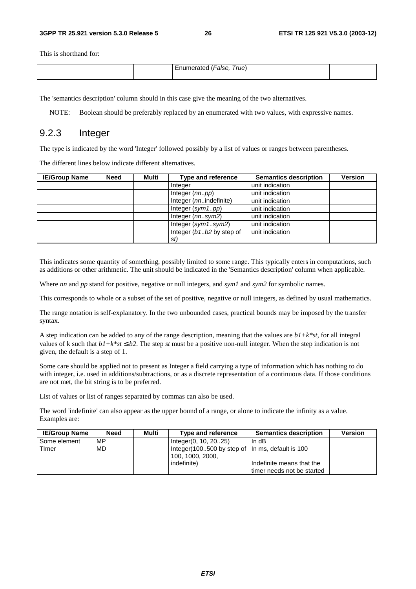This is shorthand for:

|  | –<br>rue. |  |
|--|-----------|--|
|  |           |  |

The 'semantics description' column should in this case give the meaning of the two alternatives.

NOTE: Boolean should be preferably replaced by an enumerated with two values, with expressive names.

### 9.2.3 Integer

The type is indicated by the word 'Integer' followed possibly by a list of values or ranges between parentheses.

The different lines below indicate different alternatives.

| <b>IE/Group Name</b> | <b>Need</b> | Multi | <b>Type and reference</b> | <b>Semantics description</b> | <b>Version</b> |
|----------------------|-------------|-------|---------------------------|------------------------------|----------------|
|                      |             |       | Integer                   | unit indication              |                |
|                      |             |       | Integer (nnpp)            | unit indication              |                |
|                      |             |       | Integer (nnindefinite)    | unit indication              |                |
|                      |             |       | Integer $(sym1pp)$        | unit indication              |                |
|                      |             |       | Integer $(nn.sym2)$       | unit indication              |                |
|                      |             |       | Integer $(sym1sym2)$      | unit indication              |                |
|                      |             |       | Integer (b1b2 by step of  | unit indication              |                |
|                      |             |       | st)                       |                              |                |

This indicates some quantity of something, possibly limited to some range. This typically enters in computations, such as additions or other arithmetic. The unit should be indicated in the 'Semantics description' column when applicable.

Where *nn* and *pp* stand for positive, negative or null integers, and *sym1* and *sym2* for symbolic names.

This corresponds to whole or a subset of the set of positive, negative or null integers, as defined by usual mathematics.

The range notation is self-explanatory. In the two unbounded cases, practical bounds may be imposed by the transfer syntax.

A step indication can be added to any of the range description, meaning that the values are *b1+k\*st*, for all integral values of k such that  $b1+k*st \le b2$ . The step *st* must be a positive non-null integer. When the step indication is not given, the default is a step of 1.

Some care should be applied not to present as Integer a field carrying a type of information which has nothing to do with integer, i.e. used in additions/subtractions, or as a discrete representation of a continuous data. If those conditions are not met, the bit string is to be preferred.

List of values or list of ranges separated by commas can also be used.

The word 'indefinite' can also appear as the upper bound of a range, or alone to indicate the infinity as a value. Examples are:

| <b>IE/Group Name</b> | <b>Need</b> | Multi | Type and reference                                                     | <b>Semantics description</b> | <b>Version</b> |
|----------------------|-------------|-------|------------------------------------------------------------------------|------------------------------|----------------|
| l Some element       | MP          |       | Integer(0, 10, 2025)                                                   | In $dB$                      |                |
| Timer                | MD.         |       | Integer (100500 by step of   In ms, default is 100<br>100, 1000, 2000, |                              |                |
|                      |             |       | indefinite)                                                            | Indefinite means that the    |                |
|                      |             |       |                                                                        | timer needs not be started   |                |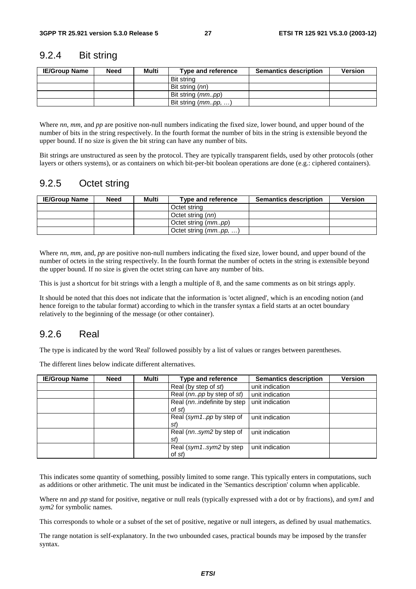### 9.2.4 Bit string

| <b>IE/Group Name</b> | <b>Need</b> | Multi | Type and reference  | <b>Semantics description</b> | <b>Version</b> |
|----------------------|-------------|-------|---------------------|------------------------------|----------------|
|                      |             |       | Bit string          |                              |                |
|                      |             |       | Bit string (nn)     |                              |                |
|                      |             |       | Bit string (mmpp)   |                              |                |
|                      |             |       | Bit string (mmpp, ) |                              |                |

Where *nn*, *mm*, and *pp* are positive non-null numbers indicating the fixed size, lower bound, and upper bound of the number of bits in the string respectively. In the fourth format the number of bits in the string is extensible beyond the upper bound. If no size is given the bit string can have any number of bits.

Bit strings are unstructured as seen by the protocol. They are typically transparent fields, used by other protocols (other layers or others systems), or as containers on which bit-per-bit boolean operations are done (e.g.: ciphered containers).

## 9.2.5 Octet string

| <b>IE/Group Name</b> | Need | Multi | Type and reference           | <b>Semantics description</b> | <b>Version</b> |
|----------------------|------|-------|------------------------------|------------------------------|----------------|
|                      |      |       | Octet string                 |                              |                |
|                      |      |       | Octet string (nn)            |                              |                |
|                      |      |       | Octet string ( <i>mmpp</i> ) |                              |                |
|                      |      |       | Octet string $(mm. pp, )$    |                              |                |

Where *nn*, *mm*, and, *pp* are positive non-null numbers indicating the fixed size, lower bound, and upper bound of the number of octets in the string respectively. In the fourth format the number of octets in the string is extensible beyond the upper bound. If no size is given the octet string can have any number of bits.

This is just a shortcut for bit strings with a length a multiple of 8, and the same comments as on bit strings apply.

It should be noted that this does not indicate that the information is 'octet aligned', which is an encoding notion (and hence foreign to the tabular format) according to which in the transfer syntax a field starts at an octet boundary relatively to the beginning of the message (or other container).

## 9.2.6 Real

The type is indicated by the word 'Real' followed possibly by a list of values or ranges between parentheses.

The different lines below indicate different alternatives.

| <b>IE/Group Name</b> | <b>Need</b> | Multi | <b>Type and reference</b>            | <b>Semantics description</b> | <b>Version</b> |
|----------------------|-------------|-------|--------------------------------------|------------------------------|----------------|
|                      |             |       | Real (by step of st)                 | unit indication              |                |
|                      |             |       | Real (nnpp by step of st)            | unit indication              |                |
|                      |             |       | Real (nnindefinite by step<br>of st) | unit indication              |                |
|                      |             |       | Real (sym1pp by step of<br>st)       | unit indication              |                |
|                      |             |       | Real (nnsym2 by step of<br>st)       | unit indication              |                |
|                      |             |       | Real (sym1sym2 by step<br>of st      | unit indication              |                |

This indicates some quantity of something, possibly limited to some range. This typically enters in computations, such as additions or other arithmetic. The unit must be indicated in the 'Semantics description' column when applicable.

Where *nn* and *pp* stand for positive, negative or null reals (typically expressed with a dot or by fractions), and *sym1* and *sym2* for symbolic names.

This corresponds to whole or a subset of the set of positive, negative or null integers, as defined by usual mathematics.

The range notation is self-explanatory. In the two unbounded cases, practical bounds may be imposed by the transfer syntax.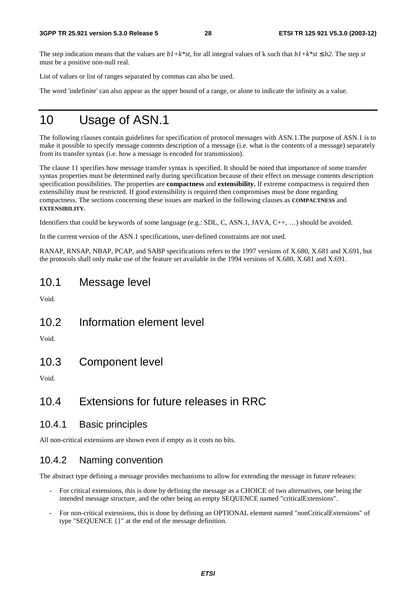The step indication means that the values are  $b1+k*st$ , for all integral values of k such that  $b1+k*st \leq b2$ . The step *st* must be a positive non-null real.

List of values or list of ranges separated by commas can also be used.

The word 'indefinite' can also appear as the upper bound of a range, or alone to indicate the infinity as a value.

## 10 Usage of ASN.1

The following clauses contain guidelines for specification of protocol messages with ASN.1.The purpose of ASN.1 is to make it possible to specify message contents description of a message (i.e. what is the contents of a message) separately from its transfer syntax (i.e. how a message is encoded for transmission).

The clause 11 specifies how message transfer syntax is specified. It should be noted that importance of some transfer syntax properties must be determined early during specification because of their effect on message contents description specification possibilities. The properties are **compactness** and **extensibility.** If extreme compactness is required then extensibility must be restricted. If good extensibility is required then compromises must be done regarding compactness. The sections concerning these issues are marked in the following clauses as **COMPACTNESS** and **EXTENSIBILITY**.

Identifiers that could be keywords of some language (e.g.: SDL, C, ASN.1, JAVA, C++, …) should be avoided.

In the current version of the ASN.1 specifications, user-defined constraints are not used.

RANAP, RNSAP, NBAP, PCAP, and SABP specifications refers to the 1997 versions of X.680, X.681 and X.691, but the protocols shall only make use of the feature set available in the 1994 versions of X.680, X.681 and X.691.

## 10.1 Message level

Void.

10.2 Information element level

Void.

10.3 Component level

Void.

## 10.4 Extensions for future releases in RRC

### 10.4.1 Basic principles

All non-critical extensions are shown even if empty as it costs no bits.

## 10.4.2 Naming convention

The abstract type defining a message provides mechanisms to allow for extending the message in future releases:

- For critical extensions, this is done by defining the message as a CHOICE of two alternatives, one being the intended message structure, and the other being an empty SEQUENCE named "criticalExtensions".
- For non-critical extensions, this is done by defining an OPTIONAL element named "nonCriticalExtensions" of type "SEQUENCE {}" at the end of the message definition.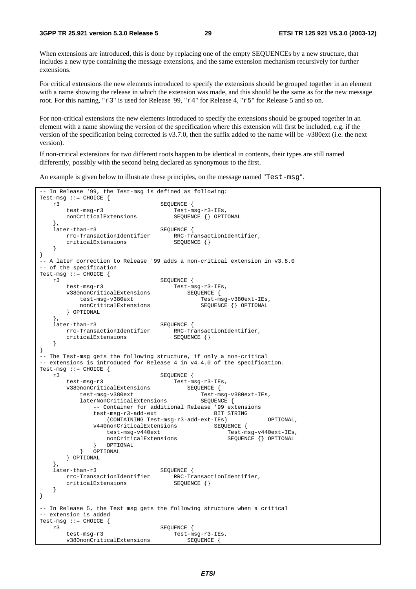When extensions are introduced, this is done by replacing one of the empty SEQUENCEs by a new structure, that includes a new type containing the message extensions, and the same extension mechanism recursively for further extensions.

For critical extensions the new elements introduced to specify the extensions should be grouped together in an element with a name showing the release in which the extension was made, and this should be the same as for the new message root. For this naming, "r3" is used for Release '99, "r4" for Release 4, "r5" for Release 5 and so on.

For non-critical extensions the new elements introduced to specify the extensions should be grouped together in an element with a name showing the version of the specification where this extension will first be included, e.g. if the version of the specification being corrected is v3.7.0, then the suffix added to the name will be -v380ext (i.e. the next version).

If non-critical extensions for two different roots happen to be identical in contents, their types are still named differently, possibly with the second being declared as synonymous to the first.

An example is given below to illustrate these principles, on the message named "Test-msg".

```
-- In Release '99, the Test-msg is defined as following: 
Test-msg ::= CHOICE {
                                SEQUENCE {
        test-msg-r3 Test-msg-r3-IEs, 
        nonCriticalExtensions SEQUENCE {} OPTIONAL 
 }, 
   later-than-r3 SEQUENCE {<br>rrc-TransactionIdentifier RRC-Tr
                               RRC-TransactionIdentifier,
       criticalExtensions SEQUENCE {}
    } 
} 
-- A later correction to Release '99 adds a non-critical extension in v3.8.0 
-- of the specification 
Test-msg ::= CHOICE { 
   r3<br>test-msg-r3<br>Test-msg-r3<br>Test-ms
                                 test-msg-r3 Test-msg-r3-IEs, 
        v380nonCriticalExtensions SEQUENCE { 
          test-msg-v380ext Test-msg-v380ext-IEs,
          nonCriticalExtensions SEQUENCE {} OPTIONAL
        } OPTIONAL 
   },<br>later-than-r3
                               SEQUENCE {
        rrc-TransactionIdentifier RRC-TransactionIdentifier, 
       criticalExtensions SEQUENCE {}
    } 
} 
-- The Test-msg gets the following structure, if only a non-critical 
-- extensions is introduced for Release 4 in v4.4.0 of the specification. 
Test-msg ::= CHOICE { 
   r3<br>
test-msg-r3<br>
v<sup>280</sup>ronOritics1Filmeters Rest-msg-r3-IEs,
 test-msg-r3 Test-msg-r3-IEs, 
v380nonCriticalExtensions  SEQUENCE {
test-msg-v380ext Test-msg-v380ext-IEs,
laterNonCriticalExtensions   SEQUENCE {
 -- Container for additional Release '99 extensions 
              test-msg-r3-add-ext BIT STRING
                   (CONTAINING Test-msg-r3-add-ext-IEs) OPTIONAL, 
              v440nonCriticalExtensions SEQUENCE {
                   test-msg-v440ext Test-msg-v440ext-IEs, 
                  nonCriticalExtensions SEQUENCE { } OPTIONAL
           } OPTIONAL<br>} OPTIONAL
              OPTIONAL
        } OPTIONAL 
    }, 
   later-than-r3 SEQUENCE {<br>rrc-TransactionIdentifier RRC-Tr
                               RRC-TransactionIdentifier,<br>SEQUENCE {}
       criticalExtensions
    } 
} 
 -- In Release 5, the Test msg gets the following structure when a critical 
-- extension is added 
Test-msg ::= CHOICE \{r3SEQUENCE {
        test-msg-r3 Test-msg-r3-IEs, 
        v380nonCriticalExtensions SEQUENCE {
```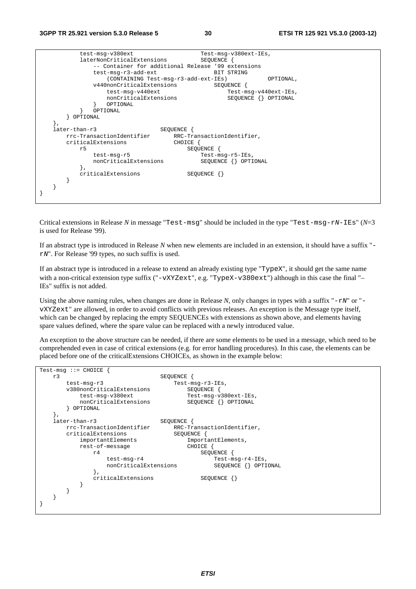| test-msq-v380ext                                   | Test-msg-v380ext-IEs,      |
|----------------------------------------------------|----------------------------|
| laterNonCriticalExtensions                         | SEOUENCE {                 |
| -- Container for additional Release '99 extensions |                            |
|                                                    |                            |
| test-msg-r3-add-ext                                | BIT STRING                 |
| (CONTAINING Test-msg-r3-add-ext-IEs)               | OPTIONAL,                  |
| v440nonCriticalExtensions                          | SEQUENCE {                 |
| test-msg-v440ext                                   | Test-msg-v440ext-IEs,      |
| nonCriticalExtensions                              | SEQUENCE {} OPTIONAL       |
| OPTIONAL                                           |                            |
|                                                    |                            |
| OPTIONAL                                           |                            |
| OPTIONAL                                           |                            |
| ì,                                                 |                            |
| later-than-r3<br>SEQUENCE {                        |                            |
| rrc-TransactionIdentifier                          | RRC-TransactionIdentifier, |
| criticalExtensions<br>CHOICE {                     |                            |
|                                                    |                            |
| r5                                                 | SEQUENCE                   |
| test-msg-r5                                        | Test-msg-r5-IEs,           |
| nonCriticalExtensions                              | SEOUENCE<br>OPTIONAL       |
|                                                    |                            |
| criticalExtensions                                 |                            |
|                                                    | $SEQUENCE$ $\{\}$          |
|                                                    |                            |
|                                                    |                            |
|                                                    |                            |
|                                                    |                            |
|                                                    |                            |

Critical extensions in Release *N* in message "Test-msg" should be included in the type "Test-msg-rN-IEs" (*N*=3 is used for Release '99).

If an abstract type is introduced in Release *N* when new elements are included in an extension, it should have a suffix " rN". For Release '99 types, no such suffix is used.

If an abstract type is introduced in a release to extend an already existing type "TypeX", it should get the same name with a non-critical extension type suffix ("-vXYZext", e.g. "TypeX-v380ext") although in this case the final "-IEs" suffix is not added.

Using the above naming rules, when changes are done in Release  $N$ , only changes in types with a suffix " $-rN$ " or "vXYZext" are allowed, in order to avoid conflicts with previous releases. An exception is the Message type itself, which can be changed by replacing the empty SEQUENCEs with extensions as shown above, and elements having spare values defined, where the spare value can be replaced with a newly introduced value.

An exception to the above structure can be needed, if there are some elements to be used in a message, which need to be comprehended even in case of critical extensions (e.g. for error handling procedures). In this case, the elements can be placed before one of the criticalExtensions CHOICEs, as shown in the example below:

```
Test-msg ::= CHOICE { 
    r3 SEQUENCE { 
        test-msg-r3 Test-msg-r3-IEs,<br>v380nonCriticalExtensions SEQUENCE {
        v380nonCriticalExtensions
            test-msg-v380ext Test-msg-v380ext-IEs, 
           nonCriticalExtensions
         } OPTIONAL 
    }, 
    later-than-r3 SEQUENCE { 
       rrc-TransactionIdentifier RRC-TransactionIdentifier,<br>criticalExtensions SEQUENCE {
       criticalExtensions<br>importantElements
                                           ImportantElements,<br>CHOICE {
           rest-of-message
                 r4 SEQUENCE { 
                    test-msg-r4 Test-msg-r4-IEs,<br>nonCriticalExtensions SEOUENCE {} OPTIONAL
                   nonCriticalExtensions
 }, 
                criticalExtensions SEQUENCE {}
            } 
        } 
    } 
}
```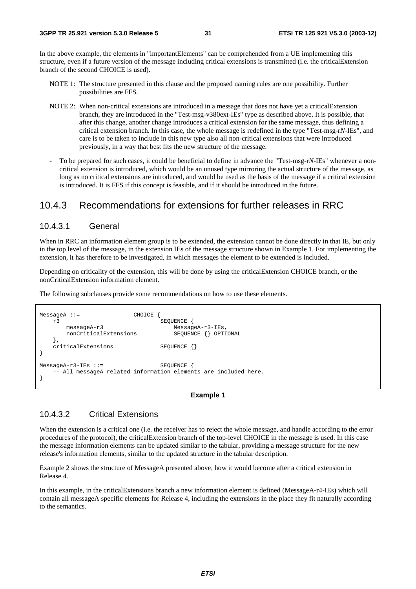In the above example, the elements in "importantElements" can be comprehended from a UE implementing this structure, even if a future version of the message including critical extensions is transmitted (i.e. the criticalExtension branch of the second CHOICE is used).

- NOTE 1: The structure presented in this clause and the proposed naming rules are one possibility. Further possibilities are FFS.
- NOTE 2: When non-critical extensions are introduced in a message that does not have yet a criticalExtension branch, they are introduced in the "Test-msg-v380ext-IEs" type as described above. It is possible, that after this change, another change introduces a critical extension for the same message, thus defining a critical extension branch. In this case, the whole message is redefined in the type "Test-msg-r*N*-IEs", and care is to be taken to include in this new type also all non-critical extensions that were introduced previously, in a way that best fits the new structure of the message.
- To be prepared for such cases, it could be beneficial to define in advance the "Test-msg-r*N*-IEs" whenever a noncritical extension is introduced, which would be an unused type mirroring the actual structure of the message, as long as no critical extensions are introduced, and would be used as the basis of the message if a critical extension is introduced. It is FFS if this concept is feasible, and if it should be introduced in the future.

### 10.4.3 Recommendations for extensions for further releases in RRC

#### 10.4.3.1 General

When in RRC an information element group is to be extended, the extension cannot be done directly in that IE, but only in the top level of the message, in the extension IEs of the message structure shown in Example 1. For implementing the extension, it has therefore to be investigated, in which messages the element to be extended is included.

Depending on criticality of the extension, this will be done by using the criticalExtension CHOICE branch, or the nonCriticalExtension information element.

The following subclauses provide some recommendations on how to use these elements.

```
MessageA ::= CHOICE {
   r3 <br>messageA-r3 <br>MessageA-r3 <br>Message
                                       MessageA-r3-IEs,<br>SEOUENCE {} OPTIONAL
       nonCriticalExtensions
    }, 
    criticalExtensions SEQUENCE {} 
} 
MessageA-r3-IEs ::= SEQUENCE {
     -- All messageA related information elements are included here. 
}
```
#### **Example 1**

#### 10.4.3.2 Critical Extensions

When the extension is a critical one (i.e. the receiver has to reject the whole message, and handle according to the error procedures of the protocol), the criticalExtension branch of the top-level CHOICE in the message is used. In this case the message information elements can be updated similar to the tabular, providing a message structure for the new release's information elements, similar to the updated structure in the tabular description.

Example 2 shows the structure of MessageA presented above, how it would become after a critical extension in Release 4.

In this example, in the criticalExtensions branch a new information element is defined (MessageA-r4-IEs) which will contain all messageA specific elements for Release 4, including the extensions in the place they fit naturally according to the semantics.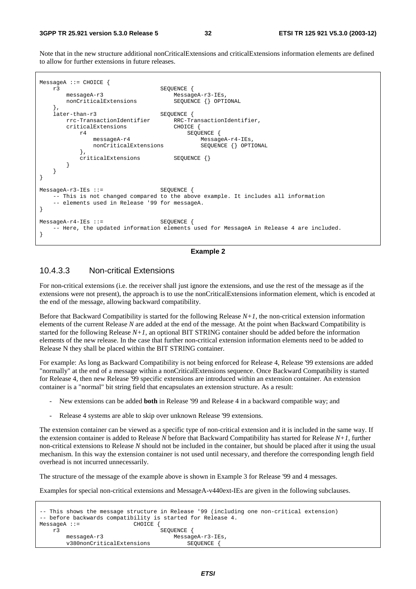Note that in the new structure additional nonCriticalExtensions and criticalExtensions information elements are defined to allow for further extensions in future releases.



#### **Example 2**

#### 10.4.3.3 Non-critical Extensions

For non-critical extensions (i.e. the receiver shall just ignore the extensions, and use the rest of the message as if the extensions were not present), the approach is to use the nonCriticalExtensions information element, which is encoded at the end of the message, allowing backward compatibility.

Before that Backward Compatibility is started for the following Release *N+1*, the non-critical extension information elements of the current Release *N* are added at the end of the message. At the point when Backward Compatibility is started for the following Release *N+1*, an optional BIT STRING container should be added before the information elements of the new release. In the case that further non-critical extension information elements need to be added to Release N they shall be placed within the BIT STRING container.

For example: As long as Backward Compatibility is not being enforced for Release 4, Release '99 extensions are added "normally" at the end of a message within a nonCriticalExtensions sequence. Once Backward Compatibility is started for Release 4, then new Release '99 specific extensions are introduced within an extension container. An extension container is a "normal" bit string field that encapsulates an extension structure. As a result:

- New extensions can be added **both** in Release '99 and Release 4 in a backward compatible way; and
- Release 4 systems are able to skip over unknown Release '99 extensions.

The extension container can be viewed as a specific type of non-critical extension and it is included in the same way. If the extension container is added to Release *N* before that Backward Compatibility has started for Release *N+1*, further non-critical extensions to Release *N* should not be included in the container, but should be placed after it using the usual mechanism. In this way the extension container is not used until necessary, and therefore the corresponding length field overhead is not incurred unnecessarily.

The structure of the message of the example above is shown in Example 3 for Release '99 and 4 messages.

Examples for special non-critical extensions and MessageA-v440ext-IEs are given in the following subclauses.

```
-- This shows the message structure in Release '99 (including one non-critical extension) 
-- before backwards compatibility is started for Release 4. 
MessageA :: = r3 SEQUENCE { 
      messageA-r3 MessageA-r3-IEs,
       v380nonCriticalExtensions SEQUENCE {
```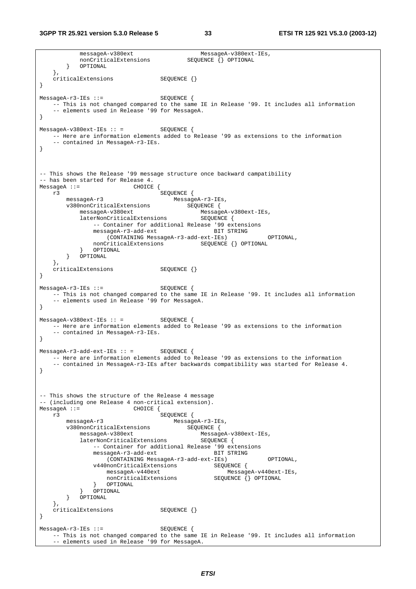messageA-v380ext MessageA-v380ext-IEs, nonCriticalExtensions SEQUENCE {} OPTIONAL } OPTIONAL }, criticalExtensions SEQUENCE {} } MessageA-r3-IEs ::= SEOUENCE { -- This is not changed compared to the same IE in Release '99. It includes all information -- elements used in Release '99 for MessageA. } MessageA-v380ext-IEs :: = SEQUENCE { -- Here are information elements added to Release '99 as extensions to the information -- contained in MessageA-r3-IEs. } -- This shows the Release '99 message structure once backward campatibility -- has been started for Release 4. MessageA ::= CHOICE {<br>r3 SEQUENCE { r3 SEQUENCE { messageA-r3 MessageA-r3-IEs, v380nonCriticalExtensions SEQUENCE { messageA-v380ext MessageA-v380ext-IEs, laterNonCriticalExtensions SEQUENCE { -- Container for additional Release '99 extensions messageA-r3-add-ext BIT STRING (CONTAINING MessageA-r3-add-ext-IEs) OPTIONAL, nonCriticalExtensions SEQUENCE {} OPTIONAL 0PTIONAL } OPTIONAL } OPTIONAL }, criticalExtensions SEQUENCE {} } MessageA-r3-IEs ::= SEQUENCE { -- This is not changed compared to the same IE in Release '99. It includes all information -- elements used in Release '99 for MessageA. }  $MessageA-v380ext-IES :: =$  SEQUENCE { -- Here are information elements added to Release '99 as extensions to the information -- contained in MessageA-r3-IEs. }  $MessageA-r3-add-ext-IES :: =$  SEQUENCE { -- Here are information elements added to Release '99 as extensions to the information -- contained in MessageA-r3-IEs after backwards compatibility was started for Release 4. } -- This shows the structure of the Release 4 message -- (including one Release 4 non-critical extension).<br>MessageA ::= CHOICE { CHOICE { r3 SEQUENCE { messageA-r3 MessageA-r3-IEs, v380nonCriticalExtensions<br>messageA-v380ext messageA-v380ext MessageA-v380ext-IEs, laterNonCriticalExtensions -- Container for additional Release '99 extensions messageA-r3-add-ext BIT STRING (CONTAINING MessageA-r3-add-ext-IEs) OPTIONAL, v440nonCriticalExtensions SEQUENCE { messageA-v440ext MessageA-v440ext-IEs, nonCriticalExtensions } OPTIONAL } OPTIONAL } OPTIONAL  $\}$ , criticalExtensions SEQUENCE {} } MessageA-r3-IEs ::= SEQUENCE { -- This is not changed compared to the same IE in Release '99. It includes all information - elements used in Release '99 for MessageA.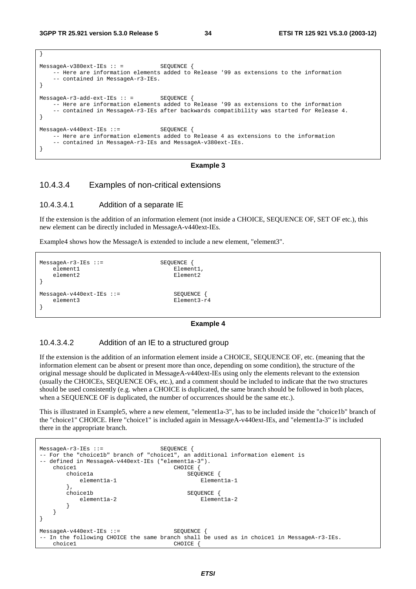}

| $MessageA-v380ext-IES :: =$<br>-- contained in MessageA-r3-IEs.                                   | SEOUENCE<br>-- Here are information elements added to Release '99 as extensions to the information                                                                                 |
|---------------------------------------------------------------------------------------------------|------------------------------------------------------------------------------------------------------------------------------------------------------------------------------------|
| $MessageA-r3-add-ext-IEs :: =$ SEQUENCE                                                           | -- Here are information elements added to Release '99 as extensions to the information<br>-- contained in MessageA-r3-IEs after backwards compatibility was started for Release 4. |
| $MessageA-v440ext-IEs :: =$ SEOUENCE<br>-- contained in MessageA-r3-IEs and MessageA-v380ext-IEs. | -- Here are information elements added to Release 4 as extensions to the information                                                                                               |

#### **Example 3**

#### 10.4.3.4 Examples of non-critical extensions

#### 10.4.3.4.1 Addition of a separate IE

If the extension is the addition of an information element (not inside a CHOICE, SEQUENCE OF, SET OF etc.), this new element can be directly included in MessageA-v440ext-IEs.

Example4 shows how the MessageA is extended to include a new element, "element3".

```
MessageA-r3-IEs ::= SEQUENCE { 
  element1 Element1, Element2 Element2
  element2
} 
MessageA-v440ext-IEs ::= SEQUENCE {
   element3 Element3-r4 
}
```
#### **Example 4**

#### 10.4.3.4.2 Addition of an IE to a structured group

If the extension is the addition of an information element inside a CHOICE, SEQUENCE OF, etc. (meaning that the information element can be absent or present more than once, depending on some condition), the structure of the original message should be duplicated in MessageA-v440ext-IEs using only the elements relevant to the extension (usually the CHOICEs, SEQUENCE OFs, etc.), and a comment should be included to indicate that the two structures should be used consistently (e.g. when a CHOICE is duplicated, the same branch should be followed in both places, when a SEQUENCE OF is duplicated, the number of occurrences should be the same etc.).

This is illustrated in Example5, where a new element, "element1a-3", has to be included inside the "choice1b" branch of the "choice1" CHOICE. Here "choice1" is included again in MessageA-v440ext-IEs, and "element1a-3" is included there in the appropriate branch.

```
MessageA-r3-IEs ::= SEQUENCE { 
-- For the "choice1b" branch of "choice1", an additional information element is 
-- defined in MessageA-v440ext-IEs ("elementla-3").
   choice1 CHOICE
       choice1a SEQUENCE { 
        element1a-1 Element1a-1
      },<br>choicelb
                                SEQUENCE {
        element1a-2 Element1a-2
 } 
    } 
} 
MessageA-v440ext-IEs ::= SEQUENCE
 In the following CHOICE the same branch shall be used as in choice1 in MessageA-r3-IEs.
   choice1 CHOICE {
```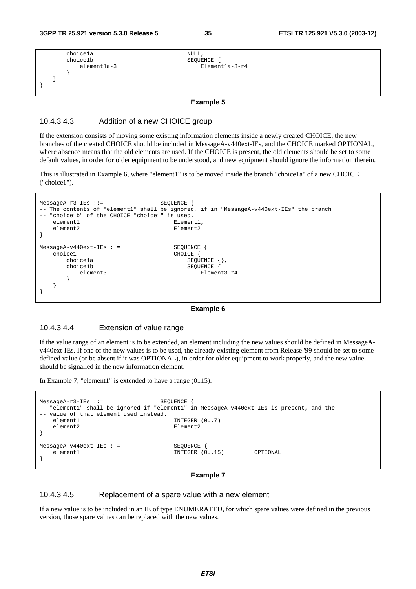```
 choice1a NULL, 
    choice1b <br>element1a-3 <br>Elemen
    element1a-3 Element1a-3-r4
 } 
   } 
}
```
#### **Example 5**

#### 10.4.3.4.3 Addition of a new CHOICE group

If the extension consists of moving some existing information elements inside a newly created CHOICE, the new branches of the created CHOICE should be included in MessageA-v440ext-IEs, and the CHOICE marked OPTIONAL, where absence means that the old elements are used. If the CHOICE is present, the old elements should be set to some default values, in order for older equipment to be understood, and new equipment should ignore the information therein.

This is illustrated in Example 6, where "element1" is to be moved inside the branch "choice1a" of a new CHOICE ("choice1").

```
MessageA-r3-IEs ::= SEQUENCE { 
-- The contents of "element1" shall be ignored, if in "MessageA-v440ext-IEs" the branch 
  "choice1b" of the CHOICE "choice1" is used.
  element1 Element1,
  element2 Element2
} 
MessageA-v440ext-IEs ::= SEQUENCE {
  choice1 CHOICE {
     choice1a <br>choice1b <br>SEQUENCE {
        ce1b SEQUENCE {<br>element3 Elemer
     element3 Element3-r4
 } 
   } 
}
```
#### **Example 6**

#### 10.4.3.4.4 Extension of value range

If the value range of an element is to be extended, an element including the new values should be defined in MessageAv440ext-IEs. If one of the new values is to be used, the already existing element from Release '99 should be set to some defined value (or be absent if it was OPTIONAL), in order for older equipment to work properly, and the new value should be signalled in the new information element.

In Example 7, "element1" is extended to have a range (0..15).

```
MessageA-r3-IES ::= SEQUENCE
 "element1" shall be ignored if "element1" in MessageA-v440ext-IEs is present, and the
-- value of that element used instead.<br>element1
   element1 INTEGER (0..7)<br>element2 Flement2
                                  F1ement2} 
MessageA-v440ext-IEs ::= SEQUENCE {
    element1 INTEGER (0..15) OPTIONAL 
}
```
#### **Example 7**

#### 10.4.3.4.5 Replacement of a spare value with a new element

If a new value is to be included in an IE of type ENUMERATED, for which spare values were defined in the previous version, those spare values can be replaced with the new values.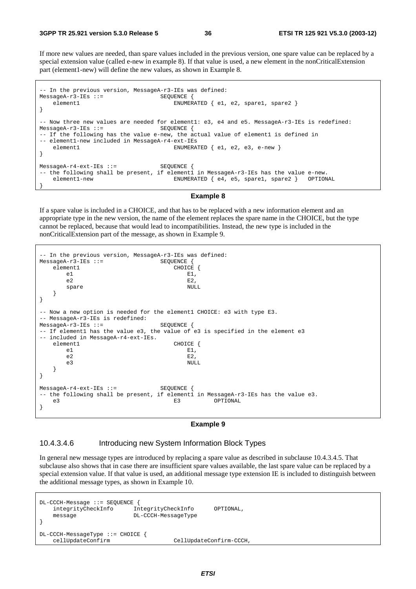If more new values are needed, than spare values included in the previous version, one spare value can be replaced by a special extension value (called e-new in example 8). If that value is used, a new element in the nonCriticalExtension part (element1-new) will define the new values, as shown in Example 8.

```
-- In the previous version, MessageA-r3-IEs was defined: 
MessageA-r3-IES ::= SEQUENCE {
   element1 ENUMERATED { e1, e2, spare1, spare2 }
} 
-- Now three new values are needed for element1: e3, e4 and e5. MessageA-r3-IEs is redefined: 
MessageA-r3-IEs ::= SEQUENCE { 
-- If the following has the value e-new, the actual value of element1 is defined in 
-- element1-new included in MessageA-r4-ext-IEs 
   element1 ENUMERATED { e1, e2, e3, e-new }
} 
MessageA-r4-ext-IEs ::= SEQUENCE { 
-- the following shall be present, if elementl in MessageA-r3-IEs has the value e-new.
    element1-new ENUMERATED { e4, e5, spare1, spare2 } OPTIONAL 
}
```
#### **Example 8**

If a spare value is included in a CHOICE, and that has to be replaced with a new information element and an appropriate type in the new version, the name of the element replaces the spare name in the CHOICE, but the type cannot be replaced, because that would lead to incompatibilities. Instead, the new type is included in the nonCriticalExtension part of the message, as shown in Example 9.

```
-- In the previous version, MessageA-r3-IEs was defined: 
MessageA-r3-IEs ::= SEQUENCE { 
  element1 CHOICE {
e1 E1,
e2 E2,
     spare NULL
   } 
} 
-- Now a new option is needed for the element1 CHOICE: e3 with type E3. 
-- MessageA-r3-IEs is redefined: 
MessageA-r3-IEs ::= SEQUENCE { 
-- If elementl has the value e3, the value of e3 is specified in the element e3
-- included in MessageA-r4-ext-IEs. 
  element1 CHOICE {<br>e1 E1,
e1 E1,
e2 E2,
 e3 NULL 
   } 
} 
MessageA-r4-ext-IEs ::= SEQUENCE { 
-- the following shall be present, if elementl in MessageA-r3-IEs has the value e3.<br>
E3 OPTIONAL
   e3 E3 OPTIONAL 
}
```
#### **Example 9**

#### 10.4.3.4.6 Introducing new System Information Block Types

In general new message types are introduced by replacing a spare value as described in subclause 10.4.3.4.5. That subclause also shows that in case there are insufficient spare values available, the last spare value can be replaced by a special extension value. If that value is used, an additional message type extension IE is included to distinguish between the additional message types, as shown in Example 10.

DL-CCCH-Message ::= SEQUENCE { integrityCheckInfo IntegrityCheckInfo OPTIONAL, message DL-CCCH-MessageType } DL-CCCH-MessageType ::= CHOICE { cellUpdateConfirm CellUpdateConfirm-CCCH,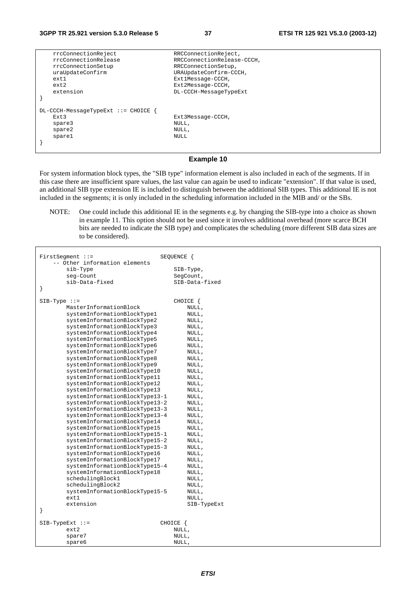| rrcConnectionReject                                                      | RRCConnectionReject,                        |
|--------------------------------------------------------------------------|---------------------------------------------|
| rrcConnectionRelease                                                     | RRCConnectionRelease-CCCH,                  |
| rrcConnectionSetup                                                       | RRCConnectionSetup,                         |
| uraUpdateConfirm                                                         | URAUpdateConfirm-CCCH,                      |
| ext1                                                                     | Ext1Message-CCCH,                           |
| ext2                                                                     | Ext2Message-CCCH,                           |
| extension                                                                | DL-CCCH-MessageTypeExt                      |
| $DL-CCCH-MessaqeTypeExt ::=CHOICE$<br>Ext3<br>spare3<br>spare2<br>sparel | Ext3Message-CCCH,<br>NULL,<br>NULL,<br>NULL |

#### **Example 10**

For system information block types, the "SIB type" information element is also included in each of the segments. If in this case there are insufficient spare values, the last value can again be used to indicate "extension". If that value is used, an additional SIB type extension IE is included to distinguish between the additional SIB types. This additional IE is not included in the segments; it is only included in the scheduling information included in the MIB and/ or the SBs.

NOTE: One could include this additional IE in the segments e.g. by changing the SIB-type into a choice as shown in example 11. This option should not be used since it involves additional overhead (more scarce BCH bits are needed to indicate the SIB type) and complicates the scheduling (more different SIB data sizes are to be considered).

| $FirstSegment :: =$                                | SEQUENCE {     |
|----------------------------------------------------|----------------|
| -- Other information elements                      |                |
| sib-Type                                           | SIB-Type,      |
| seq-Count                                          | SeqCount,      |
| sib-Data-fixed                                     | SIB-Data-fixed |
| ł                                                  |                |
|                                                    | CHOICE {       |
| $SIB-Type :: =$<br>MasterInformationBlock          |                |
|                                                    | NULL,          |
| systemInformationBlockType1                        | NULL,          |
| systemInformationBlockType2                        | NULL,          |
| systemInformationBlockType3                        | NULL,          |
| systemInformationBlockType4                        | NULL,          |
| systemInformationBlockType5                        | NULL,          |
| systemInformationBlockType6                        | NULL,          |
| systemInformationBlockType7                        | NULL,          |
| systemInformationBlockType8                        | NULL,          |
| systemInformationBlockType9                        | NULL,          |
| systemInformationBlockType10                       | NULL,          |
| systemInformationBlockType11                       | NULL,          |
| systemInformationBlockType12                       | NULL,          |
| systemInformationBlockType13                       | NULL,          |
| systemInformationBlockType13-1                     | NULL,          |
| systemInformationBlockType13-2                     | NULL,          |
| systemInformationBlockType13-3                     | NULL,          |
| systemInformationBlockType13-4                     | NULL,          |
| systemInformationBlockType14                       | NULL,          |
| systemInformationBlockType15                       | NULL,          |
| systemInformationBlockType15-1                     | NULL,          |
| systemInformationBlockType15-2                     | NULL,          |
| systemInformationBlockType15-3                     | NULL,          |
| systemInformationBlockType16                       | NULL,          |
| systemInformationBlockType17                       | NULL,          |
| systemInformationBlockType15-4                     | NULL,          |
| systemInformationBlockType18                       | NULL,          |
| schedulingBlock1                                   | NULL,          |
|                                                    |                |
| schedulingBlock2<br>systemInformationBlockType15-5 | NULL,          |
|                                                    | NULL,          |
| ext1                                               | NULL,          |
| extension<br>}                                     | SIB-TypeExt    |
|                                                    |                |
| $SIB-TypeExt ::=$                                  | CHOICE {       |
| ext2                                               | NULL,          |
| spare7                                             | NULL,          |
| spare6                                             | NULL,          |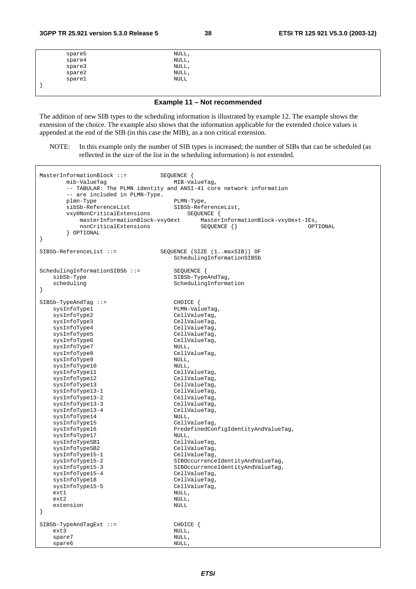| spare5<br>spare4 | NULL,       |  |
|------------------|-------------|--|
|                  | NULL,       |  |
| spare3           | NULL,       |  |
| space2           | NULL,       |  |
| sparel           | <b>NULL</b> |  |
|                  |             |  |

**Example 11 – Not recommended** 

The addition of new SIB types to the scheduling information is illustrated by example 12. The example shows the extension of the choice. The example also shows that the information applicable for the extended choice values is appended at the end of the SIB (in this case the MIB), as a non critical extension.

NOTE: In this example only the number of SIB types is increased; the number of SIBs that can be scheduled (as reflected in the size of the list in the scheduling information) is not extended.

| $MasterInformationBlock :: =$<br>mib-ValueTag<br>-- are included in PLMN-Type.<br>plmn-Type<br>sibSb-ReferenceList<br>vxy0NonCriticalExtensions<br>masterInformationBlock-vxy0ext<br>nonCriticalExtensions<br>OPTIONAL<br>$\}$                                                                                                                                                                                                                                                                                                                                                       | SEQUENCE {<br>MIB-ValueTag,<br>-- TABULAR: The PLMN identity and ANSI-41 core network information<br>PLMN-Type,<br>SIBSb-ReferenceList,<br>SEQUENCE {<br>MasterInformationBlock-vxy0ext-IEs,<br>$SEQUENCE$ $\{\}$<br>OPTIONAL                                                                                                                                                                                                                                                                                                                                           |
|--------------------------------------------------------------------------------------------------------------------------------------------------------------------------------------------------------------------------------------------------------------------------------------------------------------------------------------------------------------------------------------------------------------------------------------------------------------------------------------------------------------------------------------------------------------------------------------|-------------------------------------------------------------------------------------------------------------------------------------------------------------------------------------------------------------------------------------------------------------------------------------------------------------------------------------------------------------------------------------------------------------------------------------------------------------------------------------------------------------------------------------------------------------------------|
| $SIBSb-ReferenceList ::=$                                                                                                                                                                                                                                                                                                                                                                                                                                                                                                                                                            | SEQUENCE (SIZE (1maxSIB)) OF<br>SchedulingInformationSIBSb                                                                                                                                                                                                                                                                                                                                                                                                                                                                                                              |
| SchedulingInformationSIBSb ::=<br>sibSb-Type<br>scheduling<br>$\}$                                                                                                                                                                                                                                                                                                                                                                                                                                                                                                                   | SEQUENCE {<br>SIBSb-TypeAndTag,<br>SchedulingInformation                                                                                                                                                                                                                                                                                                                                                                                                                                                                                                                |
| $SIBSb-TypeAndTag :: =$<br>sysInfoType1<br>sysInfoType2<br>sysInfoType3<br>sysInfoType4<br>sysInfoType5<br>sysInfoType6<br>sysInfoType7<br>sysInfoType8<br>sysInfoType9<br>sysInfoType10<br>sysInfoType11<br>sysInfoType12<br>sysInfoType13<br>sysInfoType13-1<br>sysInfoType13-2<br>sysInfoType13-3<br>sysInfoType13-4<br>sysInfoType14<br>sysInfoType15<br>sysInfoType16<br>sysInfoType17<br>sysInfoTypeSB1<br>sysInfoTypeSB2<br>sysInfoType15-1<br>sysInfoType15-2<br>sysInfoType15-3<br>sysInfoType15-4<br>sysInfoType18<br>sysInfoType15-5<br>ext1<br>ext2<br>extension<br>$\}$ | CHOICE {<br>PLMN-ValueTag,<br>CellValueTag,<br>CellValueTag,<br>CellValueTag,<br>CellValueTag,<br>CellValueTag,<br>NULL,<br>CellValueTag,<br>NULL,<br>NULL,<br>CellValueTag,<br>CellValueTag,<br>CellValueTag,<br>CellValueTag,<br>CellValueTag,<br>CellValueTag,<br>CellValueTag,<br>NULL,<br>CellValueTag,<br>PredefinedConfigIdentityAndValueTag,<br>NULL,<br>CellValueTag,<br>CellValueTag,<br>CellValueTag,<br>SIBOccurrenceIdentityAndValueTag,<br>SIBOccurrenceIdentityAndValueTag,<br>CellValueTag,<br>CellValueTag,<br>CellValueTag,<br>NULL,<br>NULL,<br>NULL |
| $SIBSb-TypeAndTagExt ::=$<br>ext3<br>spare7<br>spare6                                                                                                                                                                                                                                                                                                                                                                                                                                                                                                                                | CHOICE {<br>NULL,<br>NULL,<br>NULL,                                                                                                                                                                                                                                                                                                                                                                                                                                                                                                                                     |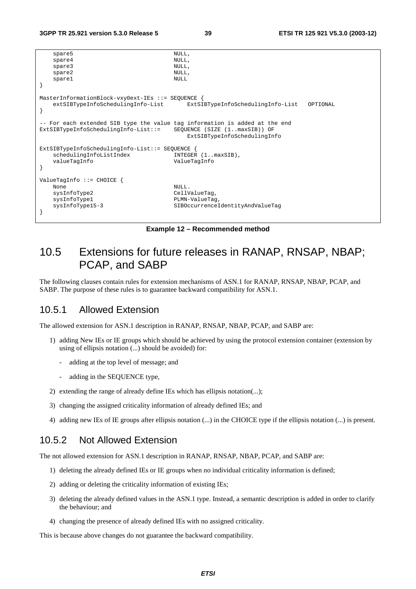```
\begin{minipage}{.4cm} \texttt{spare5} \end{minipage}spare4
   spare3 NULL,
   spare2 NULL,
   spare1 NULL
} 
MasterInformationBlock-vxy0ext-IEs ::= SEQUENCE { 
    extSIBTypeInfoSchedulingInfo-List ExtSIBTypeInfoSchedulingInfo-List OPTIONAL 
} 
 - For each extended SIB type the value tag information is added at the end
ExtSIBTypeInfoSchedulingInfo-List::= SEQUENCE (SIZE (1..maxSIB)) OF 
                                     ExtSIBTypeInfoSchedulingInfo 
ExtSIBTypeInfoSchedulingInfo-List::= SEQUENCE { 
   schedulingInfoListIndex INTEGER (1..maxSIB),<br>valueTagInfo ValueTagInfo
                                 valueTagInfo ValueTagInfo 
} 
ValueTagInfo ::= CHOICE { 
None NULL.
   sysInfoType2 CellValueTag,
   sysInfoType1 PLMN-ValueTag
    sysInfoType15-3 SIBOccurrenceIdentityAndValueTag 
}
```
**Example 12 – Recommended method** 

## 10.5 Extensions for future releases in RANAP, RNSAP, NBAP; PCAP, and SABP

The following clauses contain rules for extension mechanisms of ASN.1 for RANAP, RNSAP, NBAP, PCAP, and SABP. The purpose of these rules is to guarantee backward compatibility for ASN.1.

### 10.5.1 Allowed Extension

The allowed extension for ASN.1 description in RANAP, RNSAP, NBAP, PCAP, and SABP are:

- 1) adding New IEs or IE groups which should be achieved by using the protocol extension container (extension by using of ellipsis notation (...) should be avoided) for:
	- adding at the top level of message; and
	- adding in the SEQUENCE type,
- 2) extending the range of already define IEs which has ellipsis notation(...);
- 3) changing the assigned criticality information of already defined IEs; and
- 4) adding new IEs of IE groups after ellipsis notation (...) in the CHOICE type if the ellipsis notation (...) is present.

## 10.5.2 Not Allowed Extension

The not allowed extension for ASN.1 description in RANAP, RNSAP, NBAP, PCAP, and SABP are:

- 1) deleting the already defined IEs or IE groups when no individual criticality information is defined;
- 2) adding or deleting the criticality information of existing IEs;
- 3) deleting the already defined values in the ASN.1 type. Instead, a semantic description is added in order to clarify the behaviour; and
- 4) changing the presence of already defined IEs with no assigned criticality.

This is because above changes do not guarantee the backward compatibility.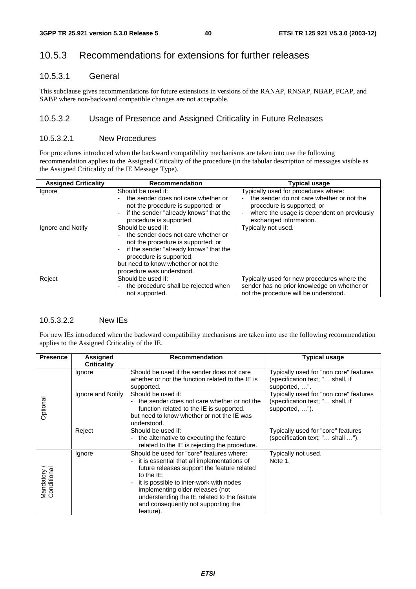## 10.5.3 Recommendations for extensions for further releases

#### 10.5.3.1 General

This subclause gives recommendations for future extensions in versions of the RANAP, RNSAP, NBAP, PCAP, and SABP where non-backward compatible changes are not acceptable.

### 10.5.3.2 Usage of Presence and Assigned Criticality in Future Releases

#### 10.5.3.2.1 New Procedures

For procedures introduced when the backward compatibility mechanisms are taken into use the following recommendation applies to the Assigned Criticality of the procedure (in the tabular description of messages visible as the Assigned Criticality of the IE Message Type).

| <b>Assigned Criticality</b> | <b>Recommendation</b>                                                                                                                                                                                                                    | <b>Typical usage</b>                                                                                                                                                                    |  |  |
|-----------------------------|------------------------------------------------------------------------------------------------------------------------------------------------------------------------------------------------------------------------------------------|-----------------------------------------------------------------------------------------------------------------------------------------------------------------------------------------|--|--|
| Ignore                      | Should be used if:<br>the sender does not care whether or<br>not the procedure is supported; or<br>if the sender "already knows" that the<br>procedure is supported.                                                                     | Typically used for procedures where:<br>the sender do not care whether or not the<br>procedure is supported; or<br>where the usage is dependent on previously<br>exchanged information. |  |  |
| Ignore and Notify           | Should be used if:<br>the sender does not care whether or<br>not the procedure is supported; or<br>if the sender "already knows" that the<br>procedure is supported;<br>but need to know whether or not the<br>procedure was understood. | Typically not used.                                                                                                                                                                     |  |  |
| Reject                      | Should be used if:<br>the procedure shall be rejected when<br>not supported.                                                                                                                                                             | Typically used for new procedures where the<br>sender has no prior knowledge on whether or<br>not the procedure will be understood.                                                     |  |  |

### 10.5.3.2.2 New IEs

For new IEs introduced when the backward compatibility mechanisms are taken into use the following recommendation applies to the Assigned Criticality of the IE.

| <b>Presence</b>            | Assigned<br><b>Criticality</b> | <b>Recommendation</b>                                                                                                                                                                                                                                                                                                                      | <b>Typical usage</b>                                                                         |
|----------------------------|--------------------------------|--------------------------------------------------------------------------------------------------------------------------------------------------------------------------------------------------------------------------------------------------------------------------------------------------------------------------------------------|----------------------------------------------------------------------------------------------|
| Optional                   | Ignore                         | Should be used if the sender does not care<br>whether or not the function related to the IE is<br>supported.                                                                                                                                                                                                                               | Typically used for "non core" features<br>(specification text; " shall, if<br>supported, ".  |
|                            | Ignore and Notify              | Should be used if:<br>the sender does not care whether or not the<br>function related to the IE is supported.<br>but need to know whether or not the IE was<br>understood.                                                                                                                                                                 | Typically used for "non core" features<br>(specification text; " shall, if<br>supported, "). |
|                            | Reject                         | Should be used if:<br>the alternative to executing the feature<br>related to the IE is rejecting the procedure.                                                                                                                                                                                                                            | Typically used for "core" features<br>(specification text; " shall ").                       |
| Mandatory /<br>Conditional | Ignore                         | Should be used for "core" features where:<br>it is essential that all implementations of<br>future releases support the feature related<br>to the $IE$ :<br>it is possible to inter-work with nodes<br>implementing older releases (not<br>understanding the IE related to the feature<br>and consequently not supporting the<br>feature). | Typically not used.<br>Note 1.                                                               |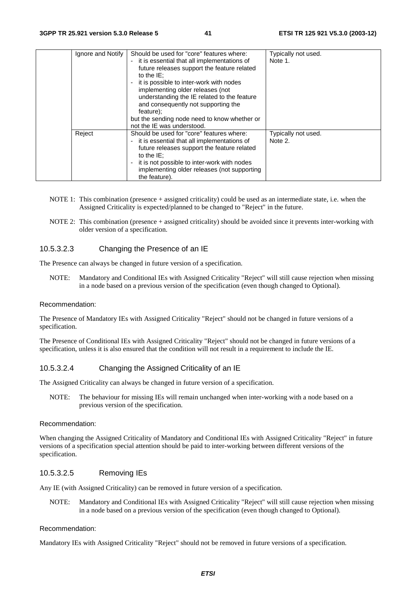|  | Ignore and Notify | Should be used for "core" features where:<br>- it is essential that all implementations of<br>future releases support the feature related<br>to the $IE$ :<br>it is possible to inter-work with nodes<br>implementing older releases (not<br>understanding the IE related to the feature<br>and consequently not supporting the<br>feature);<br>but the sending node need to know whether or<br>not the IE was understood. | Typically not used.<br>Note 1. |
|--|-------------------|----------------------------------------------------------------------------------------------------------------------------------------------------------------------------------------------------------------------------------------------------------------------------------------------------------------------------------------------------------------------------------------------------------------------------|--------------------------------|
|  | Reject            | Should be used for "core" features where:<br>- it is essential that all implementations of<br>future releases support the feature related<br>to the $IE$ :<br>it is not possible to inter-work with nodes<br>implementing older releases (not supporting<br>the feature).                                                                                                                                                  | Typically not used.<br>Note 2. |

- NOTE 1: This combination (presence + assigned criticality) could be used as an intermediate state, i.e. when the Assigned Criticality is expected/planned to be changed to "Reject" in the future.
- NOTE 2: This combination (presence + assigned criticality) should be avoided since it prevents inter-working with older version of a specification.

#### 10.5.3.2.3 Changing the Presence of an IE

The Presence can always be changed in future version of a specification.

NOTE: Mandatory and Conditional IEs with Assigned Criticality "Reject" will still cause rejection when missing in a node based on a previous version of the specification (even though changed to Optional).

#### Recommendation:

The Presence of Mandatory IEs with Assigned Criticality "Reject" should not be changed in future versions of a specification.

The Presence of Conditional IEs with Assigned Criticality "Reject" should not be changed in future versions of a specification, unless it is also ensured that the condition will not result in a requirement to include the IE.

#### 10.5.3.2.4 Changing the Assigned Criticality of an IE

The Assigned Criticality can always be changed in future version of a specification.

NOTE: The behaviour for missing IEs will remain unchanged when inter-working with a node based on a previous version of the specification.

#### Recommendation:

When changing the Assigned Criticality of Mandatory and Conditional IEs with Assigned Criticality "Reject" in future versions of a specification special attention should be paid to inter-working between different versions of the specification.

#### 10.5.3.2.5 Removing IEs

Any IE (with Assigned Criticality) can be removed in future version of a specification.

NOTE: Mandatory and Conditional IEs with Assigned Criticality "Reject" will still cause rejection when missing in a node based on a previous version of the specification (even though changed to Optional).

#### Recommendation:

Mandatory IEs with Assigned Criticality "Reject" should not be removed in future versions of a specification.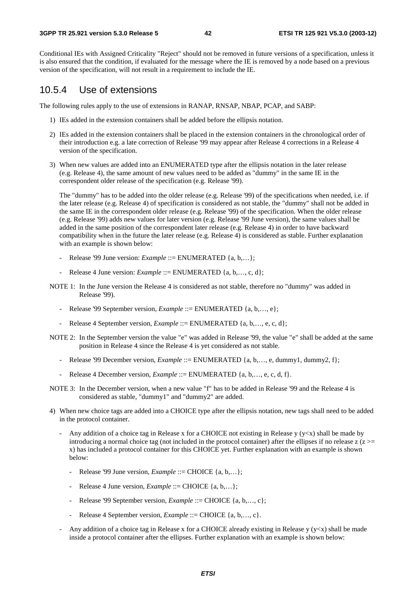#### **3GPP TR 25.921 version 5.3.0 Release 5 42 ETSI TR 125 921 V5.3.0 (2003-12)**

Conditional IEs with Assigned Criticality "Reject" should not be removed in future versions of a specification, unless it is also ensured that the condition, if evaluated for the message where the IE is removed by a node based on a previous version of the specification, will not result in a requirement to include the IE.

## 10.5.4 Use of extensions

The following rules apply to the use of extensions in RANAP, RNSAP, NBAP, PCAP, and SABP:

- 1) IEs added in the extension containers shall be added before the ellipsis notation.
- 2) IEs added in the extension containers shall be placed in the extension containers in the chronological order of their introduction e.g. a late correction of Release '99 may appear after Release 4 corrections in a Release 4 version of the specification.
- 3) When new values are added into an ENUMERATED type after the ellipsis notation in the later release (e.g. Release 4), the same amount of new values need to be added as "dummy" in the same IE in the correspondent older release of the specification (e.g. Release '99).

 The "dummy" has to be added into the older release (e.g. Release '99) of the specifications when needed, i.e. if the later release (e.g. Release 4) of specification is considered as not stable, the "dummy" shall not be added in the same IE in the correspondent older release (e.g. Release '99) of the specification. When the older release (e.g. Release '99) adds new values for later version (e.g. Release '99 June version), the same values shall be added in the same position of the correspondent later release (e.g. Release 4) in order to have backward compatibility when in the future the later release (e.g. Release 4) is considered as stable. Further explanation with an example is shown below:

- Release '99 June version: *Example* ::= ENUMERATED {a, b,...};
- Release 4 June version: *Example* ::= ENUMERATED {a, b,..., c, d};
- NOTE 1: In the June version the Release 4 is considered as not stable, therefore no "dummy" was added in Release '99).
	- Release '99 September version, *Example* ::= ENUMERATED {a, b,…, e};
	- Release 4 September version, *Example* ::= ENUMERATED {a, b,..., e, c, d};
- NOTE 2: In the September version the value "e" was added in Release '99, the value "e" shall be added at the same position in Release 4 since the Release 4 is yet considered as not stable.
	- Release '99 December version, *Example* ::= ENUMERATED {a, b,..., e, dummy1, dummy2, f};
	- Release 4 December version, *Example* ::= ENUMERATED {a, b,…, e, c, d, f}.
- NOTE 3: In the December version, when a new value "f" has to be added in Release '99 and the Release 4 is considered as stable, "dummy1" and "dummy2" are added.
- 4) When new choice tags are added into a CHOICE type after the ellipsis notation, new tags shall need to be added in the protocol container.
	- Any addition of a choice tag in Release x for a CHOICE not existing in Release y ( $y \lt x$ ) shall be made by introducing a normal choice tag (not included in the protocol container) after the ellipses if no release  $z(z)$ x) has included a protocol container for this CHOICE yet. Further explanation with an example is shown below:
		- Release '99 June version, *Example* ::= CHOICE {a, b,...};
		- Release 4 June version, *Example* ::= CHOICE {a, b,...};
		- Release '99 September version, *Example* ::= CHOICE {a, b,..., c};
		- Release 4 September version, *Example* ::= CHOICE {a, b,…, c}.
	- Any addition of a choice tag in Release x for a CHOICE already existing in Release  $y (y < x)$  shall be made inside a protocol container after the ellipses. Further explanation with an example is shown below: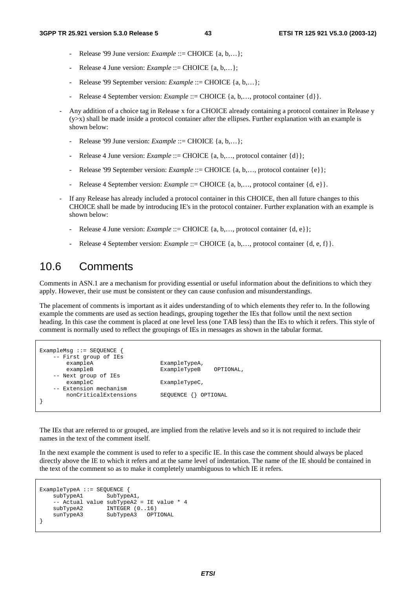- Release '99 June version: *Example* ::= CHOICE {a, b,...};
- Release 4 June version: *Example* ::= CHOICE {a, b,...};
- Release '99 September version: *Example* ::= CHOICE {a, b,...};
- Release 4 September version: *Example* ::= CHOICE {a, b,..., protocol container {d}}.
- Any addition of a choice tag in Release x for a CHOICE already containing a protocol container in Release y  $(y>x)$  shall be made inside a protocol container after the ellipses. Further explanation with an example is shown below:
	- Release '99 June version: *Example* ::= CHOICE {a, b,...};
	- Release 4 June version: *Example* ::= CHOICE {a, b,..., protocol container {d}};
	- Release '99 September version: *Example* ::= CHOICE {a, b,..., protocol container {e}};
	- Release 4 September version: *Example* ::= CHOICE {a, b,..., protocol container {d, e}.
- If any Release has already included a protocol container in this CHOICE, then all future changes to this CHOICE shall be made by introducing IE's in the protocol container. Further explanation with an example is shown below:
	- Release 4 June version: *Example* ::= CHOICE {a, b,..., protocol container {d, e}};
	- Release 4 September version: *Example* ::= CHOICE {a, b,..., protocol container {d, e, f}}.

## 10.6 Comments

Comments in ASN.1 are a mechanism for providing essential or useful information about the definitions to which they apply. However, their use must be consistent or they can cause confusion and misunderstandings.

The placement of comments is important as it aides understanding of to which elements they refer to. In the following example the comments are used as section headings, grouping together the IEs that follow until the next section heading. In this case the comment is placed at one level less (one TAB less) than the IEs to which it refers. This style of comment is normally used to reflect the groupings of IEs in messages as shown in the tabular format.

```
ExampleMsg ::= SEQUENCE { 
     - First group of IEs<br>exampleA
                                    ExampleTypeA,
       exampleB ExampleTypeB OPTIONAL,
     -- Next group of IEs 
       exampleC ExampleTypeC,
    -- Extension mechanism<br>nonCriticalExtensions
                                    SEQUENCE {} OPTIONAL
}
```
The IEs that are referred to or grouped, are implied from the relative levels and so it is not required to include their names in the text of the comment itself.

In the next example the comment is used to refer to a specific IE. In this case the comment should always be placed directly above the IE to which it refers and at the same level of indentation. The name of the IE should be contained in the text of the comment so as to make it completely unambiguous to which IE it refers.

```
ExampleTypeA ::= SEQUENCE { 
    subTypeA1 SubTypeA1,
    -- Actual value subTypeA2 = IE value * 4<br>subTypeA2 INTEGER (0..16)INTER (0..16) sunTypeA3 SubTypeA3 OPTIONAL 
}
```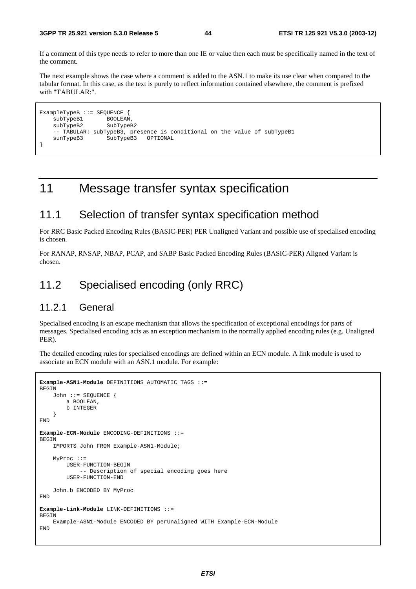If a comment of this type needs to refer to more than one IE or value then each must be specifically named in the text of the comment.

The next example shows the case where a comment is added to the ASN.1 to make its use clear when compared to the tabular format. In this case, as the text is purely to reflect information contained elsewhere, the comment is prefixed with "TABULAR:".

```
ExampleTypeB ::= SEQUENCE {<br>subTypeB1 BOOLEAN,
    subTypeB1 BOOLEAN,<br>subTypeB2 SubTypeB2
    subTypeB2
      -- TABULAR: subTypeB3, presence is conditional on the value of subTypeB1 
     sunTypeB3 SubTypeB3 OPTIONAL 
}
```
## 11 Message transfer syntax specification

## 11.1 Selection of transfer syntax specification method

For RRC Basic Packed Encoding Rules (BASIC-PER) PER Unaligned Variant and possible use of specialised encoding is chosen.

For RANAP, RNSAP, NBAP, PCAP, and SABP Basic Packed Encoding Rules (BASIC-PER) Aligned Variant is chosen.

## 11.2 Specialised encoding (only RRC)

### 11.2.1 General

Specialised encoding is an escape mechanism that allows the specification of exceptional encodings for parts of messages. Specialised encoding acts as an exception mechanism to the normally applied encoding rules (e.g. Unaligned PER).

The detailed encoding rules for specialised encodings are defined within an ECN module. A link module is used to associate an ECN module with an ASN.1 module. For example:

```
Example-ASN1-Module DEFINITIONS AUTOMATIC TAGS ::= 
BEGIN 
     John ::= SEQUENCE { 
         a BOOLEAN, 
         b INTEGER 
     } 
END 
Example-ECN-Module ENCODING-DEFINITIONS ::= 
BEGIN 
     IMPORTS John FROM Example-ASN1-Module; 
     MyProc ::= 
         USER-FUNCTION-BEGIN 
               -- Description of special encoding goes here 
         USER-FUNCTION-END 
     John.b ENCODED BY MyProc 
END 
Example-Link-Module LINK-DEFINITIONS ::= 
BEGIN 
     Example-ASN1-Module ENCODED BY perUnaligned WITH Example-ECN-Module 
END
```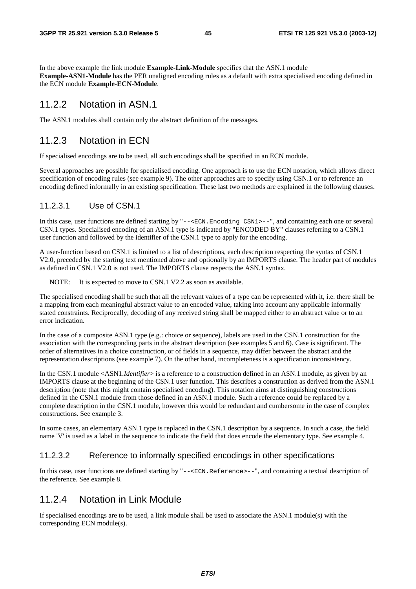In the above example the link module **Example-Link-Module** specifies that the ASN.1 module **Example-ASN1-Module** has the PER unaligned encoding rules as a default with extra specialised encoding defined in the ECN module **Example-ECN-Module**.

### 11.2.2 Notation in ASN.1

The ASN.1 modules shall contain only the abstract definition of the messages.

## 11.2.3 Notation in ECN

If specialised encodings are to be used, all such encodings shall be specified in an ECN module.

Several approaches are possible for specialised encoding. One approach is to use the ECN notation, which allows direct specification of encoding rules (see example 9). The other approaches are to specify using CSN.1 or to reference an encoding defined informally in an existing specification. These last two methods are explained in the following clauses.

#### 11.2.3.1 Use of CSN.1

In this case, user functions are defined starting by "--<ECN.Encoding CSN1>--", and containing each one or several CSN.1 types. Specialised encoding of an ASN.1 type is indicated by "ENCODED BY" clauses referring to a CSN.1 user function and followed by the identifier of the CSN.1 type to apply for the encoding.

A user-function based on CSN.1 is limited to a list of descriptions, each description respecting the syntax of CSN.1 V2.0, preceded by the starting text mentioned above and optionally by an IMPORTS clause. The header part of modules as defined in CSN.1 V2.0 is not used. The IMPORTS clause respects the ASN.1 syntax.

NOTE: It is expected to move to CSN.1 V2.2 as soon as available.

The specialised encoding shall be such that all the relevant values of a type can be represented with it, i.e. there shall be a mapping from each meaningful abstract value to an encoded value, taking into account any applicable informally stated constraints. Reciprocally, decoding of any received string shall be mapped either to an abstract value or to an error indication.

In the case of a composite ASN.1 type (e.g.: choice or sequence), labels are used in the CSN.1 construction for the association with the corresponding parts in the abstract description (see examples 5 and 6). Case is significant. The order of alternatives in a choice construction, or of fields in a sequence, may differ between the abstract and the representation descriptions (see example 7). On the other hand, incompleteness is a specification inconsistency.

In the CSN.1 module <ASN1.*Identifier*> is a reference to a construction defined in an ASN.1 module, as given by an IMPORTS clause at the beginning of the CSN.1 user function. This describes a construction as derived from the ASN.1 description (note that this might contain specialised encoding). This notation aims at distinguishing constructions defined in the CSN.1 module from those defined in an ASN.1 module. Such a reference could be replaced by a complete description in the CSN.1 module, however this would be redundant and cumbersome in the case of complex constructions. See example 3.

In some cases, an elementary ASN.1 type is replaced in the CSN.1 description by a sequence. In such a case, the field name 'V' is used as a label in the sequence to indicate the field that does encode the elementary type. See example 4.

#### 11.2.3.2 Reference to informally specified encodings in other specifications

In this case, user functions are defined starting by "--<ECN.Reference>--", and containing a textual description of the reference. See example 8.

### 11.2.4 Notation in Link Module

If specialised encodings are to be used, a link module shall be used to associate the ASN.1 module(s) with the corresponding ECN module(s).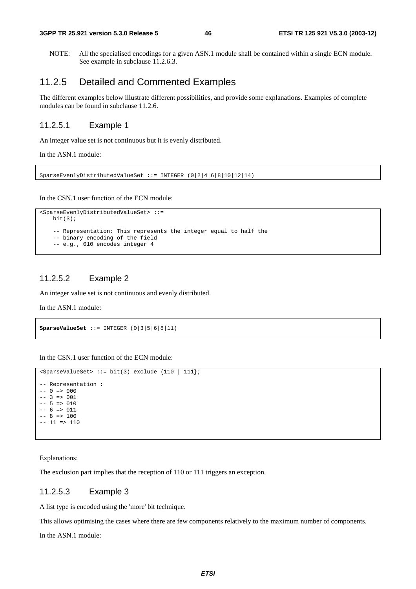NOTE: All the specialised encodings for a given ASN.1 module shall be contained within a single ECN module. See example in subclause 11.2.6.3.

## 11.2.5 Detailed and Commented Examples

The different examples below illustrate different possibilities, and provide some explanations. Examples of complete modules can be found in subclause 11.2.6.

#### 11.2.5.1 Example 1

An integer value set is not continuous but it is evenly distributed.

In the ASN.1 module:

SparseEvenlyDistributedValueSet ::= INTEGER (0|2|4|6|8|10|12|14)

In the CSN.1 user function of the ECN module:

```
<SparseEvenlyDistributedValueSet> ::= 
   \text{bit}(3); -- Representation: This represents the integer equal to half the 
     -- binary encoding of the field 
     -- e.g., 010 encodes integer 4
```
#### 11.2.5.2 Example 2

An integer value set is not continuous and evenly distributed.

In the ASN.1 module:

**SparseValueSet** ::= INTEGER (0|3|5|6|8|11)

In the CSN.1 user function of the ECN module:

```
<SparseValueSet> ::= bit(3) exclude {110 | 111}; 
-- Representation : 
-- 0 \Rightarrow 000
-- 3 => 001-- 5 => 010-- 6 => 011- - 8 => 100
-- 11 => 110
```
Explanations:

The exclusion part implies that the reception of 110 or 111 triggers an exception.

#### 11.2.5.3 Example 3

A list type is encoded using the 'more' bit technique.

This allows optimising the cases where there are few components relatively to the maximum number of components.

In the ASN.1 module: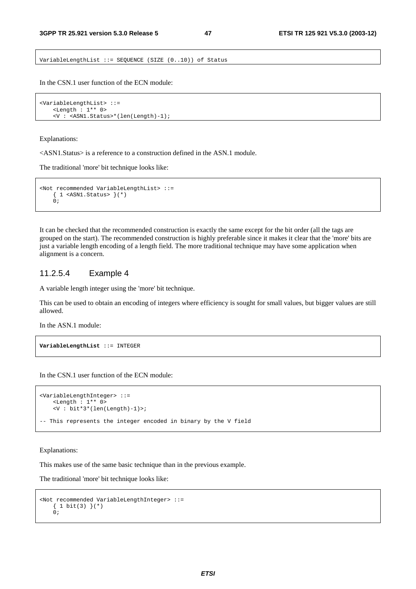VariableLengthList ::= SEQUENCE (SIZE (0..10)) of Status

In the CSN.1 user function of the ECN module:

```
<VariableLengthList> ::= 
     <Length : 1** 0> 
     <V : <ASN1.Status>*(len(Length)-1);
```
#### Explanations:

<ASN1.Status> is a reference to a construction defined in the ASN.1 module.

The traditional 'more' bit technique looks like:

```
<Not recommended VariableLengthList> ::= 
    { 1 <ASN1.Status> }(*) 
   0;
```
It can be checked that the recommended construction is exactly the same except for the bit order (all the tags are grouped on the start). The recommended construction is highly preferable since it makes it clear that the 'more' bits are just a variable length encoding of a length field. The more traditional technique may have some application when alignment is a concern.

#### 11.2.5.4 Example 4

A variable length integer using the 'more' bit technique.

This can be used to obtain an encoding of integers where efficiency is sought for small values, but bigger values are still allowed.

In the ASN.1 module:

```
VariableLengthList ::= INTEGER
```
In the CSN.1 user function of the ECN module:

```
<VariableLengthInteger> ::= 
     <Length : 1** 0> 
    \overline{\text{bit*3*}}(len(Length)-1)>;
-- This represents the integer encoded in binary by the V field
```
#### Explanations:

This makes use of the same basic technique than in the previous example.

The traditional 'more' bit technique looks like:

```
<Not recommended VariableLengthInteger> ::= 
    {1 bit(3) } (*)\ddot{0};
```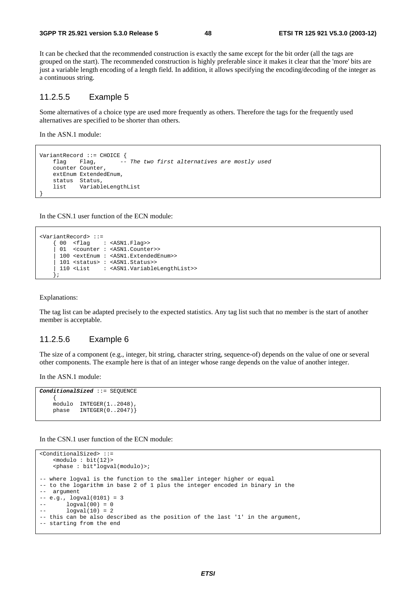It can be checked that the recommended construction is exactly the same except for the bit order (all the tags are grouped on the start). The recommended construction is highly preferable since it makes it clear that the 'more' bits are just a variable length encoding of a length field. In addition, it allows specifying the encoding/decoding of the integer as a continuous string.

#### 11.2.5.5 Example 5

Some alternatives of a choice type are used more frequently as others. Therefore the tags for the frequently used alternatives are specified to be shorter than others.

In the ASN.1 module:

```
VariantRecord ::= CHOICE { 
    flag Flag, -- The two first alternatives are mostly used 
    counter Counter, 
    extEnum ExtendedEnum, 
    status Status, 
    list VariableLengthList
```
In the CSN.1 user function of the ECN module:

```
<VariantRecord> ::= 
                 : <ASN1.Flag>>
     01 <counter : <ASN1.Counter>>
      | 100 <extEnum : <ASN1.ExtendedEnum>> 
      | 101 <status> : <ASN1.Status>> 
      | 110 <List : <ASN1.VariableLengthList>> 
 };
```
Explanations:

}

The tag list can be adapted precisely to the expected statistics. Any tag list such that no member is the start of another member is acceptable.

#### 11.2.5.6 Example 6

The size of a component (e.g., integer, bit string, character string, sequence-of) depends on the value of one or several other components. The example here is that of an integer whose range depends on the value of another integer.

In the ASN.1 module:

```
ConditionalSized ::= SEQUENCE 
 { 
     modulo INTEGER(1..2048), 
    phase INTEGER(0..2047)}
```
In the CSN.1 user function of the ECN module:

```
<ConditionalSized> ::= 
    <math>modulo : bit(12) <phase : bit*logval(modulo)>; 
-- where logval is the function to the smaller integer higher or equal 
-- to the logarithm in base 2 of 1 plus the integer encoded in binary in the 
-- argument 
-- e.g., logval(0101) = 3 
        logval(00) = 0logval(10) = 2-- this can be also described as the position of the last '1' in the argument, 
-- starting from the end
```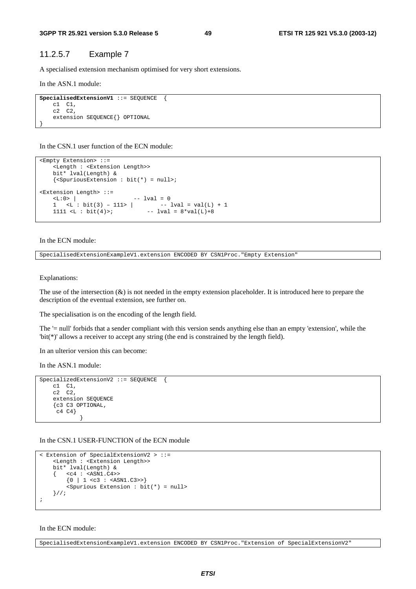#### 11.2.5.7 Example 7

A specialised extension mechanism optimised for very short extensions.

In the ASN.1 module:

```
SpecialisedExtensionV1 ::= SEQUENCE { 
     c1 C1, 
     c2 C2, 
     extension SEQUENCE{} OPTIONAL 
}
```
In the CSN.1 user function of the ECN module:

```
<Empty Extension> ::= 
     <Length : <Extension Length>> 
     bit* lval(Length) & 
     {<SpuriousExtension : bit(*) = null>; 
<Extension Length> ::= 
    \langle L:0 \rangle | -- lval = 0<br>1 \langle L:0 \rangle | -- lval = val(L) + 1
        | <L : bit(3) – 111> |
    1111 <L : bit(4)>; - lval = 8*val(L)+8
```
In the ECN module:

SpecialisedExtensionExampleV1.extension ENCODED BY CSN1Proc."Empty Extension"

Explanations:

The use of the intersection  $(x)$  is not needed in the empty extension placeholder. It is introduced here to prepare the description of the eventual extension, see further on.

The specialisation is on the encoding of the length field.

The '= null' forbids that a sender compliant with this version sends anything else than an empty 'extension', while the 'bit(\*)' allows a receiver to accept any string (the end is constrained by the length field).

In an ulterior version this can become:

In the ASN.1 module:

```
SpecializedExtensionV2 ::= SEQUENCE { 
    c1 C1, 
    c2 C2, 
    extension SEQUENCE 
    {c3 C3 OPTIONAL, 
     c4 C4} 
 }
```
In the CSN.1 USER-FUNCTION of the ECN module

```
< Extension of SpecialExtensionV2 > ::= 
     <Length : <Extension Length>> 
     bit* lval(Length) & 
    \{ \text{ cc4 : } \text{cASN1}.C4 \rightarrow\{0 \mid 1 \leq c3 : \text{GAN1.C3>>}\} <Spurious Extension : bit(*) = null> 
     }//; 
;
```
#### In the ECN module:

SpecialisedExtensionExampleV1.extension ENCODED BY CSN1Proc."Extension of SpecialExtensionV2"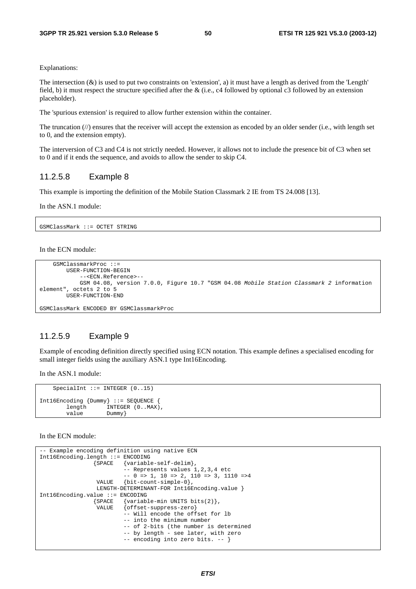Explanations:

The intersection  $(x)$  is used to put two constraints on 'extension', a) it must have a length as derived from the 'Length' field, b) it must respect the structure specified after the & (i.e., c4 followed by optional c3 followed by an extension placeholder).

The 'spurious extension' is required to allow further extension within the container.

The truncation  $(\frac{1}{\ell})$  ensures that the receiver will accept the extension as encoded by an older sender (i.e., with length set to 0, and the extension empty).

The interversion of C3 and C4 is not strictly needed. However, it allows not to include the presence bit of C3 when set to 0 and if it ends the sequence, and avoids to allow the sender to skip C4.

#### 11.2.5.8 Example 8

This example is importing the definition of the Mobile Station Classmark 2 IE from TS 24.008 [13].

In the ASN.1 module:

GSMClassMark ::= OCTET STRING

In the ECN module:

```
 GSMClassmarkProc ::= 
         USER-FUNCTION-BEGIN 
             --<ECN.Reference>-- 
             GSM 04.08, version 7.0.0, Figure 10.7 "GSM 04.08 Mobile Station Classmark 2 information 
element", octets 2 to 5 
         USER-FUNCTION-END 
GSMClassMark ENCODED BY GSMClassmarkProc
```
## 11.2.5.9 Example 9

Example of encoding definition directly specified using ECN notation. This example defines a specialised encoding for small integer fields using the auxiliary ASN.1 type Int16Encoding.

In the ASN.1 module:

```
SpecialInt ::= INTEGER (0..15)Int16Encoding {Dummy} ::= SEQUENCE { 
        length INTEGER (0..MAX), 
       value Dummy
```
In the ECN module:

```
-- Example encoding definition using native ECN 
Int16Encoding.length ::= ENCODING 
                 {SPACE {variable-self-delim}, 
                          -- Represents values 1,2,3,4 etc 
                         -- 0 => 1, 10 => 2, 110 => 3, 1110 =>4
                  VALUE {bit-count-simple-0}, 
                 LENGTH-DETERMINANT-FOR Int16Encoding.value }
Int16Encoding.value ::= ENCODING 
                 {SPACE {variable-min UNITS bits(2)}, 
                  VALUE {offset-suppress-zero} 
                           -- Will encode the offset for lb 
                          -- into the minimum number 
                          -- of 2-bits (the number is determined 
                          -- by length - see later, with zero 
                           -- encoding into zero bits. -- }
```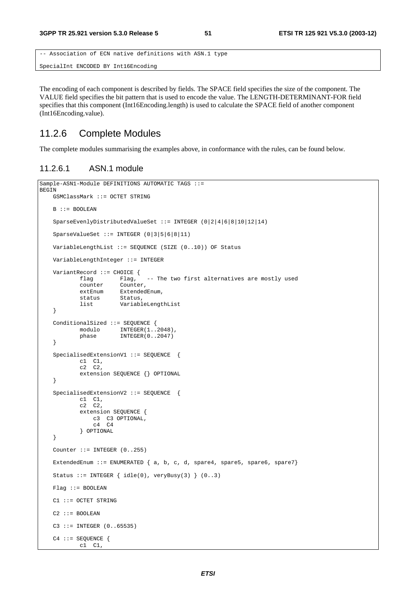```
-- Association of ECN native definitions with ASN.1 type 
SpecialInt ENCODED BY Int16Encoding
```
The encoding of each component is described by fields. The SPACE field specifies the size of the component. The VALUE field specifies the bit pattern that is used to encode the value. The LENGTH-DETERMINANT-FOR field specifies that this component (Int16Encoding.length) is used to calculate the SPACE field of another component (Int16Encoding.value).

## 11.2.6 Complete Modules

The complete modules summarising the examples above, in conformance with the rules, can be found below.

#### 11.2.6.1 ASN.1 module

```
Sample-ASN1-Module DEFINITIONS AUTOMATIC TAGS ::= 
BEGIN 
     GSMClassMark ::= OCTET STRING 
   B : := B<sup>OOLEAN</sup>
     SparseEvenlyDistributedValueSet ::= INTEGER (0|2|4|6|8|10|12|14) 
     SparseValueSet ::= INTEGER (0|3|5|6|8|11) 
     VariableLengthList ::= SEQUENCE (SIZE (0..10)) OF Status 
    VariableLengthInteger ::= INTEGER 
    VariantRecord ::= CHOICE {<br>flag Flag,
                                  -- The two first alternatives are mostly used
             counter Counter, 
            extEnum ExtendedEnum,
             status Status, 
             list VariableLengthList 
     } 
     ConditionalSized ::= SEQUENCE { 
            modulo INTEGER(1..2048),
             phase INTEGER(0..2047) 
     } 
     SpecialisedExtensionV1 ::= SEQUENCE { 
            c1 \quad c1,
            c2 \overline{c2},
             extension SEQUENCE {} OPTIONAL 
     } 
     SpecialisedExtensionV2 ::= SEQUENCE { 
             c1 C1, 
             c2 C2, 
             extension SEQUENCE { 
                 c3 C3 OPTIONAL, 
                 c4 C4 
             } OPTIONAL 
     } 
   Counter := INTEGER (0.1255) ExtendedEnum ::= ENUMERATED { a, b, c, d, spare4, spare5, spare6, spare7} 
    Status ::= INTEGER \{ idle(0), veryBusy(3) \} (0..3)
    Flag ::= BOOLEAN 
     C1 ::= OCTET STRING 
   C2 : := B00LFAMC3 :: = INTER (0..65535)C4 :: = SEQUENCE c1 C1,
```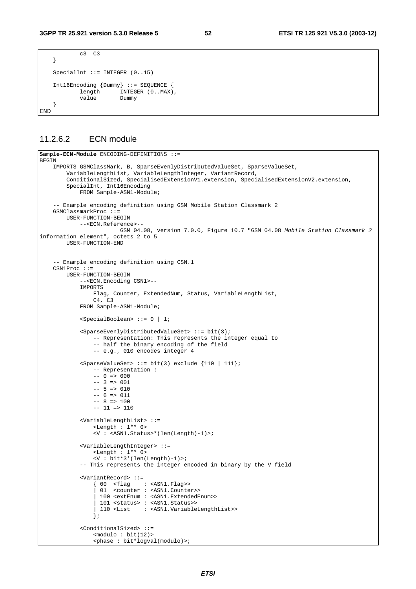```
c3 C3 } 
    SpecialInt ::= INTEGER (0..15)
     Int16Encoding {Dummy} ::= SEQUENCE { 
             length INTEGER (0..MAX),<br>value Dummv
             value
     }
END
```
#### 11.2.6.2 ECN module

```
Sample-ECN-Module ENCODING-DEFINITIONS ::= 
BEGIN 
 IMPORTS GSMClassMark, B, SparseEvenlyDistributedValueSet, SparseValueSet, 
 VariableLengthList, VariableLengthInteger, VariantRecord, 
        ConditionalSized, SpecialisedExtensionV1.extension, SpecialisedExtensionV2.extension,
         SpecialInt, Int16Encoding 
             FROM Sample-ASN1-Module; 
     -- Example encoding definition using GSM Mobile Station Classmark 2 
     GSMClassmarkProc ::= 
         USER-FUNCTION-BEGIN 
             --<ECN.Reference>-- 
                         GSM 04.08, version 7.0.0, Figure 10.7 "GSM 04.08 Mobile Station Classmark 2
information element", octets 2 to 5 
         USER-FUNCTION-END 
     -- Example encoding definition using CSN.1 
     CSN1Proc ::= 
         USER-FUNCTION-BEGIN 
             --<ECN.Encoding CSN1>-- 
             IMPORTS 
                  Flag, Counter, ExtendedNum, Status, VariableLengthList, 
                  C4, C3 
             FROM Sample-ASN1-Module; 
             <SpecialBoolean> ::= 0 | 1; 
             <SparseEvenlyDistributedValueSet> ::= bit(3); 
                  -- Representation: This represents the integer equal to 
                  -- half the binary encoding of the field 
                  -- e.g., 010 encodes integer 4 
             <SparseValueSet> ::= bit(3) exclude {110 | 111}; 
                  -- Representation : 
                 -- 0 \Rightarrow 000
                 -- 3 => 001-- 5 => 010-- 6 => 011-- 8 => 100-- 11 => 110 <VariableLengthList> ::= 
                  <Length : 1** 0> 
                  <V : <ASN1.Status>*(len(Length)-1)>; 
             <VariableLengthInteger> ::= 
                  <Length : 1** 0> 
                  <V : bit*3*(len(Length)-1)>; 
              -- This represents the integer encoded in binary by the V field 
              <VariantRecord> ::= 
 { 00 <flag : <ASN1.Flag>> 
 | 01 <counter : <ASN1.Counter>> 
                   | 100 <extEnum : <ASN1.ExtendedEnum>> 
                   | 101 <status> : <ASN1.Status>> 
                   | 110 <List : <ASN1.VariableLengthList>> 
                  }; 
              <ConditionalSized> ::= 
                 <math>modulo : bit(12)></math> <phase : bit*logval(modulo)>;
```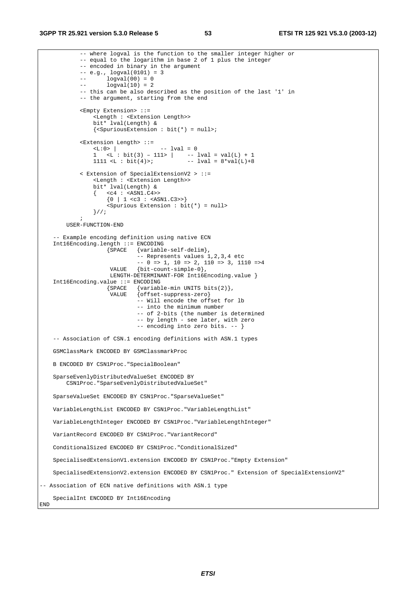```
 -- where logval is the function to the smaller integer higher or 
             -- equal to the logarithm in base 2 of 1 plus the integer 
             -- encoded in binary in the argument 
            -- e.g., logval(0101) = 3-- logval(00) = 0-- logval(10) = 2 -- this can be also described as the position of the last '1' in 
             -- the argument, starting from the end 
             <Empty Extension> ::= 
                  <Length : <Extension Length>> 
                 bit* lval(Length) & 
                \{\leqSpuriousExtension : bit(*) = null>;
             <Extension Length> ::= 
                                      -- lval = 0
1 <L : bit(3) – 111> | -- lval = val(L) + 1
1111 <L : bit(4)>; - - lval = 8*val(L)+8 < Extension of SpecialExtensionV2 > ::= 
                  <Length : <Extension Length>> 
                 bit* lval(Length) & 
                \{ \text{ c4 : } \text{cASN1.C4} \}\{0 \mid 1 \leq c3 : \text{GAN1.C3>>}\} <Spurious Extension : bit(*) = null> 
            \frac{1}{2}\mathbf{z} ; and \mathbf{z} is the set of \mathbf{z} USER-FUNCTION-END 
     -- Example encoding definition using native ECN 
     Int16Encoding.length ::= ENCODING 
                      {SPACE {variable-self-delim}, 
                               -- Represents values 1,2,3,4 etc 
                              -- 0 => 1, 10 => 2, 110 => 3, 1110 =>4
                       VALUE {bit-count-simple-0}, 
                      LENGTH-DETERMINANT-FOR Int16Encoding.value }
     Int16Encoding.value ::= ENCODING 
                     {Space {variable-min} UNITS bits(2) ,<br>VALUE {offset-sum}\{offset-suppress-zero\} -- Will encode the offset for lb 
                               -- into the minimum number 
                               -- of 2-bits (the number is determined 
                               -- by length - see later, with zero 
                               -- encoding into zero bits. -- } 
     -- Association of CSN.1 encoding definitions with ASN.1 types 
    GSMClassMark ENCODED BY GSMClassmarkProc 
    B ENCODED BY CSN1Proc."SpecialBoolean" 
     SparseEvenlyDistributedValueSet ENCODED BY 
         CSN1Proc."SparseEvenlyDistributedValueSet" 
     SparseValueSet ENCODED BY CSN1Proc."SparseValueSet" 
     VariableLengthList ENCODED BY CSN1Proc."VariableLengthList" 
    VariableLengthInteger ENCODED BY CSN1Proc."VariableLengthInteger" 
    VariantRecord ENCODED BY CSN1Proc."VariantRecord" 
     ConditionalSized ENCODED BY CSN1Proc."ConditionalSized" 
     SpecialisedExtensionV1.extension ENCODED BY CSN1Proc."Empty Extension" 
     SpecialisedExtensionV2.extension ENCODED BY CSN1Proc." Extension of SpecialExtensionV2" 
-- Association of ECN native definitions with ASN.1 type 
     SpecialInt ENCODED BY Int16Encoding 
END
```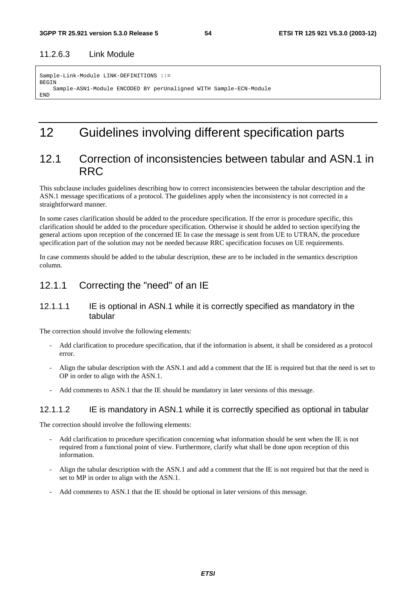### 11.2.6.3 Link Module

```
Sample-Link-Module LINK-DEFINITIONS ::= 
BEGIN
     Sample-ASN1-Module ENCODED BY perUnaligned WITH Sample-ECN-Module 
END
```
## 12 Guidelines involving different specification parts

## 12.1 Correction of inconsistencies between tabular and ASN.1 in RRC

This subclause includes guidelines describing how to correct inconsistencies between the tabular description and the ASN.1 message specifications of a protocol. The guidelines apply when the inconsistency is not corrected in a straightforward manner.

In some cases clarification should be added to the procedure specification. If the error is procedure specific, this clarification should be added to the procedure specification. Otherwise it should be added to section specifying the general actions upon reception of the concerned IE In case the message is sent from UE to UTRAN, the procedure specification part of the solution may not be needed because RRC specification focuses on UE requirements.

In case comments should be added to the tabular description, these are to be included in the semantics description column.

## 12.1.1 Correcting the "need" of an IE

#### 12.1.1.1 IE is optional in ASN.1 while it is correctly specified as mandatory in the tabular

The correction should involve the following elements:

- Add clarification to procedure specification, that if the information is absent, it shall be considered as a protocol error.
- Align the tabular description with the ASN.1 and add a comment that the IE is required but that the need is set to OP in order to align with the ASN.1.
- Add comments to ASN.1 that the IE should be mandatory in later versions of this message.

#### 12.1.1.2 IE is mandatory in ASN.1 while it is correctly specified as optional in tabular

The correction should involve the following elements:

- Add clarification to procedure specification concerning what information should be sent when the IE is not required from a functional point of view. Furthermore, clarify what shall be done upon reception of this information.
- Align the tabular description with the ASN.1 and add a comment that the IE is not required but that the need is set to MP in order to align with the ASN.1.
- Add comments to ASN.1 that the IE should be optional in later versions of this message.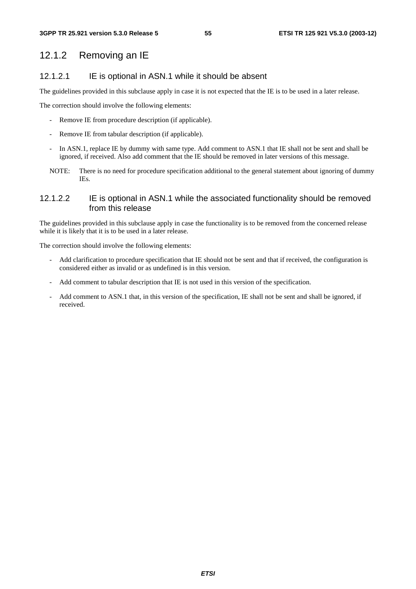## 12.1.2 Removing an IE

### 12.1.2.1 IE is optional in ASN.1 while it should be absent

The guidelines provided in this subclause apply in case it is not expected that the IE is to be used in a later release.

The correction should involve the following elements:

- Remove IE from procedure description (if applicable).
- Remove IE from tabular description (if applicable).
- In ASN.1, replace IE by dummy with same type. Add comment to ASN.1 that IE shall not be sent and shall be ignored, if received. Also add comment that the IE should be removed in later versions of this message.
- NOTE: There is no need for procedure specification additional to the general statement about ignoring of dummy IEs.

### 12.1.2.2 IE is optional in ASN.1 while the associated functionality should be removed from this release

The guidelines provided in this subclause apply in case the functionality is to be removed from the concerned release while it is likely that it is to be used in a later release.

The correction should involve the following elements:

- Add clarification to procedure specification that IE should not be sent and that if received, the configuration is considered either as invalid or as undefined is in this version.
- Add comment to tabular description that IE is not used in this version of the specification.
- Add comment to ASN.1 that, in this version of the specification, IE shall not be sent and shall be ignored, if received.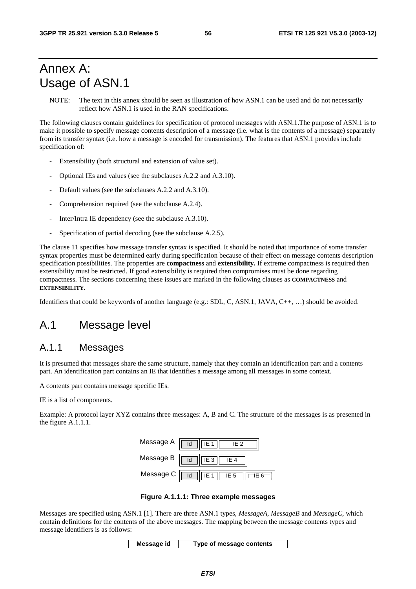## Annex A: Usage of ASN.1

NOTE: The text in this annex should be seen as illustration of how ASN.1 can be used and do not necessarily reflect how ASN.1 is used in the RAN specifications.

The following clauses contain guidelines for specification of protocol messages with ASN.1.The purpose of ASN.1 is to make it possible to specify message contents description of a message (i.e. what is the contents of a message) separately from its transfer syntax (i.e. how a message is encoded for transmission). The features that ASN.1 provides include specification of:

- Extensibility (both structural and extension of value set).
- Optional IEs and values (see the subclauses A.2.2 and A.3.10).
- Default values (see the subclauses A.2.2 and A.3.10).
- Comprehension required (see the subclause A.2.4).
- Inter/Intra IE dependency (see the subclause A.3.10).
- Specification of partial decoding (see the subclause A.2.5).

The clause 11 specifies how message transfer syntax is specified. It should be noted that importance of some transfer syntax properties must be determined early during specification because of their effect on message contents description specification possibilities. The properties are **compactness** and **extensibility.** If extreme compactness is required then extensibility must be restricted. If good extensibility is required then compromises must be done regarding compactness. The sections concerning these issues are marked in the following clauses as **COMPACTNESS** and **EXTENSIBILITY**.

Identifiers that could be keywords of another language (e.g.: SDL, C, ASN.1, JAVA, C++, …) should be avoided.

## A.1 Message level

### A.1.1 Messages

It is presumed that messages share the same structure, namely that they contain an identification part and a contents part. An identification part contains an IE that identifies a message among all messages in some context.

A contents part contains message specific IEs.

IE is a list of components.

Example: A protocol layer XYZ contains three messages: A, B and C. The structure of the messages is as presented in the figure A.1.1.1.

| Message A | ld<br>IF <sub>2</sub><br>IF 1            |
|-----------|------------------------------------------|
| Message B | IE <sub>3</sub><br>ld<br>IE <sub>4</sub> |
| Message C | ld<br>IE <sub>5</sub><br>IF 1            |

**Figure A.1.1.1: Three example messages** 

Messages are specified using ASN.1 [1]. There are three ASN.1 types, *MessageA*, *MessageB* and *MessageC*, which contain definitions for the contents of the above messages. The mapping between the message contents types and message identifiers is as follows:

**Message id Type of message contents**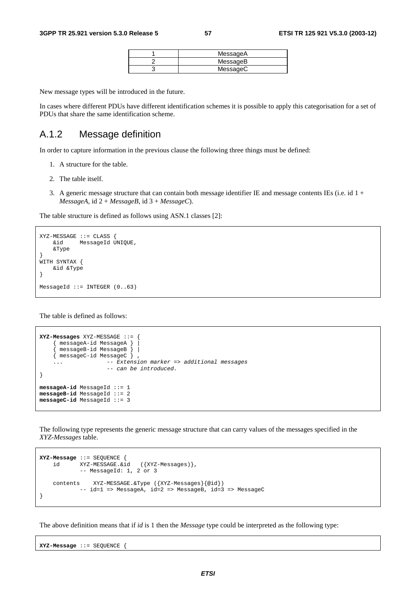| MessageA |
|----------|
| MessageB |
| MessageC |

New message types will be introduced in the future.

In cases where different PDUs have different identification schemes it is possible to apply this categorisation for a set of PDUs that share the same identification scheme.

## A.1.2 Message definition

In order to capture information in the previous clause the following three things must be defined:

- 1. A structure for the table.
- 2. The table itself.
- 3. A generic message structure that can contain both message identifier IE and message contents IEs (i.e. id  $1 +$  $MessageA$ , id  $2 + MessageB$ , id  $3 + MessageC$ .

The table structure is defined as follows using ASN.1 classes [2]:

```
XYZ-MERSSAGE ::= CIASS :
     &id MessageId UNIQUE, 
     &Type 
} 
WITH SYNTAX { 
     &id &Type 
} 
MessageId ::= INTEGER (0..63)
```
The table is defined as follows:

```
XYZ-Messages XYZ-MESSAGE ::= { 
     { messageA-id MessageA } | 
     { messageB-id MessageB } | 
     { messageC-id MessageC } , 
    ... -- Extension marker => additional messages
                     -- can be introduced. 
} 
messageA-id MessageId ::= 1 
messageB-id MessageId ::= 2 
messageC-id MessageId ::= 3
```
The following type represents the generic message structure that can carry values of the messages specified in the *XYZ-Messages* table.

```
XYZ-Message ::= SEQUENCE { 
 id XYZ-MESSAGE.&id ({XYZ-Messages)}, 
 -- MessageId: 1, 2 or 3 
    contents XYZ-MESSAGE.&Type ({XYZ-Messages}{@id}) 
          -- id=1 => MessageA, id=2 => MessageB, id=3 => MessageC
}
```
The above definition means that if *id* is 1 then the *Message* type could be interpreted as the following type:

**XYZ-Message** ::= SEQUENCE {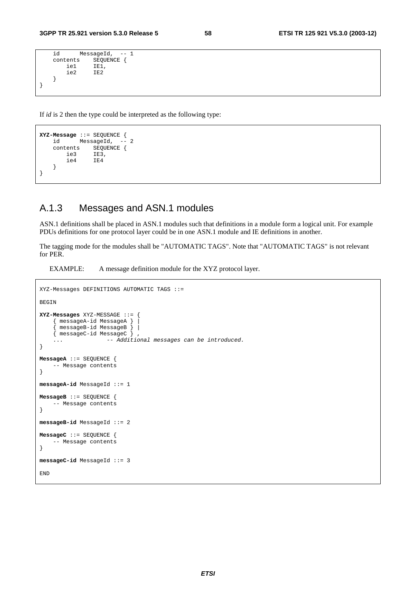```
 id MessageId, -- 1 
     contents SEQUENCE {<br>iel IE1,
           ie1 IE1,<br>ie2 IE2
                      ie2 IE2 
      } 
}
```
If *id* is 2 then the type could be interpreted as the following type:

```
XYZ-Message ::= SEQUENCE { 
         MessageId, -
    contents SEQUENCE { 
        ie3 IE3, 
        ie4 IE4 
    } 
}
```
## A.1.3 Messages and ASN.1 modules

ASN.1 definitions shall be placed in ASN.1 modules such that definitions in a module form a logical unit. For example PDUs definitions for one protocol layer could be in one ASN.1 module and IE definitions in another.

The tagging mode for the modules shall be "AUTOMATIC TAGS". Note that "AUTOMATIC TAGS" is not relevant for PER.

EXAMPLE: A message definition module for the XYZ protocol layer.

```
XYZ-Messages DEFINITIONS AUTOMATIC TAGS ::= 
BEGIN 
XYZ-Messages XYZ-MESSAGE ::= { 
     { messageA-id MessageA } | 
      { messageB-id MessageB } | 
    \overline{\{\n} messageC-id MessageC \overline{\}... \frac{3}{2} -- Additional messages can be introduced.
} 
MessageA ::= SEQUENCE { 
     -- Message contents 
} 
messageA-id MessageId ::= 1 
MessageB ::= SEQUENCE { 
     -- Message contents 
} 
messageB-id MessageId ::= 2 
MessageC ::= SEQUENCE { 
      -- Message contents 
} 
messageC-id MessageId ::= 3 
END
```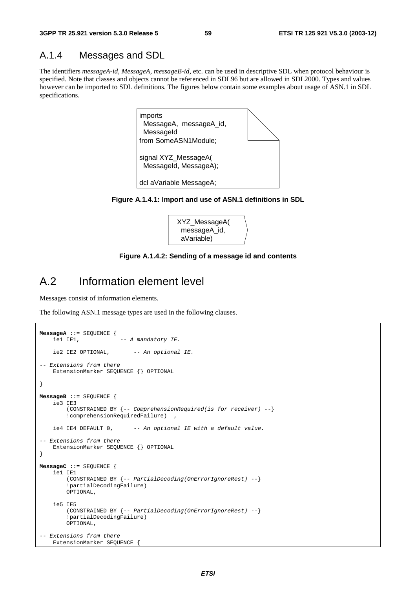### A.1.4 Messages and SDL

The identifiers *messageA-id*, *MessageA*, *messageB-id*, etc. can be used in descriptive SDL when protocol behaviour is specified. Note that classes and objects cannot be referenced in SDL96 but are allowed in SDL2000. Types and values however can be imported to SDL definitions. The figures below contain some examples about usage of ASN.1 in SDL specifications.



**Figure A.1.4.1: Import and use of ASN.1 definitions in SDL** 



#### **Figure A.1.4.2: Sending of a message id and contents**

## A.2 Information element level

Messages consist of information elements.

The following ASN.1 message types are used in the following clauses.

```
MessageA ::= SEQUENCE {<br>iel IEl,
                          -- A mandatory IE.
    ie2 IE2 OPTIONAL, -- An optional IE.
-- Extensions from there 
     ExtensionMarker SEQUENCE {} OPTIONAL 
} 
MessageB ::= SEQUENCE { 
     ie3 IE3 
         (CONSTRAINED BY {-- ComprehensionRequired(is for receiver) --} 
         !comprehensionRequiredFailure) , 
    ie4 IE4 DEFAULT 0, -- An optional IE with a default value.
-- Extensions from there 
     ExtensionMarker SEQUENCE {} OPTIONAL 
} 
MessageC ::= SEQUENCE { 
     ie1 IE1 
         (CONSTRAINED BY {-- PartialDecoding(OnErrorIgnoreRest) --} 
         !partialDecodingFailure) 
         OPTIONAL, 
     ie5 IE5 
         (CONSTRAINED BY {-- PartialDecoding(OnErrorIgnoreRest) --} 
         !partialDecodingFailure) 
         OPTIONAL, 
-- Extensions from there
     ExtensionMarker SEQUENCE {
```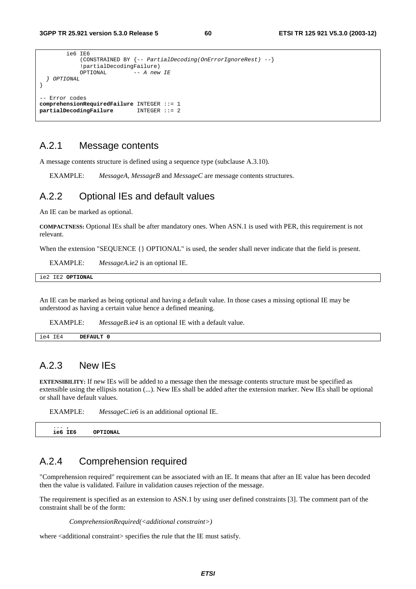```
 ie6 IE6 
               (CONSTRAINED BY {-- PartialDecoding(OnErrorIgnoreRest) --} 
              !partialDecodingFailure)<br>OPTIONAL -- A new
                                -- A new IE
   } OPTIONAL 
} 
   Error codes
comprehensionRequiredFailure INTEGER ::= 1 
partialDecodingFailure
```
## A.2.1 Message contents

A message contents structure is defined using a sequence type (subclause A.3.10).

EXAMPLE: *MessageA*, *MessageB* and *MessageC* are message contents structures.

### A.2.2 Optional IEs and default values

An IE can be marked as optional.

**COMPACTNESS:** Optional IEs shall be after mandatory ones. When ASN.1 is used with PER, this requirement is not relevant.

When the extension "SEQUENCE {} OPTIONAL" is used, the sender shall never indicate that the field is present.

EXAMPLE: *MessageA.ie2* is an optional IE.

|  | ie2 IE2 OPTIONAL |  |
|--|------------------|--|
|  |                  |  |

An IE can be marked as being optional and having a default value. In those cases a missing optional IE may be understood as having a certain value hence a defined meaning.

EXAMPLE: *MessageB.ie4* is an optional IE with a default value.

| IE4<br>1e4 | ו הי<br>the contract of the contract of the contract of the contract of the contract of the contract of the contract of |
|------------|-------------------------------------------------------------------------------------------------------------------------|
|            |                                                                                                                         |

## A.2.3 New IEs

**EXTENSIBILITY:** If new IEs will be added to a message then the message contents structure must be specified as extensible using the ellipsis notation (...). New IEs shall be added after the extension marker. New IEs shall be optional or shall have default values.

|          | --------------- |           |
|----------|-----------------|-----------|
| $\cdots$ | ie6 IE6         | OPTTONAT. |

## A.2.4 Comprehension required

EXAMPLE: *MessageC.ie6* is an additional optional IE

"Comprehension required" requirement can be associated with an IE. It means that after an IE value has been decoded then the value is validated. Failure in validation causes rejection of the message.

The requirement is specified as an extension to ASN.1 by using user defined constraints [3]. The comment part of the constraint shall be of the form:

*ComprehensionRequired(<additional constraint>)* 

where <additional constraint> specifies the rule that the IE must satisfy.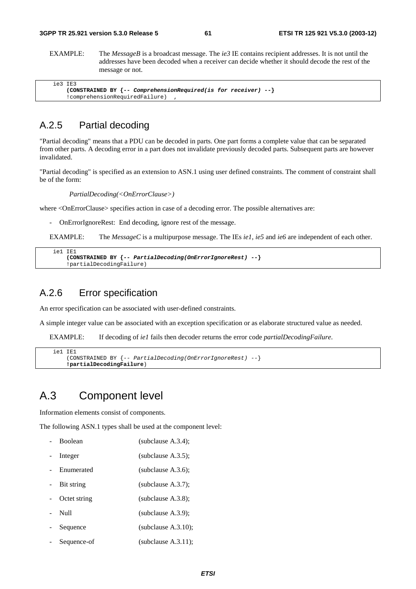EXAMPLE: The *MessageB* is a broadcast message. The *ie3* IE contains recipient addresses. It is not until the addresses have been decoded when a receiver can decide whether it should decode the rest of the message or not.

| ie3 IE3                                                            |
|--------------------------------------------------------------------|
| (CONSTRAINED BY $\{-\}$ ComprehensionRequired(is for receiver) --} |
| !comprehensionRequiredFailure)                                     |

## A.2.5 Partial decoding

"Partial decoding" means that a PDU can be decoded in parts. One part forms a complete value that can be separated from other parts. A decoding error in a part does not invalidate previously decoded parts. Subsequent parts are however invalidated.

"Partial decoding" is specified as an extension to ASN.1 using user defined constraints. The comment of constraint shall be of the form:

*PartialDecoding(<OnErrorClause>)* 

where <OnErrorClause> specifies action in case of a decoding error. The possible alternatives are:

- OnErrorIgnoreRest: End decoding, ignore rest of the message.

EXAMPLE: The *MessageC* is a multipurpose message. The IEs *ie1*, *ie5* and *ie6* are independent of each other.

```
 ie1 IE1 
     (CONSTRAINED BY {-- PartialDecoding(OnErrorIgnoreRest) --} 
     !partialDecodingFailure)
```
### A.2.6 Error specification

An error specification can be associated with user-defined constraints.

A simple integer value can be associated with an exception specification or as elaborate structured value as needed.

EXAMPLE: If decoding of *ie1* fails then decoder returns the error code *partialDecodingFailure*.

```
 ie1 IE1 
     (CONSTRAINED BY {-- PartialDecoding(OnErrorIgnoreRest) --} 
     !partialDecodingFailure)
```
## A.3 Component level

Information elements consist of components.

The following ASN.1 types shall be used at the component level:

| <b>Boolean</b> | (subclause $A.3.4$ );  |
|----------------|------------------------|
| Integer        | (subclause $A.3.5$ );  |
| Enumerated     | (subclause $A.3.6$ );  |
| Bit string     | (subclause $A.3.7$ );  |
| Octet string   | (subclause $A.3.8$ );  |
| Null           | (subclause $A.3.9$ );  |
| Sequence       | (subclause $A.3.10$ ); |
| Sequence-of    | (subclause $A.3.11$ ); |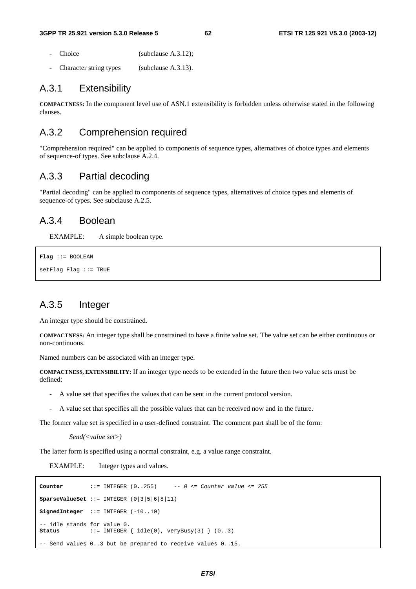- Choice (subclause A.3.12);
- Character string types (subclause A.3.13).

### A.3.1 Extensibility

**COMPACTNESS:** In the component level use of ASN.1 extensibility is forbidden unless otherwise stated in the following clauses.

### A.3.2 Comprehension required

"Comprehension required" can be applied to components of sequence types, alternatives of choice types and elements of sequence-of types. See subclause A.2.4.

## A.3.3 Partial decoding

"Partial decoding" can be applied to components of sequence types, alternatives of choice types and elements of sequence-of types. See subclause A.2.5.

### A.3.4 Boolean

EXAMPLE: A simple boolean type.

```
Flag ::= BOOLEAN 
setFlag Flag ::= TRUE
```
## A.3.5 Integer

An integer type should be constrained.

**COMPACTNESS:** An integer type shall be constrained to have a finite value set. The value set can be either continuous or non-continuous.

Named numbers can be associated with an integer type.

**COMPACTNESS, EXTENSIBILITY:** If an integer type needs to be extended in the future then two value sets must be defined:

- A value set that specifies the values that can be sent in the current protocol version.
- A value set that specifies all the possible values that can be received now and in the future.

The former value set is specified in a user-defined constraint. The comment part shall be of the form:

```
Send(<value set>)
```
The latter form is specified using a normal constraint, e.g. a value range constraint.

EXAMPLE: Integer types and values.

```
Counter ::= INTEGER (0..255) -- 0 <= Counter value <= 255 
SparseValueSet ::= INTEGER (0|3|5|6|8|11) 
SignedInteger ::= INTEGER (-10..10) 
-- idle stands for value 0.<br>Status ::= INTEGER
                 \text{SUS} = \text{INTER} \{ \text{ idle}(0), \text{veryBusy}(3) \} (0..3)-- Send values 0..3 but be prepared to receive values 0..15.
```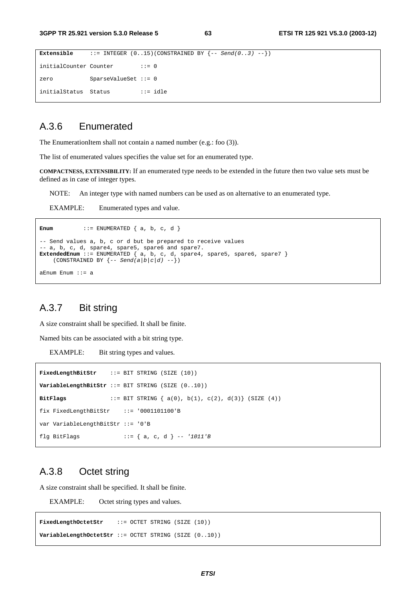```
Extensible ::= \text{INTER } (0..15)(\text{CONF} \text{REED BY } \{-\text{Send}(0..3) --\})initialCounter Counter ::= 0
zero SparseValueSet ::= 0 
initialStatus Status ::= idle
```
## A.3.6 Enumerated

The EnumerationItem shall not contain a named number (e.g.: foo (3)).

The list of enumerated values specifies the value set for an enumerated type.

**COMPACTNESS, EXTENSIBILITY:** If an enumerated type needs to be extended in the future then two value sets must be defined as in case of integer types.

NOTE: An integer type with named numbers can be used as on alternative to an enumerated type.

EXAMPLE: Enumerated types and value.

```
Enum ::= ENUMERATED \{a, b, c, d\}-- Send values a, b, c or d but be prepared to receive values 
-- a, b, c, d, spare4, spare5, spare6 and spare7. 
ExtendedEnum ::= ENUMERATED { a, b, c, d, spare4, spare5, spare6, spare7 } 
    (CONSTRAINED BY \{-\text{Send}(a/b|c/d) \ \text{--}\})
aEnum Enum ::= a
```
## A.3.7 Bit string

A size constraint shall be specified. It shall be finite.

Named bits can be associated with a bit string type.

EXAMPLE: Bit string types and values.

```
FixedLengthBitStr ::= BIT STRING (SIZE (10)) 
VariableLengthBitStr ::= BIT STRING (SIZE (0..10)) 
BitFlags ::= BIT STRING { a(0), b(1), c(2), d(3)} (SIZE (4)) 
fix FixedLengthBitStr ::= '0001101100'B 
var VariableLengthBitStr ::= '0'B 
flg BitFlags ::= { a, c, d } -- '1011'B
```
### A.3.8 Octet string

A size constraint shall be specified. It shall be finite.

EXAMPLE: Octet string types and values.

**FixedLengthOctetStr** ::= OCTET STRING (SIZE (10)) **VariableLengthOctetStr** ::= OCTET STRING (SIZE (0..10))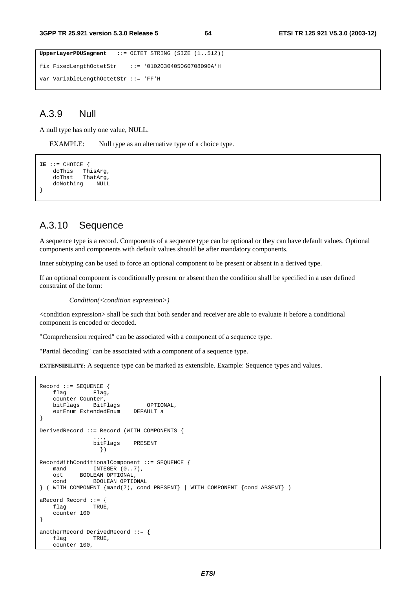```
UpperLayerPDUSegment ::= OCTET STRING (SIZE (1..512)) 
fix FixedLengthOctetStr ::= '0102030405060708090A'H 
var VariableLengthOctetStr ::= 'FF'H
```
## A.3.9 Null

A null type has only one value, NULL.

EXAMPLE: Null type as an alternative type of a choice type.

```
IE ::= CHOICE { 
 doThis ThisArg, 
 doThat ThatArg, 
    doNothing NULL 
}
```
### A.3.10 Sequence

A sequence type is a record. Components of a sequence type can be optional or they can have default values. Optional components and components with default values should be after mandatory components.

Inner subtyping can be used to force an optional component to be present or absent in a derived type.

If an optional component is conditionally present or absent then the condition shall be specified in a user defined constraint of the form:

*Condition(<condition expression>)* 

<condition expression> shall be such that both sender and receiver are able to evaluate it before a conditional component is encoded or decoded.

"Comprehension required" can be associated with a component of a sequence type.

"Partial decoding" can be associated with a component of a sequence type.

**EXTENSIBILITY:** A sequence type can be marked as extensible. Example: Sequence types and values.

```
Record ::= SEQUENCE {<br>flag Flag,
                Flag,
     counter Counter, 
    bitFlags BitFlags OPTIONAL,<br>extEnum ExtendedEnum DEFAULT a
    extEnum ExtendedEnum
} 
DerivedRecord ::= Record (WITH COMPONENTS { 
 ..., 
                  bitFlags PRESENT 
                   }) 
RecordWithConditionalComponent ::= SEQUENCE { 
    mand INTEGER (0..7),
    opt BOOLEAN OPTIONAL,<br>cond BOOLEAN OPTIO
              BOOLEAN OPTIONAL
} ( WITH COMPONENT {mand(7), cond PRESENT} | WITH COMPONENT {cond ABSENT} ) 
aRecord Record ::= { 
    flag TRUE,
     counter 100 
} 
anotherRecord DerivedRecord ::= { 
    flag TRUE,
     counter 100,
```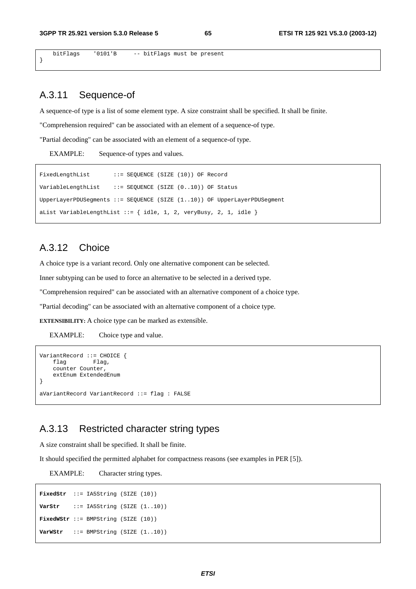bitFlags '0101'B -- bitFlags must be present

## A.3.11 Sequence-of

}

A sequence-of type is a list of some element type. A size constraint shall be specified. It shall be finite.

"Comprehension required" can be associated with an element of a sequence-of type.

"Partial decoding" can be associated with an element of a sequence-of type.

EXAMPLE: Sequence-of types and values.

```
FixedLengthList ::= SEQUENCE (SIZE (10)) OF Record
VariableLengthList ::= SEQUENCE (SIZE (0..10)) OF Status 
UpperLayerPDUSegments ::= SEQUENCE (SIZE (1..10)) OF UpperLayerPDUSegment 
aList VariableLengthList  ::= \{ idle, 1, 2, veryBusy, 2, 1, idle \}
```
## A.3.12 Choice

A choice type is a variant record. Only one alternative component can be selected.

Inner subtyping can be used to force an alternative to be selected in a derived type.

"Comprehension required" can be associated with an alternative component of a choice type.

"Partial decoding" can be associated with an alternative component of a choice type.

**EXTENSIBILITY:** A choice type can be marked as extensible.

EXAMPLE: Choice type and value.

```
VariantRecord ::= CHOICE { 
     flag Flag, 
     counter Counter, 
     extEnum ExtendedEnum 
} 
aVariantRecord VariantRecord ::= flag : FALSE
```
## A.3.13 Restricted character string types

A size constraint shall be specified. It shall be finite.

It should specified the permitted alphabet for compactness reasons (see examples in PER [5]).

EXAMPLE: Character string types.

```
FixedStr ::= IA5String (SIZE (10)) 
VarStr ::= IA5String (SIZE (1..10))
FixedWStr ::= BMPString (SIZE (10)) 
VarWStr ::= BMPString (SIZE (1..10))
```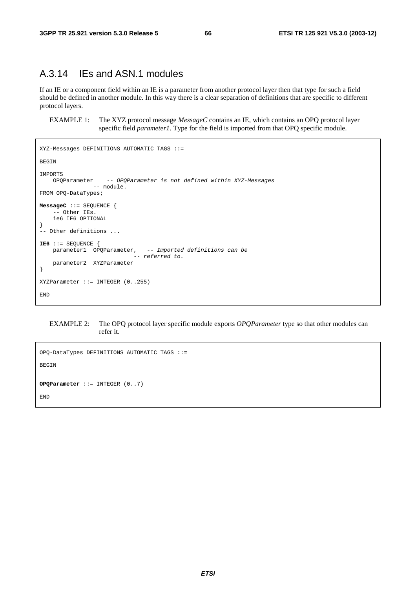## A.3.14 IEs and ASN.1 modules

If an IE or a component field within an IE is a parameter from another protocol layer then that type for such a field should be defined in another module. In this way there is a clear separation of definitions that are specific to different protocol layers.

EXAMPLE 1: The XYZ protocol message *MessageC* contains an IE, which contains an OPQ protocol layer specific field *parameter1*. Type for the field is imported from that OPQ specific module.

```
XYZ-Messages DEFINITIONS AUTOMATIC TAGS ::= 
BEGIN 
IMPORTS 
                    -- OPQParameter is not defined within XYZ-Messages
                -- module.
FROM OPQ-DataTypes; 
MessageC ::= SEQUENCE { 
     - Other IEs.
     ie6 IE6 OPTIONAL
} 
 -- Other definitions ... 
IE6 ::= SEQUENCE { 
   parameter1 OPQParameter, -- Imported definitions can be
                              -- referred to. 
     parameter2 XYZParameter 
} 
XYZParameter ::= INTEGER (0..255) 
END
```
EXAMPLE 2: The OPQ protocol layer specific module exports *OPQParameter* type so that other modules can refer it.

```
OPQ-DataTypes DEFINITIONS AUTOMATIC TAGS ::= 
BEGIN 
OPQParameter ::= INTEGER (0..7) 
END
```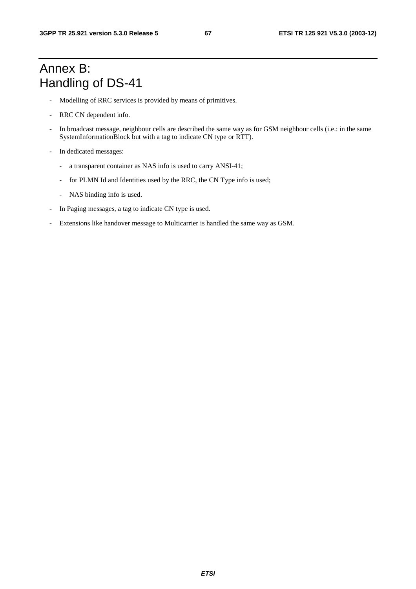## Annex B: Handling of DS-41

- Modelling of RRC services is provided by means of primitives.
- RRC CN dependent info.
- In broadcast message, neighbour cells are described the same way as for GSM neighbour cells (i.e.: in the same SystemInformationBlock but with a tag to indicate CN type or RTT).
- In dedicated messages:
	- a transparent container as NAS info is used to carry ANSI-41;
	- for PLMN Id and Identities used by the RRC, the CN Type info is used;
	- NAS binding info is used.
- In Paging messages, a tag to indicate CN type is used.
- Extensions like handover message to Multicarrier is handled the same way as GSM.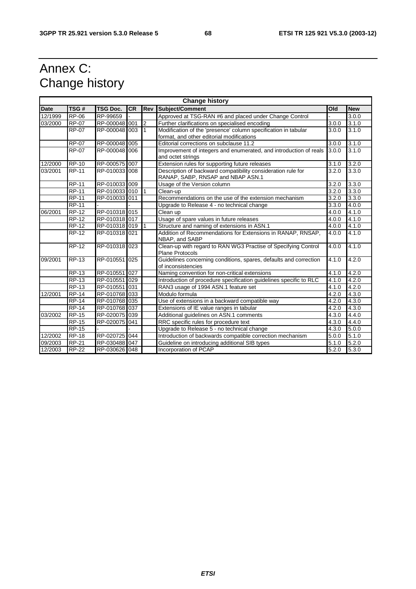## Annex C: Change history

| <b>Change history</b> |              |                 |           |              |                                                                                                   |       |            |
|-----------------------|--------------|-----------------|-----------|--------------|---------------------------------------------------------------------------------------------------|-------|------------|
| <b>Date</b>           | TSG#         | <b>TSG Doc.</b> | <b>CR</b> | Rev          | Subject/Comment                                                                                   | Old   | <b>New</b> |
| 12/1999               | <b>RP-06</b> | RP-99659        |           |              | Approved at TSG-RAN #6 and placed under Change Control                                            |       | 3.0.0      |
| 03/2000               | <b>RP-07</b> | RP-000048 001   |           | 2            | Further clarifications on specialised encoding                                                    | 3.0.0 | 3.1.0      |
|                       | <b>RP-07</b> | RP-000048 003   |           | $\mathbf{1}$ | Modification of the 'presence' column specification in tabular                                    | 3.0.0 | 3.1.0      |
|                       |              |                 |           |              | format, and other editorial modifications                                                         |       |            |
|                       | <b>RP-07</b> | RP-000048 005   |           |              | Editorial corrections on subclause 11.2                                                           | 3.0.0 | 3.1.0      |
|                       | <b>RP-07</b> | RP-000048 006   |           |              | Improvement of integers and enumerated, and introduction of reals<br>and octet strings            | 3.0.0 | 3.1.0      |
| 12/2000               | <b>RP-10</b> | RP-000575 007   |           |              | Extension rules for supporting future releases                                                    | 3.1.0 | 3.2.0      |
| 03/2001               | <b>RP-11</b> | RP-010033 008   |           |              | Description of backward compatibility consideration rule for<br>RANAP, SABP, RNSAP and NBAP ASN.1 | 3.2.0 | 3.3.0      |
|                       | <b>RP-11</b> | RP-010033 009   |           |              | Usage of the Version column                                                                       | 3.2.0 | 3.3.0      |
|                       | <b>RP-11</b> | RP-010033 010   |           |              | Clean-up                                                                                          | 3.2.0 | 3.3.0      |
|                       | <b>RP-11</b> | RP-010033 011   |           |              | Recommendations on the use of the extension mechanism                                             | 3.2.0 | 3.3.0      |
|                       | <b>RP-11</b> |                 |           |              | Upgrade to Release 4 - no technical change                                                        | 3.3.0 | 4.0.0      |
| 06/2001               | <b>RP-12</b> | RP-010318 015   |           |              | Clean up                                                                                          | 4.0.0 | 4.1.0      |
|                       | $RP-12$      | RP-010318 017   |           |              | Usage of spare values in future releases                                                          | 4.0.0 | 4.1.0      |
|                       | <b>RP-12</b> | RP-010318 019   |           |              | Structure and naming of extensions in ASN.1                                                       | 4.0.0 | 4.1.0      |
|                       | <b>RP-12</b> | RP-010318 021   |           |              | Addition of Recommendations for Extensions in RANAP, RNSAP,<br>NBAP, and SABP                     | 4.0.0 | 4.1.0      |
|                       | $RP-12$      | RP-010318 023   |           |              | Clean-up with regard to RAN WG3 Practise of Specifying Control<br><b>Plane Protocols</b>          | 4.0.0 | 4.1.0      |
| 09/2001               | <b>RP-13</b> | RP-010551       | 025       |              | Guidelines concerning conditions, spares, defaults and correction<br>of inconsistencies           | 4.1.0 | 4.2.0      |
|                       | <b>RP-13</b> | RP-010551       | 027       |              | Naming convention for non-critical extensions                                                     | 4.1.0 | 4.2.0      |
|                       | <b>RP-13</b> | RP-010551       | 029       |              | Introduction of procedure specification guidelines specific to RLC                                | 4.1.0 | 4.2.0      |
|                       | <b>RP-13</b> | RP-010551       | 031       |              | RAN3 usage of 1994 ASN.1 feature set                                                              | 4.1.0 | 4.2.0      |
| 12/2001               | <b>RP-14</b> | RP-010768 033   |           |              | Modulo formula                                                                                    | 4.2.0 | 4.3.0      |
|                       | <b>RP-14</b> | RP-010768 035   |           |              | Use of extensions in a backward compatible way                                                    | 4.2.0 | 4.3.0      |
|                       | <b>RP-14</b> | RP-010768 037   |           |              | Extensions of IE value ranges in tabular                                                          | 4.2.0 | 4.3.0      |
| 03/2002               | <b>RP-15</b> | RP-020075 039   |           |              | Additional guidelines on ASN.1 comments                                                           | 4.3.0 | 4.4.0      |
|                       | <b>RP-15</b> | RP-020075       | 041       |              | RRC specific rules for procedure text                                                             | 4.3.0 | 4.4.0      |
|                       | <b>RP-15</b> |                 |           |              | Upgrade to Release 5 - no technical change                                                        | 4.3.0 | 5.0.0      |
| 12/2002               | <b>RP-18</b> | RP-020725 044   |           |              | Introduction of backwards compatible correction mechanism                                         | 5.0.0 | 5.1.0      |
| 09/2003               | <b>RP-21</b> | RP-030488 047   |           |              | Guideline on introducing additional SIB types                                                     | 5.1.0 | 5.2.0      |
| 12/2003               | <b>RP-22</b> | RP-030626 048   |           |              | Incorporation of PCAP                                                                             | 5.2.0 | 5.3.0      |